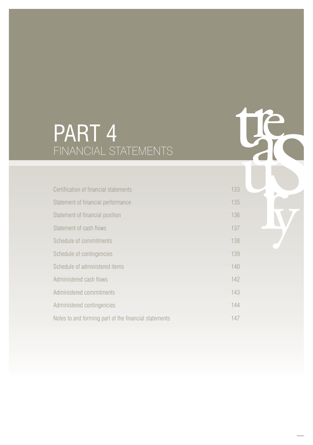# PART 4 FINANCIAL STATEMENTS

| Certification of financial statements                 | 133 |
|-------------------------------------------------------|-----|
| Statement of financial performance                    | 135 |
| Statement of financial position                       | 136 |
| Statement of cash flows                               | 137 |
| Schedule of commitments                               | 138 |
| Schedule of contingencies                             | 139 |
| Schedule of administered items                        | 140 |
| Administered cash flows                               | 142 |
| Administered commitments                              | 143 |
| Administered contingencies                            | 144 |
| Notes to and forming part of the financial statements | 147 |

te

Þ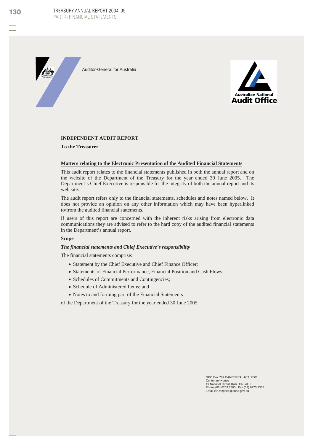TREASURY ANNUAL REPORT 2004-05 PART 4: FINANCIAL STATEMENTS

Auditor-General for Australia



#### **INDEPENDENT AUDIT REPORT**

**To the Treasurer**

#### **Matters relating to the Electronic Presentation of the Audited Financial Statements**

This audit report relates to the financial statements published in both the annual report and on the website of the Department of the Treasury for the year ended 30 June 2005. The Department's Chief Executive is responsible for the integrity of both the annual report and its web site.

The audit report refers only to the financial statements, schedules and notes named below. It does not provide an opinion on any other information which may have been hyperlinked to/from the audited financial statements.

If users of this report are concerned with the inherent risks arising from electronic data communications they are advised to refer to the hard copy of the audited financial statements in the Department's annual report.

#### **Scope**

#### *The financial statements and Chief Executive's responsibility*

The financial statements comprise:

- Statement by the Chief Executive and Chief Finance Officer;
- Statements of Financial Performance, Financial Position and Cash Flows;
- Schedules of Commitments and Contingencies;
- Schedule of Administered Items; and
- Notes to and forming part of the Financial Statements

of the Department of the Treasury for the year ended 30 June 2005.

GPO Box 707 CANBERRA ACT 2601 Centenary House 19 National Circuit BARTON ACT Phone (02) 6203 7500 Fax (02) 6273 5355 Email ian.mcphee@anao.gov.au

130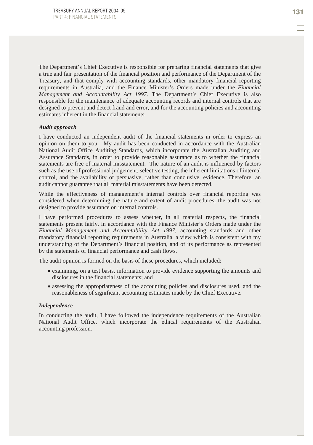The Department's Chief Executive is responsible for preparing financial statements that give a true and fair presentation of the financial position and performance of the Department of the Treasury, and that comply with accounting standards, other mandatory financial reporting requirements in Australia, and the Finance Minister's Orders made under the *Financial Management and Accountability Act 1997*. The Department's Chief Executive is also responsible for the maintenance of adequate accounting records and internal controls that are designed to prevent and detect fraud and error, and for the accounting policies and accounting estimates inherent in the financial statements.

#### *Audit approach*

I have conducted an independent audit of the financial statements in order to express an opinion on them to you. My audit has been conducted in accordance with the Australian National Audit Office Auditing Standards, which incorporate the Australian Auditing and Assurance Standards, in order to provide reasonable assurance as to whether the financial statements are free of material misstatement. The nature of an audit is influenced by factors such as the use of professional judgement, selective testing, the inherent limitations of internal control, and the availability of persuasive, rather than conclusive, evidence. Therefore, an audit cannot guarantee that all material misstatements have been detected.

While the effectiveness of management's internal controls over financial reporting was considered when determining the nature and extent of audit procedures, the audit was not designed to provide assurance on internal controls.

I have performed procedures to assess whether, in all material respects, the financial statements present fairly, in accordance with the Finance Minister's Orders made under the *Financial Management and Accountability Act 1997*, accounting standards and other mandatory financial reporting requirements in Australia, a view which is consistent with my understanding of the Department's financial position, and of its performance as represented by the statements of financial performance and cash flows.

The audit opinion is formed on the basis of these procedures, which included:

- examining, on a test basis, information to provide evidence supporting the amounts and disclosures in the financial statements; and
- assessing the appropriateness of the accounting policies and disclosures used, and the reasonableness of significant accounting estimates made by the Chief Executive.

#### *Independence*

In conducting the audit, I have followed the independence requirements of the Australian National Audit Office, which incorporate the ethical requirements of the Australian accounting profession.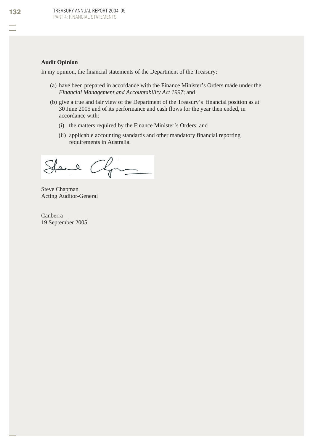#### **Audit Opinion**

In my opinion, the financial statements of the Department of the Treasury:

- (a) have been prepared in accordance with the Finance Minister's Orders made under the *Financial Management and Accountability Act 1997*; and
- (b) give a true and fair view of the Department of the Treasury's financial position as at 30 June 2005 and of its performance and cash flows for the year then ended, in accordance with:
	- (i) the matters required by the Finance Minister's Orders; and
	- (ii) applicable accounting standards and other mandatory financial reporting requirements in Australia.

Stand Chan

Steve Chapman Acting Auditor-General

Canberra 19 September 2005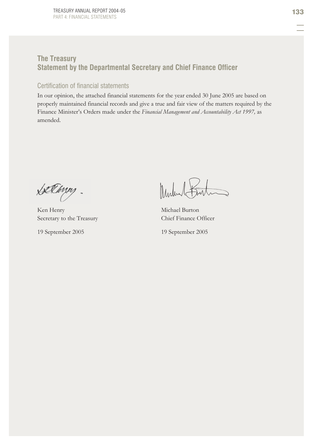# **The Treasury Statement by the Departmental Secretary and Chief Finance Officer**

## Certification of financial statements

In our opinion, the attached financial statements for the year ended 30 June 2005 are based on properly maintained financial records and give a true and fair view of the matters required by the Finance Minister's Orders made under the *Financial Management and Accountability Act 1997,* as amended.

Lællinn,

Ken Henry Michael Burton Secretary to the Treasury Chief Finance Officer

19 September 2005 19 September 2005

Mulin Barton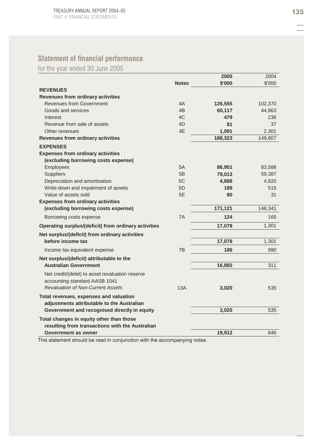# **Statement of financial performance**

for the year ended 30 June 2005

|                                                      |              | 2005    | 2004    |
|------------------------------------------------------|--------------|---------|---------|
|                                                      | <b>Notes</b> | \$'000  | \$'000  |
| <b>REVENUES</b>                                      |              |         |         |
| Revenues from ordinary activities                    |              |         |         |
| <b>Revenues from Government</b>                      | 4A           | 126,555 | 102,370 |
| Goods and services                                   | 4B           | 60,117  | 44,863  |
| Interest                                             | 4C           | 479     | 236     |
| Revenue from sale of assets                          | 4D           | 81      | 37      |
| Other revenues                                       | 4E           | 1,091   | 2,301   |
| <b>Revenues from ordinary activities</b>             |              | 188,323 | 149,807 |
| <b>EXPENSES</b>                                      |              |         |         |
| <b>Expenses from ordinary activities</b>             |              |         |         |
| (excluding borrowing costs expense)                  |              |         |         |
| Employees                                            | 5A           | 86,951  | 83,588  |
| <b>Suppliers</b>                                     | 5B           | 79,013  | 59,387  |
| Depreciation and amortisation                        | 5C           | 4,888   | 4,820   |
| Write-down and impairment of assets                  | 5D           | 189     | 515     |
| Value of assets sold                                 | 5E           | 80      | 31      |
| <b>Expenses from ordinary activities</b>             |              |         |         |
| (excluding borrowing costs expense)                  |              | 171,121 | 148,341 |
| Borrowing costs expense                              | 7A           | 124     | 165     |
| Operating surplus/(deficit) from ordinary activities |              | 17,078  | 1,301   |
| Net surplus/(deficit) from ordinary activities       |              |         |         |
| before income tax                                    |              | 17,078  | 1,301   |
| Income tax equivalent expense                        | 7B           | 186     | 990     |
| Net surplus/(deficit) attributable to the            |              |         |         |
| <b>Australian Government</b>                         |              | 16,892  | 311     |
| Net credit/(debit) to asset revaluation reserve      |              |         |         |
| accounting standard AASB 1041                        |              |         |         |
| <b>Revaluation of Non-Current Assets</b>             | 13A          | 3,020   | 535     |
| Total revenues, expenses and valuation               |              |         |         |
| adjustments attributable to the Australian           |              |         |         |
| Government and recognised directly in equity         |              | 3,020   | 535     |
| Total changes in equity other than those             |              |         |         |
| resulting from transactions with the Australian      |              |         |         |
| Government as owner                                  |              | 19.912  | 846     |
|                                                      |              |         |         |

This statement should be read in conjunction with the accompanying notes.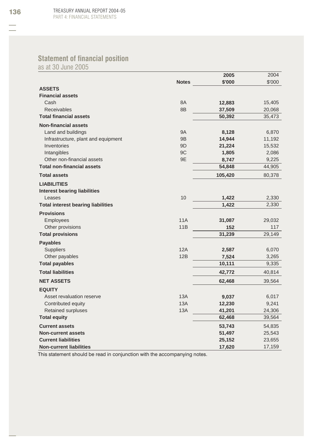# **Statement of financial position**

as at 30 June 2005

|                                           |                | 2005    | 2004   |
|-------------------------------------------|----------------|---------|--------|
|                                           | <b>Notes</b>   | \$'000  | \$'000 |
| <b>ASSETS</b>                             |                |         |        |
| <b>Financial assets</b>                   |                |         |        |
| Cash                                      | 8A             | 12,883  | 15,405 |
| <b>Receivables</b>                        | 8B             | 37,509  | 20,068 |
| <b>Total financial assets</b>             |                | 50,392  | 35,473 |
| <b>Non-financial assets</b>               |                |         |        |
| Land and buildings                        | <b>9A</b>      | 8,128   | 6,870  |
| Infrastructure, plant and equipment       | 9 <sub>B</sub> | 14,944  | 11,192 |
| Inventories                               | 9D             | 21,224  | 15,532 |
| Intangibles                               | 9C             | 1,805   | 2,086  |
| Other non-financial assets                | 9E             | 8,747   | 9,225  |
| <b>Total non-financial assets</b>         |                | 54,848  | 44,905 |
| <b>Total assets</b>                       |                | 105,420 | 80,378 |
| <b>LIABILITIES</b>                        |                |         |        |
| <b>Interest bearing liabilities</b>       |                |         |        |
| Leases                                    | 10             | 1,422   | 2,330  |
| <b>Total interest bearing liabilities</b> |                | 1,422   | 2,330  |
| <b>Provisions</b>                         |                |         |        |
| Employees                                 | <b>11A</b>     | 31,087  | 29,032 |
| Other provisions                          | 11B            | 152     | 117    |
| <b>Total provisions</b>                   |                | 31,239  | 29,149 |
| <b>Payables</b>                           |                |         |        |
| Suppliers                                 | 12A            | 2,587   | 6,070  |
| Other payables                            | 12B            | 7,524   | 3,265  |
| <b>Total payables</b>                     |                | 10,111  | 9,335  |
| <b>Total liabilities</b>                  |                | 42,772  | 40,814 |
| <b>NET ASSETS</b>                         |                | 62,468  | 39,564 |
| <b>EQUITY</b>                             |                |         |        |
| Asset revaluation reserve                 | 13A            | 9,037   | 6,017  |
| Contributed equity                        | 13A            | 12,230  | 9,241  |
| <b>Retained surpluses</b>                 | 13A            | 41,201  | 24,306 |
| <b>Total equity</b>                       |                | 62,468  | 39,564 |
| <b>Current assets</b>                     |                | 53,743  | 54,835 |
| <b>Non-current assets</b>                 |                | 51,497  | 25,543 |
| <b>Current liabilities</b>                |                | 25,152  | 23,655 |
| <b>Non-current liabilities</b>            |                | 17,620  | 17,159 |

This statement should be read in conjunction with the accompanying notes.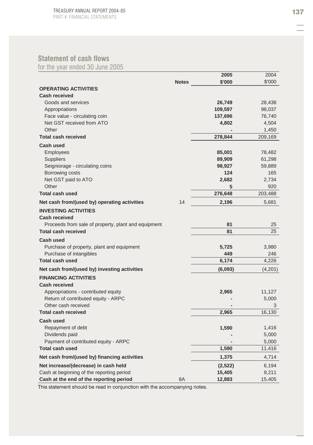# **Statement of cash flows**

for the year ended 30 June 2005

|                                                     |              | 2005    | 2004    |
|-----------------------------------------------------|--------------|---------|---------|
|                                                     | <b>Notes</b> | \$'000  | \$'000  |
| <b>OPERATING ACTIVITIES</b>                         |              |         |         |
| <b>Cash received</b>                                |              |         |         |
| Goods and services                                  |              | 26,749  | 28,438  |
| Appropriations                                      |              | 109,597 | 98,037  |
| Face value - circulating coin                       |              | 137,696 | 76,740  |
| Net GST received from ATO                           |              | 4,802   | 4,504   |
| Other                                               |              |         | 1,450   |
| <b>Total cash received</b>                          |              | 278,844 | 209,169 |
| <b>Cash used</b>                                    |              |         |         |
| Employees                                           |              | 85,001  | 78,482  |
| <b>Suppliers</b>                                    |              | 89,909  | 61,298  |
| Seigniorage - circulating coins                     |              | 98,927  | 59,889  |
| Borrowing costs                                     |              | 124     | 165     |
| Net GST paid to ATO                                 |              | 2,682   | 2,734   |
| Other                                               |              | 5       | 920     |
| <b>Total cash used</b>                              |              | 276,648 | 203,488 |
| Net cash from/(used by) operating activities        | 14           | 2,196   | 5,681   |
| <b>INVESTING ACTIVITIES</b>                         |              |         |         |
| <b>Cash received</b>                                |              |         |         |
| Proceeds from sale of property, plant and equipment |              | 81      | 25      |
| <b>Total cash received</b>                          |              | 81      | 25      |
|                                                     |              |         |         |
| <b>Cash used</b>                                    |              |         |         |
| Purchase of property, plant and equipment           |              | 5,725   | 3,980   |
| Purchase of intangibles                             |              | 449     | 246     |
| <b>Total cash used</b>                              |              | 6,174   | 4,226   |
| Net cash from/(used by) investing activities        |              | (6,093) | (4,201) |
| <b>FINANCING ACTIVITIES</b>                         |              |         |         |
| <b>Cash received</b>                                |              |         |         |
| Appropriations - contributed equity                 |              | 2,965   | 11,127  |
| Return of contributed equity - ARPC                 |              |         | 5,000   |
| Other cash received                                 |              |         | 3       |
| <b>Total cash received</b>                          |              | 2,965   | 16,130  |
| Cash used                                           |              |         |         |
| Repayment of debt                                   |              | 1,590   | 1,416   |
| Dividends paid                                      |              |         | 5,000   |
| Payment of contributed equity - ARPC                |              |         | 5,000   |
| <b>Total cash used</b>                              |              | 1,590   | 11,416  |
| Net cash from/(used by) financing activities        |              | 1,375   | 4,714   |
| Net increase/(decrease) in cash held                |              | (2,522) | 6,194   |
| Cash at beginning of the reporting period           |              | 15,405  | 9,211   |
| Cash at the end of the reporting period             | 8A           | 12,883  | 15,405  |

This statement should be read in conjunction with the accompanying notes.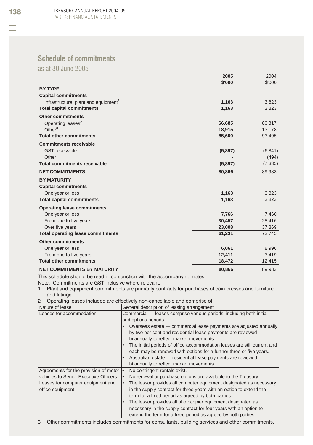# **Schedule of commitments**

as at 30 June 2005

|                                                  | 2005    | 2004     |
|--------------------------------------------------|---------|----------|
|                                                  | \$'000  | \$'000   |
| <b>BY TYPE</b>                                   |         |          |
| <b>Capital commitments</b>                       |         |          |
| Infrastructure, plant and equipment <sup>1</sup> | 1,163   | 3,823    |
| <b>Total capital commitments</b>                 | 1,163   | 3,823    |
| <b>Other commitments</b>                         |         |          |
| Operating leases <sup>2</sup>                    | 66,685  | 80,317   |
| Other $3$                                        | 18,915  | 13,178   |
| <b>Total other commitments</b>                   | 85,600  | 93,495   |
| <b>Commitments receivable</b>                    |         |          |
| <b>GST</b> receivable                            | (5,897) | (6, 841) |
| Other                                            |         | (494)    |
| <b>Total commitments receivable</b>              | (5,897) | (7, 335) |
| <b>NET COMMITMENTS</b>                           | 80,866  | 89,983   |
| <b>BY MATURITY</b>                               |         |          |
| <b>Capital commitments</b>                       |         |          |
| One year or less                                 | 1,163   | 3,823    |
| <b>Total capital commitments</b>                 | 1,163   | 3,823    |
| <b>Operating lease commitments</b>               |         |          |
| One year or less                                 | 7,766   | 7,460    |
| From one to five years                           | 30,457  | 28,416   |
| Over five years                                  | 23,008  | 37,869   |
| <b>Total operating lease commitments</b>         | 61,231  | 73,745   |
| <b>Other commitments</b>                         |         |          |
| One year or less                                 | 6,061   | 8,996    |
| From one to five years                           | 12,411  | 3,419    |
| <b>Total other commitments</b>                   | 18,472  | 12,415   |
| <b>NET COMMITMENTS BY MATURITY</b>               | 80.866  | 89,983   |

This schedule should be read in conjunction with the accompanying notes.

Note: Commitments are GST inclusive where relevant.

1 Plant and equipment commitments are primarily contracts for purchases of coin presses and furniture and fittings.

2 Operating leases included are effectively non-cancellable and comprise of:

| Nature of lease                          | General description of leasing arrangement                               |
|------------------------------------------|--------------------------------------------------------------------------|
| Leases for accommodation                 | Commercial - leases comprise various periods, including both initial     |
|                                          | and options periods.                                                     |
|                                          | Overseas estate — commercial lease payments are adjusted annually        |
|                                          | by two per cent and residential lease payments are reviewed              |
|                                          | bi annually to reflect market movements.                                 |
|                                          | The initial periods of office accommodation leases are still current and |
|                                          | each may be renewed with options for a further three or five years.      |
|                                          | Australian estate - residential lease payments are reviewed              |
|                                          | bi annually to reflect market movements.                                 |
| Agreements for the provision of motor  . | No contingent rentals exist.                                             |
| vehicles to Senior Executive Officers    | No renewal or purchase options are available to the Treasury.            |
| Leases for computer equipment and        | The lessor provides all computer equipment designated as necessary<br>I۰ |
| office equipment                         | in the supply contract for three years with an option to extend the      |
|                                          | term for a fixed period as agreed by both parties.                       |
|                                          | The lessor provides all photocopier equipment designated as              |
|                                          | necessary in the supply contract for four years with an option to        |
|                                          | extend the term for a fixed period as agreed by both parties.            |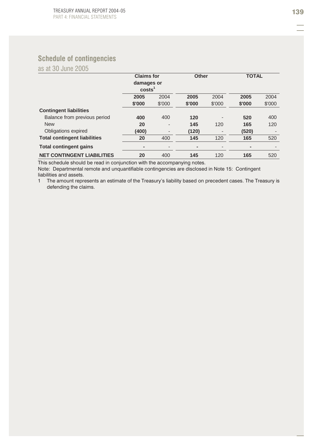# **Schedule of contingencies**

as at 30 June 2005

|                                     | <b>Claims for</b>  |                          | Other                    |        | <b>TOTAL</b> |        |
|-------------------------------------|--------------------|--------------------------|--------------------------|--------|--------------|--------|
|                                     | damages or         |                          |                          |        |              |        |
|                                     | costs <sup>1</sup> |                          |                          |        |              |        |
|                                     | 2005               | 2004                     | 2005                     | 2004   | 2005         | 2004   |
|                                     | \$'000             | \$'000                   | \$'000                   | \$'000 | \$'000       | \$'000 |
| <b>Contingent liabilities</b>       |                    |                          |                          |        |              |        |
| Balance from previous period        | 400                | 400                      | 120                      |        | 520          | 400    |
| <b>New</b>                          | 20                 | $\overline{\phantom{a}}$ | 145                      | 120    | 165          | 120    |
| Obligations expired                 | (400)              | $\overline{\phantom{a}}$ | (120)                    |        | (520)        |        |
| <b>Total contingent liabilities</b> | 20                 | 400                      | 145                      | 120    | 165          | 520    |
| <b>Total contingent gains</b>       | -                  | ٠                        | $\overline{\phantom{a}}$ |        |              |        |
| <b>NET CONTINGENT LIABILITIES</b>   | 20                 | 400                      | 145                      | 120    | 165          | 520    |

This schedule should be read in conjunction with the accompanying notes.

Note: Departmental remote and unquantifiable contingencies are disclosed in Note 15: Contingent liabilities and assets.

1 The amount represents an estimate of the Treasury's liability based on precedent cases. The Treasury is defending the claims.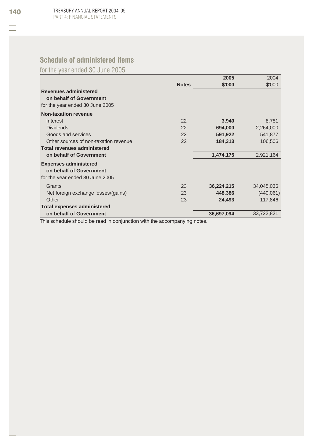# **Schedule of administered items**

for the year ended 30 June 2005

|                                                         |              | 2005       | 2004       |
|---------------------------------------------------------|--------------|------------|------------|
|                                                         | <b>Notes</b> | \$'000     | \$'000     |
| <b>Revenues administered</b><br>on behalf of Government |              |            |            |
| for the year ended 30 June 2005                         |              |            |            |
| <b>Non-taxation revenue</b>                             |              |            |            |
| Interest                                                | 22           | 3,940      | 8,781      |
| <b>Dividends</b>                                        | 22           | 694,000    | 2,264,000  |
| Goods and services                                      | 22           | 591,922    | 541,877    |
| Other sources of non-taxation revenue                   | 22           | 184,313    | 106,506    |
| <b>Total revenues administered</b>                      |              |            |            |
| on behalf of Government                                 |              | 1,474,175  | 2,921,164  |
| <b>Expenses administered</b><br>on behalf of Government |              |            |            |
| for the year ended 30 June 2005                         |              |            |            |
| Grants                                                  | 23           | 36,224,215 | 34,045,036 |
| Net foreign exchange losses/(gains)                     | 23           | 448,386    | (440,061)  |
| Other                                                   | 23           | 24,493     | 117,846    |
| <b>Total expenses administered</b>                      |              |            |            |
| on behalf of Government                                 |              | 36,697,094 | 33,722,821 |
|                                                         |              |            |            |

This schedule should be read in conjunction with the accompanying notes.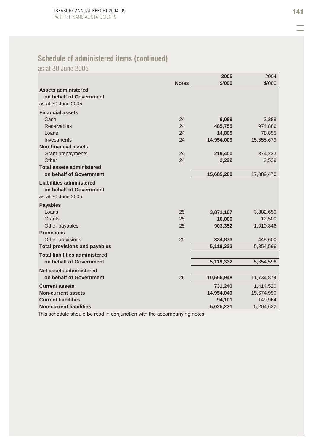# **Schedule of administered items (continued)**

as at 30 June 2005

|                                       |              | 2005       | 2004       |
|---------------------------------------|--------------|------------|------------|
|                                       | <b>Notes</b> | \$'000     | \$'000     |
| <b>Assets administered</b>            |              |            |            |
| on behalf of Government               |              |            |            |
| as at 30 June 2005                    |              |            |            |
| <b>Financial assets</b>               |              |            |            |
| Cash                                  | 24           | 9,089      | 3,288      |
| <b>Receivables</b>                    | 24           | 485,755    | 974,886    |
| Loans                                 | 24           | 14,805     | 78,855     |
| Investments                           | 24           | 14,954,009 | 15,655,679 |
| <b>Non-financial assets</b>           |              |            |            |
| Grant prepayments                     | 24           | 219,400    | 374,223    |
| Other                                 | 24           | 2,222      | 2,539      |
| <b>Total assets administered</b>      |              |            |            |
| on behalf of Government               |              | 15,685,280 | 17,089,470 |
| <b>Liabilities administered</b>       |              |            |            |
| on behalf of Government               |              |            |            |
| as at 30 June 2005                    |              |            |            |
| <b>Payables</b>                       |              |            |            |
| Loans                                 | 25           | 3,871,107  | 3,882,650  |
| Grants                                | 25           | 10,000     | 12,500     |
| Other payables                        | 25           | 903,352    | 1,010,846  |
| <b>Provisions</b>                     |              |            |            |
| Other provisions                      | 25           | 334,873    | 448,600    |
| <b>Total provisions and payables</b>  |              | 5,119,332  | 5,354,596  |
| <b>Total liabilities administered</b> |              |            |            |
| on behalf of Government               |              | 5,119,332  | 5,354,596  |
| Net assets administered               |              |            |            |
| on behalf of Government               | 26           | 10,565,948 | 11,734,874 |
| <b>Current assets</b>                 |              | 731,240    | 1,414,520  |
| <b>Non-current assets</b>             |              | 14,954,040 | 15,674,950 |
| <b>Current liabilities</b>            |              | 94,101     | 149,964    |
| <b>Non-current liabilities</b>        |              | 5,025,231  | 5,204,632  |

This schedule should be read in conjunction with the accompanying notes.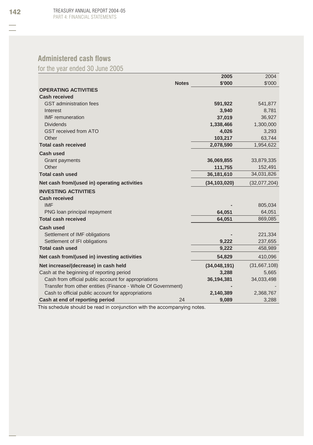# **Administered cash flows**

for the year ended 30 June 2005

|                                                              |              | 2005           | 2004         |
|--------------------------------------------------------------|--------------|----------------|--------------|
|                                                              | <b>Notes</b> | \$'000         | \$'000       |
| <b>OPERATING ACTIVITIES</b>                                  |              |                |              |
| <b>Cash received</b>                                         |              |                |              |
| <b>GST</b> administration fees                               |              | 591,922        | 541,877      |
| Interest                                                     |              | 3,940          | 8,781        |
| <b>IMF</b> remuneration                                      |              | 37,019         | 36,927       |
| <b>Dividends</b>                                             |              | 1,338,466      | 1,300,000    |
| <b>GST received from ATO</b>                                 |              | 4,026          | 3,293        |
| Other                                                        |              | 103,217        | 63,744       |
| <b>Total cash received</b>                                   |              | 2,078,590      | 1,954,622    |
| <b>Cash used</b>                                             |              |                |              |
| <b>Grant payments</b>                                        |              | 36,069,855     | 33,879,335   |
| Other                                                        |              | 111,755        | 152,491      |
| <b>Total cash used</b>                                       |              | 36,181,610     | 34,031,826   |
| Net cash from/(used in) operating activities                 |              | (34, 103, 020) | (32,077,204) |
| <b>INVESTING ACTIVITIES</b>                                  |              |                |              |
| <b>Cash received</b>                                         |              |                |              |
| <b>IMF</b>                                                   |              |                | 805,034      |
| PNG loan principal repayment                                 |              | 64,051         | 64,051       |
| <b>Total cash received</b>                                   |              | 64,051         | 869,085      |
| <b>Cash used</b>                                             |              |                |              |
| Settlement of IMF obligations                                |              |                | 221,334      |
| Settlement of IFI obligations                                |              | 9,222          | 237,655      |
| <b>Total cash used</b>                                       |              | 9,222          | 458,989      |
| Net cash from/(used in) investing activities                 |              | 54,829         | 410,096      |
| Net increase/(decrease) in cash held                         |              | (34,048,191)   | (31,667,108) |
| Cash at the beginning of reporting period                    |              | 3,288          | 5,665        |
| Cash from official public account for appropriations         |              | 36,194,381     | 34,033,498   |
| Transfer from other entities (Finance - Whole Of Government) |              |                |              |
| Cash to official public account for appropriations           |              | 2,140,389      | 2,368,767    |
| Cash at end of reporting period                              | 24           | 9,089          | 3,288        |

This schedule should be read in conjunction with the accompanying notes.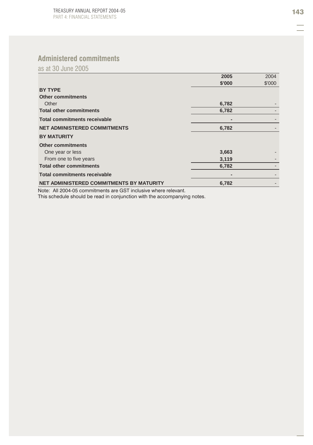# **Administered commitments**

as at 30 June 2005

|                                          | 2005   | 2004   |
|------------------------------------------|--------|--------|
|                                          | \$'000 | \$'000 |
| <b>BY TYPE</b>                           |        |        |
| <b>Other commitments</b>                 |        |        |
| Other                                    | 6,782  |        |
| <b>Total other commitments</b>           | 6,782  |        |
| <b>Total commitments receivable</b>      |        |        |
| <b>NET ADMINISTERED COMMITMENTS</b>      | 6,782  |        |
| <b>BY MATURITY</b>                       |        |        |
| <b>Other commitments</b>                 |        |        |
| One year or less                         | 3,663  |        |
| From one to five years                   | 3,119  |        |
| <b>Total other commitments</b>           | 6,782  |        |
| <b>Total commitments receivable</b>      |        |        |
| NET ADMINISTERED COMMITMENTS BY MATURITY | 6,782  |        |

Note: All 2004-05 commitments are GST inclusive where relevant. This schedule should be read in conjunction with the accompanying notes.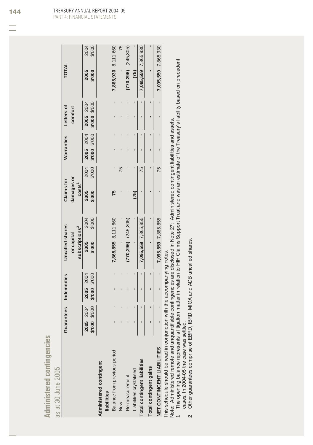| $\frac{7}{1}$<br>ш<br>ó<br>a.<br>n e |       |
|--------------------------------------|-------|
| 2                                    | 2005  |
| red<br>œ                             |       |
|                                      | at 30 |
|                                      | ಜ     |

|                                                                                                                                                                                                                                                                                                               | Guarantees       | <b>Indemnities</b>  | <b>Uncalled</b> shares     | Claims for         | Warranties                                              | Letters of    | <b>TOTAL</b>              |
|---------------------------------------------------------------------------------------------------------------------------------------------------------------------------------------------------------------------------------------------------------------------------------------------------------------|------------------|---------------------|----------------------------|--------------------|---------------------------------------------------------|---------------|---------------------------|
|                                                                                                                                                                                                                                                                                                               |                  |                     | or capital                 | damages or         |                                                         | comfort       |                           |
|                                                                                                                                                                                                                                                                                                               |                  |                     | subscriptions <sup>2</sup> | costs <sup>1</sup> |                                                         |               |                           |
|                                                                                                                                                                                                                                                                                                               | 2004<br>2005     | 2004<br><b>2005</b> | 2004<br>2005               | 2005               | 2004<br><b>2005</b><br>2004                             | 2005 2004     | 2004<br>2005              |
|                                                                                                                                                                                                                                                                                                               | \$'000<br>000.\$ | \$'000 \$'000       | \$'000<br>\$'000           | \$'000<br>\$'000   | \$'000 \$'000                                           | 000.\$ 000.\$ | \$'000<br>\$'000          |
| Administered contingent                                                                                                                                                                                                                                                                                       |                  |                     |                            |                    |                                                         |               |                           |
| liabilities                                                                                                                                                                                                                                                                                                   |                  |                     |                            |                    |                                                         |               |                           |
| Balance from previous period                                                                                                                                                                                                                                                                                  |                  |                     | 7,865,855 8,111,660        |                    |                                                         |               | 7,865,930 8,111,660       |
| <b>New</b>                                                                                                                                                                                                                                                                                                    |                  |                     |                            |                    | 5                                                       |               | 75                        |
| Re-measurement                                                                                                                                                                                                                                                                                                |                  |                     | $(770, 296)$ $(245, 805)$  |                    |                                                         |               | $(770, 296)$ $(245, 805)$ |
| Liabilities crystalised                                                                                                                                                                                                                                                                                       |                  |                     |                            | (75)               |                                                         |               | (75)                      |
| Total contingent liabilities                                                                                                                                                                                                                                                                                  |                  |                     | 7.095.559 7.865.855        |                    | 75                                                      |               | 7.095.559 7.865.930       |
| Total contingent gains                                                                                                                                                                                                                                                                                        |                  |                     |                            |                    |                                                         |               |                           |
| NET CONTINGENT LIABILITIES                                                                                                                                                                                                                                                                                    |                  | 1<br>ı              | 7,095,559 7,865,855        |                    | 75                                                      |               | 7,095,559 7,865,930       |
| This schedule should be read in conjunction with the accompanying notes.<br>$\frac{1}{2}$ . The contract of the contract of the contract of the contract of the contract of the contract of the contract of the contract of the contract of the contract of the contract of the contract of the contract of t | $\ddot{\cdot}$   |                     |                            |                    | :<br>:<br>:<br><br><br><br><br><br><br><br><br><br><br> |               |                           |

Note: Administered remote and unquantifiable contingencies are disclosed in Note 27: Administered contingent liabilities and assets.

Note: Administered remote and unquantifiable contingencies are disclosed in Note 27: Administered contingent liabilities and assets.<br>1 The opening balance represents a litigation matter in relation to HIH Claims Support Tr The opening balance represents a litigation matter in relation to HIH Claims Support Trust and was an estimate of the Treasury's liability based on precedent cases. In 2004-05 the case was settled.<br>Cases. In 2004-05 the case was settled.<br>Other guarantees comprise of EBRD, IBRD, MIGA and ADB uncalled shares. cases. In 2004-05 the case was settled.

2 Other guarantees comprise of EBRD, IBRD, MIGA and ADB uncalled shares.  $\sim$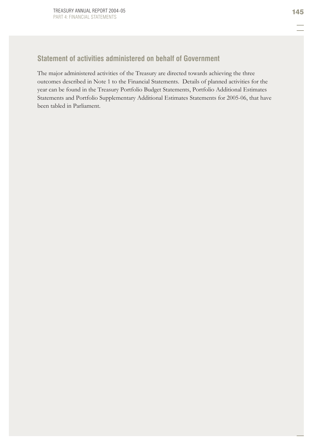# **Statement of activities administered on behalf of Government**

The major administered activities of the Treasury are directed towards achieving the three outcomes described in Note 1 to the Financial Statements. Details of planned activities for the year can be found in the Treasury Portfolio Budget Statements, Portfolio Additional Estimates Statements and Portfolio Supplementary Additional Estimates Statements for 2005-06, that have been tabled in Parliament.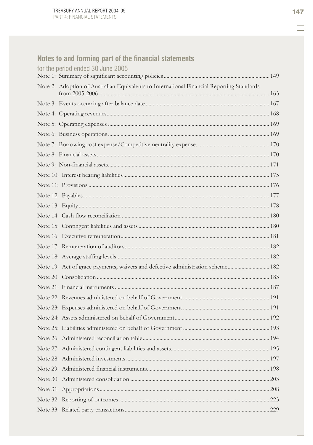# Notes to and forming part of the financial statements<br>for the period ended 20, king 2005

| TOL THE DELIOG GUAGA 3D JUNE ZUND                                                         |  |
|-------------------------------------------------------------------------------------------|--|
| Note 2: Adoption of Australian Equivalents to International Financial Reporting Standards |  |
|                                                                                           |  |
|                                                                                           |  |
|                                                                                           |  |
|                                                                                           |  |
|                                                                                           |  |
|                                                                                           |  |
|                                                                                           |  |
|                                                                                           |  |
|                                                                                           |  |
|                                                                                           |  |
|                                                                                           |  |
|                                                                                           |  |
|                                                                                           |  |
|                                                                                           |  |
|                                                                                           |  |
|                                                                                           |  |
|                                                                                           |  |
| Note 19: Act of grace payments, waivers and defective administration scheme 182           |  |
|                                                                                           |  |
|                                                                                           |  |
|                                                                                           |  |
|                                                                                           |  |
|                                                                                           |  |
|                                                                                           |  |
|                                                                                           |  |
|                                                                                           |  |
|                                                                                           |  |
|                                                                                           |  |
|                                                                                           |  |
|                                                                                           |  |
|                                                                                           |  |
|                                                                                           |  |
|                                                                                           |  |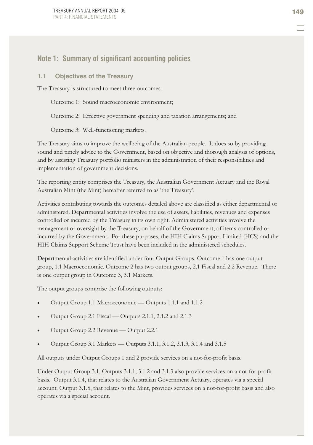# **Note 1: Summary of significant accounting policies**

#### **1.1 Objectives of the Treasury**

The Treasury is structured to meet three outcomes:

Outcome 1: Sound macroeconomic environment;

Outcome 2: Effective government spending and taxation arrangements; and

Outcome 3: Well-functioning markets.

The Treasury aims to improve the wellbeing of the Australian people. It does so by providing sound and timely advice to the Government, based on objective and thorough analysis of options, and by assisting Treasury portfolio ministers in the administration of their responsibilities and implementation of government decisions.

The reporting entity comprises the Treasury, the Australian Government Actuary and the Royal Australian Mint (the Mint) hereafter referred to as 'the Treasury'.

Activities contributing towards the outcomes detailed above are classified as either departmental or administered. Departmental activities involve the use of assets, liabilities, revenues and expenses controlled or incurred by the Treasury in its own right. Administered activities involve the management or oversight by the Treasury, on behalf of the Government, of items controlled or incurred by the Government. For these purposes, the HIH Claims Support Limited (HCS) and the HIH Claims Support Scheme Trust have been included in the administered schedules.

Departmental activities are identified under four Output Groups. Outcome 1 has one output group, 1.1 Macroeconomic. Outcome 2 has two output groups, 2.1 Fiscal and 2.2 Revenue. There is one output group in Outcome 3, 3.1 Markets.

The output groups comprise the following outputs:

- Output Group 1.1 Macroeconomic Outputs 1.1.1 and 1.1.2
- x Output Group 2.1 Fiscal Outputs 2.1.1, 2.1.2 and 2.1.3
- x Output Group 2.2 Revenue Output 2.2.1
- x Output Group 3.1 Markets Outputs 3.1.1, 3.1.2, 3.1.3, 3.1.4 and 3.1.5

All outputs under Output Groups 1 and 2 provide services on a not-for-profit basis.

Under Output Group 3.1, Outputs 3.1.1, 3.1.2 and 3.1.3 also provide services on a not-for-profit basis. Output 3.1.4, that relates to the Australian Government Actuary, operates via a special account. Output 3.1.5, that relates to the Mint, provides services on a not-for-profit basis and also operates via a special account.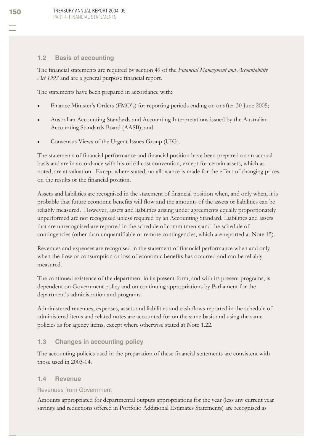### **1.2 Basis of accounting**

The financial statements are required by section 49 of the *Financial Management and Accountability Act 1997* and are a general purpose financial report.

The statements have been prepared in accordance with:

- Finance Minister's Orders (FMO's) for reporting periods ending on or after 30 June 2005;
- x Australian Accounting Standards and Accounting Interpretations issued by the Australian Accounting Standards Board (AASB); and
- x Consensus Views of the Urgent Issues Group (UIG).

The statements of financial performance and financial position have been prepared on an accrual basis and are in accordance with historical cost convention, except for certain assets, which as noted, are at valuation. Except where stated, no allowance is made for the effect of changing prices on the results or the financial position.

Assets and liabilities are recognised in the statement of financial position when, and only when, it is probable that future economic benefits will flow and the amounts of the assets or liabilities can be reliably measured. However, assets and liabilities arising under agreements equally proportionately unperformed are not recognised unless required by an Accounting Standard. Liabilities and assets that are unrecognised are reported in the schedule of commitments and the schedule of contingencies (other than unquantifiable or remote contingencies, which are reported at Note 15).

Revenues and expenses are recognised in the statement of financial performance when and only when the flow or consumption or loss of economic benefits has occurred and can be reliably measured.

The continued existence of the department in its present form, and with its present programs, is dependent on Government policy and on continuing appropriations by Parliament for the department's administration and programs.

Administered revenues, expenses, assets and liabilities and cash flows reported in the schedule of administered items and related notes are accounted for on the same basis and using the same policies as for agency items, except where otherwise stated at Note 1.22.

### **1.3 Changes in accounting policy**

The accounting policies used in the preparation of these financial statements are consistent with those used in 2003-04.

### **1.4 Revenue**

### Revenues from Government

Amounts appropriated for departmental outputs appropriations for the year (less any current year savings and reductions offered in Portfolio Additional Estimates Statements) are recognised as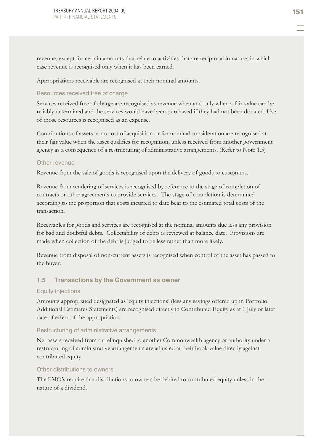revenue, except for certain amounts that relate to activities that are reciprocal in nature, in which case revenue is recognised only when it has been earned.

Appropriations receivable are recognised at their nominal amounts.

#### Resources received free of charge

Services received free of charge are recognised as revenue when and only when a fair value can be reliably determined and the services would have been purchased if they had not been donated. Use of those resources is recognised as an expense.

Contributions of assets at no cost of acquisition or for nominal consideration are recognised at their fair value when the asset qualifies for recognition, unless received from another government agency as a consequence of a restructuring of administrative arrangements. (Refer to Note 1.5)

#### Other revenue

Revenue from the sale of goods is recognised upon the delivery of goods to customers.

Revenue from rendering of services is recognised by reference to the stage of completion of contracts or other agreements to provide services. The stage of completion is determined according to the proportion that costs incurred to date bear to the estimated total costs of the transaction.

Receivables for goods and services are recognised at the nominal amounts due less any provision for bad and doubtful debts. Collectability of debts is reviewed at balance date. Provisions are made when collection of the debt is judged to be less rather than more likely.

Revenue from disposal of non-current assets is recognised when control of the asset has passed to the buyer.

#### **1.5 Transactions by the Government as owner**

#### Equity injections

Amounts appropriated designated as 'equity injections' (less any savings offered up in Portfolio Additional Estimates Statements) are recognised directly in Contributed Equity as at 1 July or later date of effect of the appropriation.

#### Restructuring of administrative arrangements

Net assets received from or relinquished to another Commonwealth agency or authority under a restructuring of administrative arrangements are adjusted at their book value directly against contributed equity.

#### Other distributions to owners

The FMO's require that distributions to owners be debited to contributed equity unless in the nature of a dividend.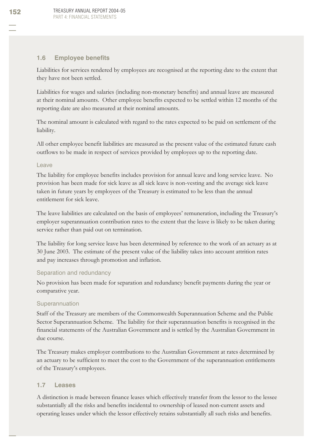### **1.6 Employee benefits**

Liabilities for services rendered by employees are recognised at the reporting date to the extent that they have not been settled.

Liabilities for wages and salaries (including non-monetary benefits) and annual leave are measured at their nominal amounts. Other employee benefits expected to be settled within 12 months of the reporting date are also measured at their nominal amounts.

The nominal amount is calculated with regard to the rates expected to be paid on settlement of the liability.

All other employee benefit liabilities are measured as the present value of the estimated future cash outflows to be made in respect of services provided by employees up to the reporting date.

#### Leave

The liability for employee benefits includes provision for annual leave and long service leave. No provision has been made for sick leave as all sick leave is non-vesting and the average sick leave taken in future years by employees of the Treasury is estimated to be less than the annual entitlement for sick leave.

The leave liabilities are calculated on the basis of employees' remuneration, including the Treasury's employer superannuation contribution rates to the extent that the leave is likely to be taken during service rather than paid out on termination.

The liability for long service leave has been determined by reference to the work of an actuary as at 30 June 2003. The estimate of the present value of the liability takes into account attrition rates and pay increases through promotion and inflation.

#### Separation and redundancy

No provision has been made for separation and redundancy benefit payments during the year or comparative year.

#### Superannuation

Staff of the Treasury are members of the Commonwealth Superannuation Scheme and the Public Sector Superannuation Scheme. The liability for their superannuation benefits is recognised in the financial statements of the Australian Government and is settled by the Australian Government in due course.

The Treasury makes employer contributions to the Australian Government at rates determined by an actuary to be sufficient to meet the cost to the Government of the superannuation entitlements of the Treasury's employees.

#### **1.7 Leases**

A distinction is made between finance leases which effectively transfer from the lessor to the lessee substantially all the risks and benefits incidental to ownership of leased non-current assets and operating leases under which the lessor effectively retains substantially all such risks and benefits.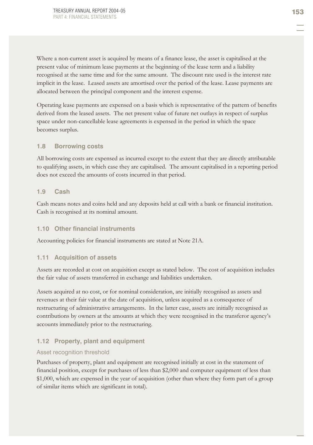Where a non-current asset is acquired by means of a finance lease, the asset is capitalised at the present value of minimum lease payments at the beginning of the lease term and a liability recognised at the same time and for the same amount. The discount rate used is the interest rate implicit in the lease. Leased assets are amortised over the period of the lease. Lease payments are allocated between the principal component and the interest expense.

Operating lease payments are expensed on a basis which is representative of the pattern of benefits derived from the leased assets. The net present value of future net outlays in respect of surplus space under non-cancellable lease agreements is expensed in the period in which the space becomes surplus.

#### **1.8 Borrowing costs**

All borrowing costs are expensed as incurred except to the extent that they are directly attributable to qualifying assets, in which case they are capitalised. The amount capitalised in a reporting period does not exceed the amounts of costs incurred in that period.

#### **1.9 Cash**

Cash means notes and coins held and any deposits held at call with a bank or financial institution. Cash is recognised at its nominal amount.

#### **1.10 Other financial instruments**

Accounting policies for financial instruments are stated at Note 21A.

#### **1.11 Acquisition of assets**

Assets are recorded at cost on acquisition except as stated below. The cost of acquisition includes the fair value of assets transferred in exchange and liabilities undertaken.

Assets acquired at no cost, or for nominal consideration, are initially recognised as assets and revenues at their fair value at the date of acquisition, unless acquired as a consequence of restructuring of administrative arrangements. In the latter case, assets are initially recognised as contributions by owners at the amounts at which they were recognised in the transferor agency's accounts immediately prior to the restructuring.

#### **1.12 Property, plant and equipment**

#### Asset recognition threshold

Purchases of property, plant and equipment are recognised initially at cost in the statement of financial position, except for purchases of less than \$2,000 and computer equipment of less than \$1,000, which are expensed in the year of acquisition (other than where they form part of a group of similar items which are significant in total).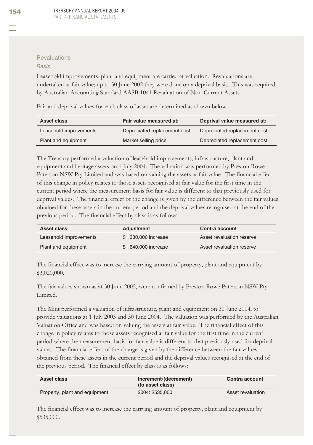#### **Revaluations**

#### *Basis*

Leasehold improvements, plant and equipment are carried at valuation. Revaluations are undertaken at fair value; up to 30 June 2002 they were done on a deprival basis. This was required by Australian Accounting Standard AASB 1041 Revaluation of Non-Current Assets.

Fair and deprival values for each class of asset are determined as shown below.

| Asset class            | Fair value measured at:      | Deprival value measured at:  |
|------------------------|------------------------------|------------------------------|
| Leasehold improvements | Depreciated replacement cost | Depreciated replacement cost |
| Plant and equipment    | Market selling price         | Depreciated replacement cost |

The Treasury performed a valuation of leasehold improvements, infrastructure, plant and equipment and heritage assets on 1 July 2004. The valuation was performed by Preston Rowe Paterson NSW Pty Limited and was based on valuing the assets at fair value. The financial effect of this change in policy relates to those assets recognised at fair value for the first time in the current period where the measurement basis for fair value is different to that previously used for deprival values. The financial effect of the change is given by the difference between the fair values obtained for these assets in the current period and the deprival values recognised at the end of the previous period. The financial effect by class is as follows:

| Asset class            | <b>Adjustment</b>    | Contra account            |
|------------------------|----------------------|---------------------------|
| Leasehold improvements | \$1,380,000 increase | Asset revaluation reserve |
| Plant and equipment    | \$1,640,000 increase | Asset revaluation reserve |

The financial effect was to increase the carrying amount of property, plant and equipment by \$3,020,000.

The fair values shown as at 30 June 2005, were confirmed by Preston Rowe Paterson NSW Pty Limited.

The Mint performed a valuation of infrastructure, plant and equipment on 30 June 2004, to provide valuations at 1 July 2003 and 30 June 2004. The valuation was performed by the Australian Valuation Office and was based on valuing the assets at fair value. The financial effect of this change in policy relates to those assets recognised at fair value for the first time in the current period where the measurement basis for fair value is different to that previously used for deprival values. The financial effect of the change is given by the difference between the fair values obtained from these assets in the current period and the deprival values recognised at the end of the previous period. The financial effect by class is as follows:

| Asset class                   | Increment/(decrement)<br>(to asset class) | <b>Contra account</b> |
|-------------------------------|-------------------------------------------|-----------------------|
| Property, plant and equipment | 2004: \$535,000                           | Asset revaluation     |

The financial effect was to increase the carrying amount of property, plant and equipment by \$535,000.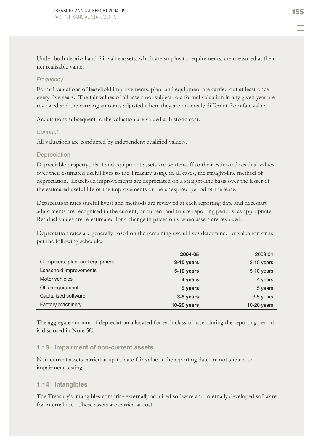Under both deprival and fair value assets, which are surplus to requirements, are measured at their net realisable value.

#### *Frequency*

Formal valuations of leasehold improvements, plant and equipment are carried out at least once every five years. The fair values of all assets not subject to a formal valuation in any given year are reviewed and the carrying amounts adjusted where they are materially different from fair value.

Acquisitions subsequent to the valuation are valued at historic cost.

#### *Conduct*

All valuations are conducted by independent qualified valuers.

#### **Depreciation**

Depreciable property, plant and equipment assets are written-off to their estimated residual values over their estimated useful lives to the Treasury using, in all cases, the straight-line method of depreciation. Leasehold improvements are depreciated on a straight-line basis over the lesser of the estimated useful life of the improvements or the unexpired period of the lease.

Depreciation rates (useful lives) and methods are reviewed at each reporting date and necessary adjustments are recognised in the current, or current and future reporting periods, as appropriate. Residual values are re-estimated for a change in prices only when assets are revalued.

Depreciation rates are generally based on the remaining useful lives determined by valuation or as per the following schedule:

|                                | 2004-05            | 2003-04       |
|--------------------------------|--------------------|---------------|
| Computers, plant and equipment | 3-10 years         | 3-10 years    |
| Leasehold improvements         | 5-10 years         | 5-10 years    |
| Motor vehicles                 | 4 years            | 4 years       |
| Office equipment               | 5 years            | 5 years       |
| Capitalised software           | 3-5 years          | 3-5 years     |
| Factory machinery              | <b>10-20 years</b> | $10-20$ years |

The aggregate amount of depreciation allocated for each class of asset during the reporting period is disclosed in Note 5C.

#### **1.13 Impairment of non-current assets**

Non-current assets carried at up-to-date fair value at the reporting date are not subject to impairment testing.

#### **1.14 Intangibles**

The Treasury's intangibles comprise externally acquired software and internally developed software for internal use. These assets are carried at cost.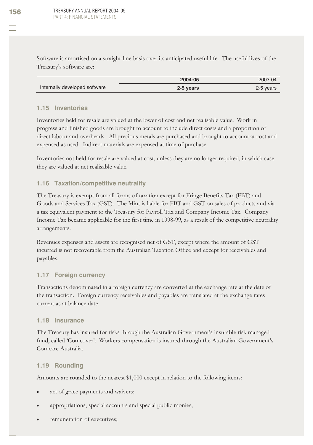Software is amortised on a straight-line basis over its anticipated useful life. The useful lives of the Treasury's software are:

|                               | 2004-05   | 2003-04   |
|-------------------------------|-----------|-----------|
| Internally developed software | 2-5 years | 2-5 years |

#### **1.15 Inventories**

Inventories held for resale are valued at the lower of cost and net realisable value. Work in progress and finished goods are brought to account to include direct costs and a proportion of direct labour and overheads. All precious metals are purchased and brought to account at cost and expensed as used. Indirect materials are expensed at time of purchase.

Inventories not held for resale are valued at cost, unless they are no longer required, in which case they are valued at net realisable value.

### **1.16 Taxation/competitive neutrality**

The Treasury is exempt from all forms of taxation except for Fringe Benefits Tax (FBT) and Goods and Services Tax (GST). The Mint is liable for FBT and GST on sales of products and via a tax equivalent payment to the Treasury for Payroll Tax and Company Income Tax. Company Income Tax became applicable for the first time in 1998-99, as a result of the competitive neutrality arrangements.

Revenues expenses and assets are recognised net of GST, except where the amount of GST incurred is not recoverable from the Australian Taxation Office and except for receivables and payables.

#### **1.17 Foreign currency**

Transactions denominated in a foreign currency are converted at the exchange rate at the date of the transaction. Foreign currency receivables and payables are translated at the exchange rates current as at balance date.

#### **1.18 Insurance**

The Treasury has insured for risks through the Australian Government's insurable risk managed fund, called 'Comcover'. Workers compensation is insured through the Australian Government's Comcare Australia.

#### **1.19 Rounding**

Amounts are rounded to the nearest \$1,000 except in relation to the following items:

- act of grace payments and waivers;
- appropriations, special accounts and special public monies;
- remuneration of executives;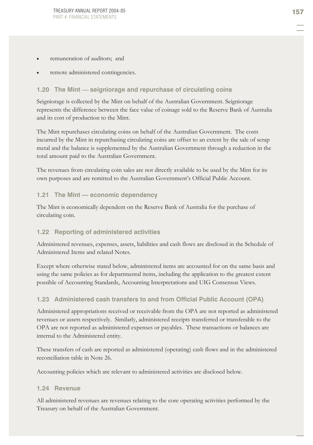- remuneration of auditors; and
- remote administered contingencies.

### **1.20 The Mint seigniorage and repurchase of circulating coins**

Seigniorage is collected by the Mint on behalf of the Australian Government. Seigniorage represents the difference between the face value of coinage sold to the Reserve Bank of Australia and its cost of production to the Mint.

The Mint repurchases circulating coins on behalf of the Australian Government. The costs incurred by the Mint in repurchasing circulating coins are offset to an extent by the sale of scrap metal and the balance is supplemented by the Australian Government through a reduction in the total amount paid to the Australian Government.

The revenues from circulating coin sales are not directly available to be used by the Mint for its own purposes and are remitted to the Australian Government's Official Public Account.

#### **1.21 The Mint — economic dependency**

The Mint is economically dependent on the Reserve Bank of Australia for the purchase of circulating coin.

#### **1.22 Reporting of administered activities**

Administered revenues, expenses, assets, liabilities and cash flows are disclosed in the Schedule of Administered Items and related Notes.

Except where otherwise stated below, administered items are accounted for on the same basis and using the same policies as for departmental items, including the application to the greatest extent possible of Accounting Standards, Accounting Interpretations and UIG Consensus Views.

#### **1.23 Administered cash transfers to and from Official Public Account (OPA)**

Administered appropriations received or receivable from the OPA are not reported as administered revenues or assets respectively. Similarly, administered receipts transferred or transferable to the OPA are not reported as administered expenses or payables. These transactions or balances are internal to the Administered entity.

These transfers of cash are reported as administered (operating) cash flows and in the administered reconciliation table in Note 26.

Accounting policies which are relevant to administered activities are disclosed below.

#### **1.24 Revenue**

All administered revenues are revenues relating to the core operating activities performed by the Treasury on behalf of the Australian Government.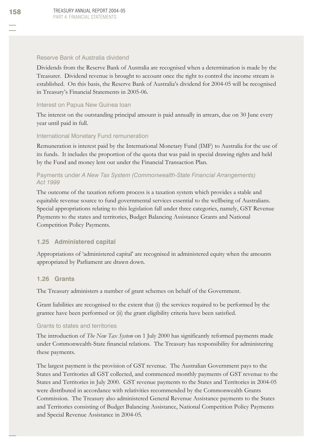#### Reserve Bank of Australia dividend

Dividends from the Reserve Bank of Australia are recognised when a determination is made by the Treasurer. Dividend revenue is brought to account once the right to control the income stream is established. On this basis, the Reserve Bank of Australia's dividend for 2004-05 will be recognised in Treasury's Financial Statements in 2005-06.

#### Interest on Papua New Guinea loan

The interest on the outstanding principal amount is paid annually in arrears, due on 30 June every year until paid in full.

#### International Monetary Fund remuneration

Remuneration is interest paid by the International Monetary Fund (IMF) to Australia for the use of its funds. It includes the proportion of the quota that was paid in special drawing rights and held by the Fund and money lent out under the Financial Transaction Plan.

### Payments under *A New Tax System (Commonwealth-State Financial Arrangements) Act 1999*

The outcome of the taxation reform process is a taxation system which provides a stable and equitable revenue source to fund governmental services essential to the wellbeing of Australians. Special appropriations relating to this legislation fall under three categories, namely, GST Revenue Payments to the states and territories, Budget Balancing Assistance Grants and National Competition Policy Payments.

#### **1.25 Administered capital**

Appropriations of 'administered capital' are recognised in administered equity when the amounts appropriated by Parliament are drawn down.

#### **1.26 Grants**

The Treasury administers a number of grant schemes on behalf of the Government.

Grant liabilities are recognised to the extent that (i) the services required to be performed by the grantee have been performed or (ii) the grant eligibility criteria have been satisfied.

#### Grants to states and territories

The introduction of *The New Tax System* on 1 July 2000 has significantly reformed payments made under Commonwealth-State financial relations. The Treasury has responsibility for administering these payments.

The largest payment is the provision of GST revenue. The Australian Government pays to the States and Territories all GST collected, and commenced monthly payments of GST revenue to the States and Territories in July 2000. GST revenue payments to the States and Territories in 2004-05 were distributed in accordance with relativities recommended by the Commonwealth Grants Commission. The Treasury also administered General Revenue Assistance payments to the States and Territories consisting of Budget Balancing Assistance, National Competition Policy Payments and Special Revenue Assistance in 2004-05.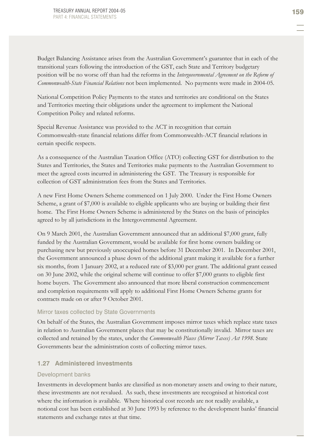Budget Balancing Assistance arises from the Australian Government's guarantee that in each of the transitional years following the introduction of the GST, each State and Territory budgetary position will be no worse off than had the reforms in the *Intergovernmental Agreement on the Reform of Commonwealth-State Financial Relations* not been implemented. No payments were made in 2004-05.

National Competition Policy Payments to the states and territories are conditional on the States and Territories meeting their obligations under the agreement to implement the National Competition Policy and related reforms.

Special Revenue Assistance was provided to the ACT in recognition that certain Commonwealth-state financial relations differ from Commonwealth-ACT financial relations in certain specific respects.

As a consequence of the Australian Taxation Office (ATO) collecting GST for distribution to the States and Territories, the States and Territories make payments to the Australian Government to meet the agreed costs incurred in administering the GST. The Treasury is responsible for collection of GST administration fees from the States and Territories.

A new First Home Owners Scheme commenced on 1 July 2000. Under the First Home Owners Scheme, a grant of \$7,000 is available to eligible applicants who are buying or building their first home. The First Home Owners Scheme is administered by the States on the basis of principles agreed to by all jurisdictions in the Intergovernmental Agreement.

On 9 March 2001, the Australian Government announced that an additional \$7,000 grant, fully funded by the Australian Government, would be available for first home owners building or purchasing new but previously unoccupied homes before 31 December 2001. In December 2001, the Government announced a phase down of the additional grant making it available for a further six months, from 1 January 2002, at a reduced rate of \$3,000 per grant. The additional grant ceased on 30 June 2002, while the original scheme will continue to offer \$7,000 grants to eligible first home buyers. The Government also announced that more liberal construction commencement and completion requirements will apply to additional First Home Owners Scheme grants for contracts made on or after 9 October 2001.

#### Mirror taxes collected by State Governments

On behalf of the States, the Australian Government imposes mirror taxes which replace state taxes in relation to Australian Government places that may be constitutionally invalid. Mirror taxes are collected and retained by the states, under the *Commonwealth Places (Mirror Taxes) Act 1998.* State Governments bear the administration costs of collecting mirror taxes.

#### **1.27 Administered investments**

#### Development banks

Investments in development banks are classified as non-monetary assets and owing to their nature, these investments are not revalued. As such, these investments are recognised at historical cost where the information is available. Where historical cost records are not readily available, a notional cost has been established at 30 June 1993 by reference to the development banks' financial statements and exchange rates at that time.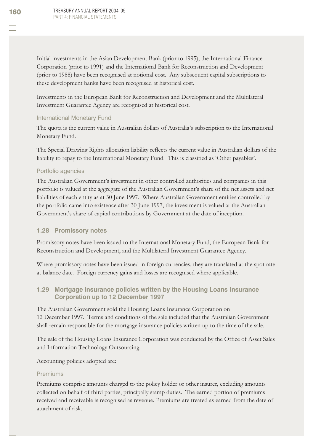Initial investments in the Asian Development Bank (prior to 1995), the International Finance Corporation (prior to 1991) and the International Bank for Reconstruction and Development (prior to 1988) have been recognised at notional cost. Any subsequent capital subscriptions to these development banks have been recognised at historical cost.

Investments in the European Bank for Reconstruction and Development and the Multilateral Investment Guarantee Agency are recognised at historical cost.

#### International Monetary Fund

The quota is the current value in Australian dollars of Australia's subscription to the International Monetary Fund.

The Special Drawing Rights allocation liability reflects the current value in Australian dollars of the liability to repay to the International Monetary Fund. This is classified as 'Other payables'.

#### Portfolio agencies

The Australian Government's investment in other controlled authorities and companies in this portfolio is valued at the aggregate of the Australian Government's share of the net assets and net liabilities of each entity as at 30 June 1997. Where Australian Government entities controlled by the portfolio came into existence after 30 June 1997, the investment is valued at the Australian Government's share of capital contributions by Government at the date of inception.

#### **1.28 Promissory notes**

Promissory notes have been issued to the International Monetary Fund, the European Bank for Reconstruction and Development, and the Multilateral Investment Guarantee Agency.

Where promissory notes have been issued in foreign currencies, they are translated at the spot rate at balance date. Foreign currency gains and losses are recognised where applicable.

### **1.29 Mortgage insurance policies written by the Housing Loans Insurance Corporation up to 12 December 1997**

The Australian Government sold the Housing Loans Insurance Corporation on 12 December 1997. Terms and conditions of the sale included that the Australian Government shall remain responsible for the mortgage insurance policies written up to the time of the sale.

The sale of the Housing Loans Insurance Corporation was conducted by the Office of Asset Sales and Information Technology Outsourcing.

Accounting policies adopted are:

#### Premiums

Premiums comprise amounts charged to the policy holder or other insurer, excluding amounts collected on behalf of third parties, principally stamp duties. The earned portion of premiums received and receivable is recognised as revenue. Premiums are treated as earned from the date of attachment of risk.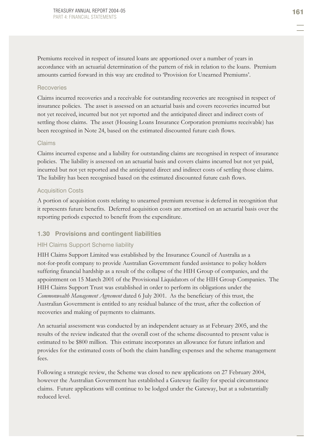Premiums received in respect of insured loans are apportioned over a number of years in accordance with an actuarial determination of the pattern of risk in relation to the loans. Premium amounts carried forward in this way are credited to 'Provision for Unearned Premiums'.

#### Recoveries

Claims incurred recoveries and a receivable for outstanding recoveries are recognised in respect of insurance policies. The asset is assessed on an actuarial basis and covers recoveries incurred but not yet received, incurred but not yet reported and the anticipated direct and indirect costs of settling those claims. The asset (Housing Loans Insurance Corporation premiums receivable) has been recognised in Note 24, based on the estimated discounted future cash flows.

#### Claims

Claims incurred expense and a liability for outstanding claims are recognised in respect of insurance policies. The liability is assessed on an actuarial basis and covers claims incurred but not yet paid, incurred but not yet reported and the anticipated direct and indirect costs of settling those claims. The liability has been recognised based on the estimated discounted future cash flows.

#### Acquisition Costs

A portion of acquisition costs relating to unearned premium revenue is deferred in recognition that it represents future benefits. Deferred acquisition costs are amortised on an actuarial basis over the reporting periods expected to benefit from the expenditure.

#### **1.30 Provisions and contingent liabilities**

#### HIH Claims Support Scheme liability

HIH Claims Support Limited was established by the Insurance Council of Australia as a not-for-profit company to provide Australian Government funded assistance to policy holders suffering financial hardship as a result of the collapse of the HIH Group of companies, and the appointment on 15 March 2001 of the Provisional Liquidators of the HIH Group Companies. The HIH Claims Support Trust was established in order to perform its obligations under the *Commonwealth Management Agreement* dated 6 July 2001. As the beneficiary of this trust, the Australian Government is entitled to any residual balance of the trust, after the collection of recoveries and making of payments to claimants.

An actuarial assessment was conducted by an independent actuary as at February 2005, and the results of the review indicated that the overall cost of the scheme discounted to present value is estimated to be \$800 million. This estimate incorporates an allowance for future inflation and provides for the estimated costs of both the claim handling expenses and the scheme management fees.

Following a strategic review, the Scheme was closed to new applications on 27 February 2004, however the Australian Government has established a Gateway facility for special circumstance claims. Future applications will continue to be lodged under the Gateway, but at a substantially reduced level.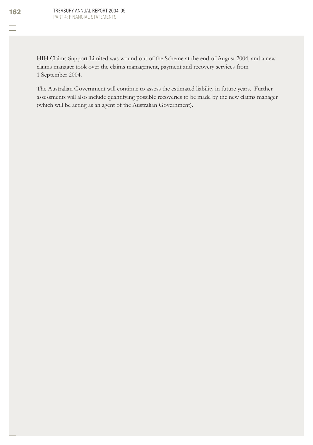HIH Claims Support Limited was wound-out of the Scheme at the end of August 2004, and a new claims manager took over the claims management, payment and recovery services from 1 September 2004.

The Australian Government will continue to assess the estimated liability in future years. Further assessments will also include quantifying possible recoveries to be made by the new claims manager (which will be acting as an agent of the Australian Government).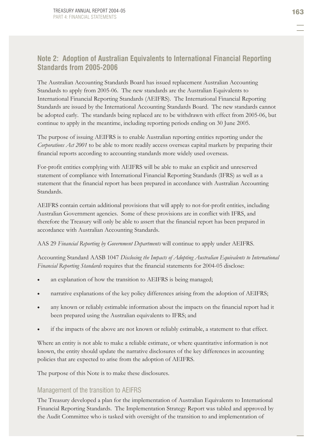# **Note 2: Adoption of Australian Equivalents to International Financial Reporting Standards from 2005-2006**

The Australian Accounting Standards Board has issued replacement Australian Accounting Standards to apply from 2005-06. The new standards are the Australian Equivalents to International Financial Reporting Standards (AEIFRS). The International Financial Reporting Standards are issued by the International Accounting Standards Board. The new standards cannot be adopted early. The standards being replaced are to be withdrawn with effect from 2005-06, but continue to apply in the meantime, including reporting periods ending on 30 June 2005.

The purpose of issuing AEIFRS is to enable Australian reporting entities reporting under the *Corporations Act 2001* to be able to more readily access overseas capital markets by preparing their financial reports according to accounting standards more widely used overseas.

For-profit entities complying with AEIFRS will be able to make an explicit and unreserved statement of compliance with International Financial Reporting Standards (IFRS) as well as a statement that the financial report has been prepared in accordance with Australian Accounting Standards.

AEIFRS contain certain additional provisions that will apply to not-for-profit entities, including Australian Government agencies. Some of these provisions are in conflict with IFRS, and therefore the Treasury will only be able to assert that the financial report has been prepared in accordance with Australian Accounting Standards.

AAS 29 *Financial Reporting by Government Departments* will continue to apply under AEIFRS.

Accounting Standard AASB 1047 *Disclosing the Impacts of Adopting Australian Equivalents to International Financial Reporting Standards* requires that the financial statements for 2004-05 disclose:

- an explanation of how the transition to AEIFRS is being managed;
- narrative explanations of the key policy differences arising from the adoption of AEIFRS;
- any known or reliably estimable information about the impacts on the financial report had it been prepared using the Australian equivalents to IFRS; and
- if the impacts of the above are not known or reliably estimable, a statement to that effect.

Where an entity is not able to make a reliable estimate, or where quantitative information is not known, the entity should update the narrative disclosures of the key differences in accounting policies that are expected to arise from the adoption of AEIFRS.

The purpose of this Note is to make these disclosures.

# Management of the transition to AEIFRS

The Treasury developed a plan for the implementation of Australian Equivalents to International Financial Reporting Standards. The Implementation Strategy Report was tabled and approved by the Audit Committee who is tasked with oversight of the transition to and implementation of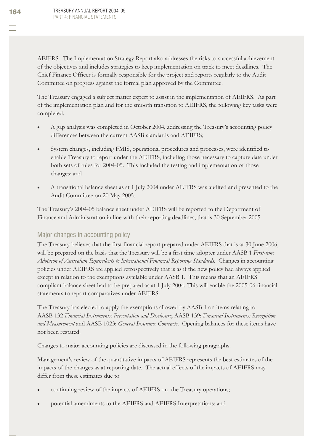AEIFRS. The Implementation Strategy Report also addresses the risks to successful achievement of the objectives and includes strategies to keep implementation on track to meet deadlines. The Chief Finance Officer is formally responsible for the project and reports regularly to the Audit Committee on progress against the formal plan approved by the Committee.

The Treasury engaged a subject matter expert to assist in the implementation of AEIFRS. As part of the implementation plan and for the smooth transition to AEIFRS, the following key tasks were completed.

- x A gap analysis was completed in October 2004, addressing the Treasury's accounting policy differences between the current AASB standards and AEIFRS;
- x System changes, including FMIS, operational procedures and processes, were identified to enable Treasury to report under the AEIFRS, including those necessary to capture data under both sets of rules for 2004-05. This included the testing and implementation of those changes; and
- x A transitional balance sheet as at 1 July 2004 under AEIFRS was audited and presented to the Audit Committee on 20 May 2005.

The Treasury's 2004-05 balance sheet under AEIFRS will be reported to the Department of Finance and Administration in line with their reporting deadlines, that is 30 September 2005.

### Major changes in accounting policy

The Treasury believes that the first financial report prepared under AEIFRS that is at 30 June 2006, will be prepared on the basis that the Treasury will be a first time adopter under AASB 1 *First-time Adoption of Australian Equivalents to International Financial Reporting Standards*. Changes in accounting policies under AEIFRS are applied retrospectively that is as if the new policy had always applied except in relation to the exemptions available under AASB 1. This means that an AEIFRS compliant balance sheet had to be prepared as at 1 July 2004. This will enable the 2005-06 financial statements to report comparatives under AEIFRS.

The Treasury has elected to apply the exemptions allowed by AASB 1 on items relating to AASB 132 *Financial Instruments: Presentation and Disclosure*, AASB 139: *Financial Instruments: Recognition and Measurement* and AASB 1023: *General Insurance Contracts*. Opening balances for these items have not been restated.

Changes to major accounting policies are discussed in the following paragraphs.

Management's review of the quantitative impacts of AEIFRS represents the best estimates of the impacts of the changes as at reporting date. The actual effects of the impacts of AEIFRS may differ from these estimates due to:

- continuing review of the impacts of AEIFRS on the Treasury operations;
- potential amendments to the AEIFRS and AEIFRS Interpretations; and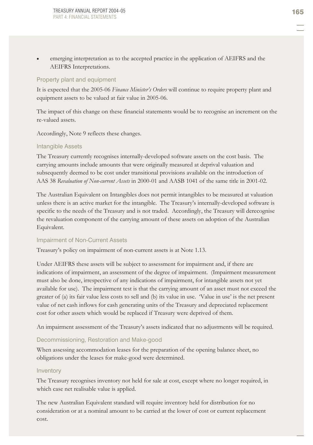emerging interpretation as to the accepted practice in the application of AEIFRS and the AEIFRS Interpretations.

### Property plant and equipment

It is expected that the 2005-06 *Finance Minister's Orders* will continue to require property plant and equipment assets to be valued at fair value in 2005-06.

The impact of this change on these financial statements would be to recognise an increment on the re-valued assets.

Accordingly, Note 9 reflects these changes.

### Intangible Assets

The Treasury currently recognises internally-developed software assets on the cost basis. The carrying amounts include amounts that were originally measured at deprival valuation and subsequently deemed to be cost under transitional provisions available on the introduction of AAS 38 *Revaluation of Non-current Assets* in 2000-01 and AASB 1041 of the same title in 2001-02.

The Australian Equivalent on Intangibles does not permit intangibles to be measured at valuation unless there is an active market for the intangible. The Treasury's internally-developed software is specific to the needs of the Treasury and is not traded. Accordingly, the Treasury will derecognise the revaluation component of the carrying amount of these assets on adoption of the Australian Equivalent.

### Impairment of Non-Current Assets

Treasury's policy on impairment of non-current assets is at Note 1.13.

Under AEIFRS these assets will be subject to assessment for impairment and, if there are indications of impairment, an assessment of the degree of impairment. (Impairment measurement must also be done, irrespective of any indications of impairment, for intangible assets not yet available for use). The impairment test is that the carrying amount of an asset must not exceed the greater of (a) its fair value less costs to sell and (b) its value in use. 'Value in use' is the net present value of net cash inflows for cash generating units of the Treasury and depreciated replacement cost for other assets which would be replaced if Treasury were deprived of them.

An impairment assessment of the Treasury's assets indicated that no adjustments will be required.

### Decommissioning, Restoration and Make-good

When assessing accommodation leases for the preparation of the opening balance sheet, no obligations under the leases for make-good were determined.

#### Inventory

The Treasury recognises inventory not held for sale at cost, except where no longer required, in which case net realisable value is applied.

The new Australian Equivalent standard will require inventory held for distribution for no consideration or at a nominal amount to be carried at the lower of cost or current replacement cost.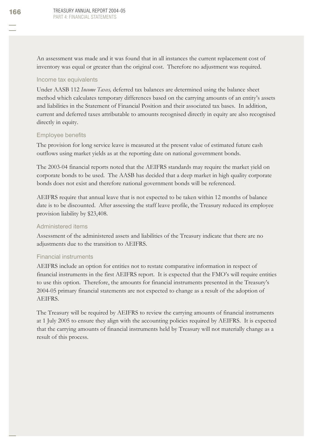An assessment was made and it was found that in all instances the current replacement cost of inventory was equal or greater than the original cost. Therefore no adjustment was required.

#### Income tax equivalents

Under AASB 112 *Income Taxes,* deferred tax balances are determined using the balance sheet method which calculates temporary differences based on the carrying amounts of an entity's assets and liabilities in the Statement of Financial Position and their associated tax bases. In addition, current and deferred taxes attributable to amounts recognised directly in equity are also recognised directly in equity.

### Employee benefits

The provision for long service leave is measured at the present value of estimated future cash outflows using market yields as at the reporting date on national government bonds.

The 2003-04 financial reports noted that the AEIFRS standards may require the market yield on corporate bonds to be used. The AASB has decided that a deep market in high quality corporate bonds does not exist and therefore national government bonds will be referenced.

AEIFRS require that annual leave that is not expected to be taken within 12 months of balance date is to be discounted. After assessing the staff leave profile, the Treasury reduced its employee provision liability by \$23,408.

### Administered items

Assessment of the administered assets and liabilities of the Treasury indicate that there are no adjustments due to the transition to AEIFRS.

### Financial instruments

AEIFRS include an option for entities not to restate comparative information in respect of financial instruments in the first AEIFRS report. It is expected that the FMO's will require entities to use this option. Therefore, the amounts for financial instruments presented in the Treasury's 2004-05 primary financial statements are not expected to change as a result of the adoption of AEIFRS.

The Treasury will be required by AEIFRS to review the carrying amounts of financial instruments at 1 July 2005 to ensure they align with the accounting policies required by AEIFRS. It is expected that the carrying amounts of financial instruments held by Treasury will not materially change as a result of this process.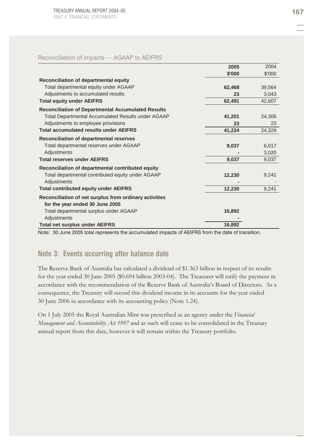#### Reconciliation of impacts — AGAAP to AEIFRS

|                                                           | 2005   | 2004   |
|-----------------------------------------------------------|--------|--------|
|                                                           | \$'000 | \$'000 |
| Reconciliation of departmental equity                     |        |        |
| Total departmental equity under AGAAP                     | 62,468 | 39,564 |
| Adjustments to accumulated results                        | 23     | 3,043  |
| <b>Total equity under AEIFRS</b>                          | 62,491 | 42,607 |
| <b>Reconciliation of Departmental Accumulated Results</b> |        |        |
| <b>Total Departmental Accumulated Results under AGAAP</b> | 41,201 | 24,306 |
| Adjustments to employee provisions                        | 23     | 23     |
| <b>Total accumulated results under AEIFRS</b>             | 41,224 | 24,329 |
| Reconciliation of departmental reserves                   |        |        |
| Total departmental reserves under AGAAP                   | 9,037  | 6,017  |
| Adjustments                                               |        | 3,020  |
| <b>Total reserves under AEIFRS</b>                        | 9,037  | 9,037  |
| Reconciliation of departmental contributed equity         |        |        |
| Total departmental contributed equity under AGAAP         | 12,230 | 9,241  |
| Adjustments                                               |        |        |
| <b>Total contributed equity under AEIFRS</b>              | 12,230 | 9,241  |
| Reconciliation of net surplus from ordinary activities    |        |        |
| for the year ended 30 June 2005                           |        |        |
| Total departmental surplus under AGAAP                    | 16,892 |        |
| Adjustments                                               |        |        |
| <b>Total net surplus under AEIFRS</b>                     | 16,892 |        |

Note: 30 June 2005 total represents the accumulated impacts of AEIFRS from the date of transition.

## **Note 3: Events occurring after balance date**

The Reserve Bank of Australia has calculated a dividend of \$1.363 billion in respect of its results for the year ended 30 June 2005 (\$0.694 billion 2003-04). The Treasurer will ratify the payment in accordance with the recommendation of the Reserve Bank of Australia's Board of Directors. As a consequence, the Treasury will record this dividend income in its accounts for the year ended 30 June 2006 in accordance with its accounting policy (Note 1.24).

On 1 July 2005 the Royal Australian Mint was prescribed as an agency under the *Financial Management and Accountability Act 1997* and as such will cease to be consolidated in the Treasury annual report from this date, however it will remain within the Treasury portfolio.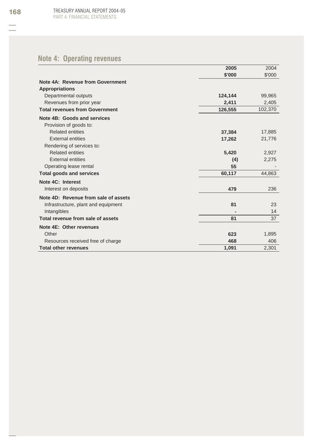# **Note 4: Operating revenues**

|                                       | 2005    | 2004    |
|---------------------------------------|---------|---------|
|                                       | \$'000  | \$'000  |
| Note 4A: Revenue from Government      |         |         |
| <b>Appropriations</b>                 |         |         |
| Departmental outputs                  | 124,144 | 99,965  |
| Revenues from prior year              | 2,411   | 2,405   |
| <b>Total revenues from Government</b> | 126,555 | 102,370 |
| Note 4B: Goods and services           |         |         |
| Provision of goods to:                |         |         |
| <b>Related entities</b>               | 37,384  | 17,885  |
| <b>External entities</b>              | 17,262  | 21,776  |
| Rendering of services to:             |         |         |
| <b>Related entities</b>               | 5,420   | 2,927   |
| <b>External entities</b>              | (4)     | 2,275   |
| Operating lease rental                | 55      |         |
| <b>Total goods and services</b>       | 60,117  | 44,863  |
| Note 4C: Interest                     |         |         |
| Interest on deposits                  | 479     | 236     |
| Note 4D: Revenue from sale of assets  |         |         |
| Infrastructure, plant and equipment   | 81      | 23      |
| Intangibles                           |         | 14      |
| Total revenue from sale of assets     | 81      | 37      |
| Note 4E: Other revenues               |         |         |
| Other                                 | 623     | 1,895   |
| Resources received free of charge     | 468     | 406     |
| <b>Total other revenues</b>           | 1,091   | 2,301   |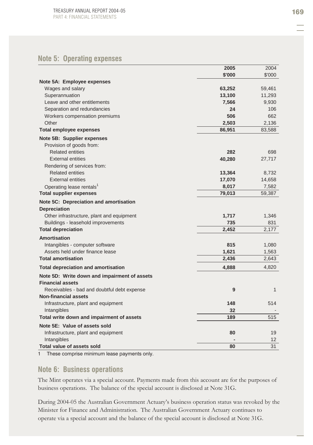### **Note 5: Operating expenses**

|                                              | 2005   | 2004         |
|----------------------------------------------|--------|--------------|
|                                              | \$'000 | \$'000       |
| Note 5A: Employee expenses                   |        |              |
| Wages and salary                             | 63,252 | 59,461       |
| Superannuation                               | 13,100 | 11,293       |
| Leave and other entitlements                 | 7,566  | 9,930        |
| Separation and redundancies                  | 24     | 106          |
| Workers compensation premiums                | 506    | 662          |
| Other                                        | 2,503  | 2,136        |
| <b>Total employee expenses</b>               | 86,951 | 83,588       |
| Note 5B: Supplier expenses                   |        |              |
| Provision of goods from:                     |        |              |
| <b>Related entities</b>                      | 282    | 698          |
| <b>External entities</b>                     | 40,280 | 27,717       |
| Rendering of services from:                  |        |              |
| <b>Related entities</b>                      | 13,364 | 8,732        |
| <b>External entities</b>                     | 17,070 | 14,658       |
| Operating lease rentals <sup>1</sup>         | 8,017  | 7,582        |
| <b>Total supplier expenses</b>               | 79,013 | 59,387       |
| Note 5C: Depreciation and amortisation       |        |              |
| <b>Depreciation</b>                          |        |              |
| Other infrastructure, plant and equipment    | 1,717  | 1,346        |
| Buildings - leasehold improvements           | 735    | 831          |
| <b>Total depreciation</b>                    | 2,452  | 2,177        |
| Amortisation                                 |        |              |
| Intangibles - computer software              | 815    | 1,080        |
| Assets held under finance lease              | 1,621  | 1,563        |
| <b>Total amortisation</b>                    | 2,436  | 2,643        |
| <b>Total depreciation and amortisation</b>   | 4,888  | 4,820        |
| Note 5D: Write down and impairment of assets |        |              |
| <b>Financial assets</b>                      |        |              |
| Receivables - bad and doubtful debt expense  | 9      | $\mathbf{1}$ |
| <b>Non-financial assets</b>                  |        |              |
| Infrastructure, plant and equipment          | 148    | 514          |
| Intangibles                                  | 32     |              |
| Total write down and impairment of assets    | 189    | 515          |
| Note 5E: Value of assets sold                |        |              |
| Infrastructure, plant and equipment          | 80     | 19           |
| Intangibles                                  |        | 12           |
| <b>Total value of assets sold</b>            | 80     | 31           |

1 These comprise minimum lease payments only.

### **Note 6: Business operations**

The Mint operates via a special account. Payments made from this account are for the purposes of business operations. The balance of the special account is disclosed at Note 31G.

During 2004-05 the Australian Government Actuary's business operation status was revoked by the Minister for Finance and Administration. The Australian Government Actuary continues to operate via a special account and the balance of the special account is disclosed at Note 31G.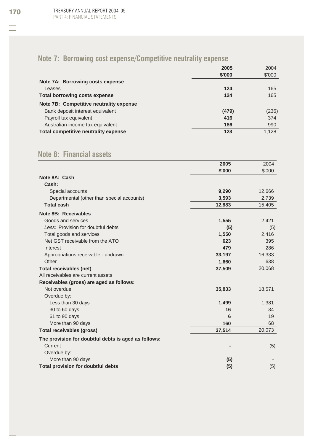# **Note 7: Borrowing cost expense/Competitive neutrality expense**

|                                         | 2005   | 2004   |
|-----------------------------------------|--------|--------|
|                                         | \$'000 | \$'000 |
| Note 7A: Borrowing costs expense        |        |        |
| Leases                                  | 124    | 165    |
| <b>Total borrowing costs expense</b>    | 124    | 165    |
| Note 7B: Competitive neutrality expense |        |        |
| Bank deposit interest equivalent        | (479)  | (236)  |
| Payroll tax equivalent                  | 416    | 374    |
| Australian income tax equivalent        | 186    | 990    |
| Total competitive neutrality expense    | 123    | 1.128  |

# **Note 8: Financial assets**

|                                                      | 2005   | 2004   |
|------------------------------------------------------|--------|--------|
|                                                      | \$'000 | \$'000 |
| Note 8A: Cash                                        |        |        |
| Cash:                                                |        |        |
| Special accounts                                     | 9,290  | 12,666 |
| Departmental (other than special accounts)           | 3,593  | 2,739  |
| <b>Total cash</b>                                    | 12,883 | 15,405 |
| Note 8B: Receivables                                 |        |        |
| Goods and services                                   | 1,555  | 2,421  |
| Less: Provision for doubtful debts                   | (5)    | (5)    |
| Total goods and services                             | 1,550  | 2,416  |
| Net GST receivable from the ATO                      | 623    | 395    |
| Interest                                             | 479    | 286    |
| Appropriations receivable - undrawn                  | 33,197 | 16,333 |
| Other                                                | 1,660  | 638    |
| Total receivables (net)                              | 37,509 | 20,068 |
| All receivables are current assets                   |        |        |
| Receivables (gross) are aged as follows:             |        |        |
| Not overdue                                          | 35,833 | 18,571 |
| Overdue by:                                          |        |        |
| Less than 30 days                                    | 1,499  | 1,381  |
| 30 to 60 days                                        | 16     | 34     |
| 61 to 90 days                                        | 6      | 19     |
| More than 90 days                                    | 160    | 68     |
| Total receivables (gross)                            | 37,514 | 20,073 |
| The provision for doubtful debts is aged as follows: |        |        |
| Current                                              |        | (5)    |
| Overdue by:                                          |        |        |
| More than 90 days                                    | (5)    |        |
| Total provision for doubtful debts                   | (5)    | (5)    |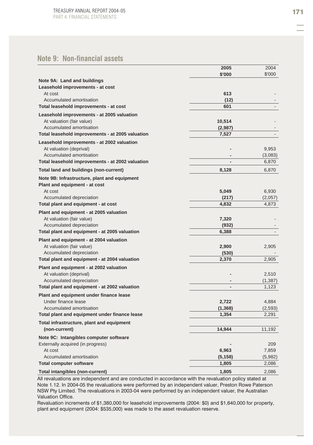# **Note 9: Non-financial assets**

|                                                  | 2005           | 2004     |
|--------------------------------------------------|----------------|----------|
|                                                  | \$'000         | \$'000   |
| Note 9A: Land and buildings                      |                |          |
| Leasehold improvements - at cost                 |                |          |
| At cost                                          | 613            |          |
| Accumulated amortisation                         | (12)           |          |
| Total leasehold improvements - at cost           | 601            |          |
| Leasehold improvements - at 2005 valuation       |                |          |
| At valuation (fair value)                        | 10,514         |          |
| Accumulated amortisation                         | (2,987)        |          |
| Total leasehold improvements - at 2005 valuation | 7,527          |          |
| Leasehold improvements - at 2002 valuation       |                |          |
| At valuation (deprival)                          |                | 9,953    |
| Accumulated amortisation                         |                | (3,083)  |
| Total leasehold improvements - at 2002 valuation |                | 6,870    |
| Total land and buildings (non-current)           | 8,128          | 6,870    |
| Note 9B: Infrastructure, plant and equipment     |                |          |
| Plant and equipment - at cost                    |                |          |
| At cost                                          | 5,049          | 6,930    |
| Accumulated depreciation                         | (217)          | (2,057)  |
| Total plant and equipment - at cost              | 4,832          | 4,873    |
| Plant and equipment - at 2005 valuation          |                |          |
| At valuation (fair value)                        | 7,320          |          |
| Accumulated depreciation                         | (932)          |          |
| Total plant and equipment - at 2005 valuation    | 6,388          |          |
| Plant and equipment - at 2004 valuation          |                |          |
| At valuation (fair value)                        | 2,900          | 2,905    |
| Accumulated depreciation                         | (530)          |          |
| Total plant and equipment - at 2004 valuation    | 2,370          | 2,905    |
| Plant and equipment - at 2002 valuation          |                |          |
| At valuation (deprival)                          |                | 2,510    |
| Accumulated depreciation                         |                | (1, 387) |
| Total plant and equipment - at 2002 valuation    | $\overline{a}$ | 1,123    |
| Plant and equipment under finance lease          |                |          |
| Under finance lease                              | 2,722          | 4,884    |
| Accumulated amortisation                         | (1, 368)       | (2,593)  |
| Total plant and equipment under finance lease    | 1,354          | 2,291    |
| Total infrastructure, plant and equipment        |                |          |
| (non-current)                                    | 14,944         | 11,192   |
| Note 9C: Intangibles computer software           |                |          |
| Externally acquired (in progress)                |                | 209      |
| At cost                                          | 6,963          | 7,859    |
| Accumulated amortisation                         | (5, 158)       | (5,982)  |
| <b>Total computer software</b>                   | 1,805          | 2,086    |
| Total intangibles (non-current)                  | 1.805          | 2,086    |

All revaluations are independent and are conducted in accordance with the revaluation policy stated at Note 1.12. In 2004-05 the revaluations were performed by an independent valuer, Preston Rowe Paterson NSW Pty Limited. The revaluations in 2003-04 were performed by an independent valuer, the Australian Valuation Office.

Revaluation increments of \$1,380,000 for leasehold improvements (2004: \$0) and \$1,640,000 for property, plant and equipment (2004: \$535,000) was made to the asset revaluation reserve.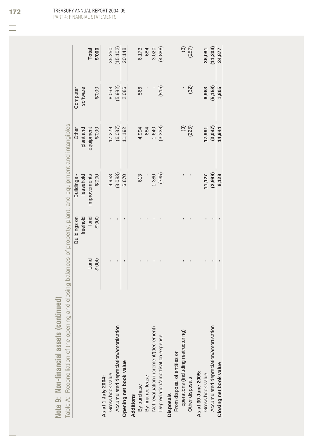| ÷                                       | of the onening and olocing belonger |
|-----------------------------------------|-------------------------------------|
| $=$<br>÷<br>Š<br><b>CO</b><br>۰         |                                     |
| asset                                   |                                     |
| ÷<br>financi<br>$\frac{1}{1}$<br>⋍<br>⋍ | $\frac{1}{2}$<br>iniinati<br>ö      |
| ×<br>×<br>5<br>¢<br>فسباه<br>ź          | Toblo A                             |

| ć<br>נ<br>נ                             |
|-----------------------------------------|
| į<br>$\overline{a}$<br>Ì<br>j<br>ļ      |
| I<br>ļ                                  |
|                                         |
| i<br>ļ<br>I                             |
| į<br>¢<br>l                             |
| $\overline{\S}$<br>ļ                    |
| ì<br>١                                  |
| I<br>١                                  |
| i<br>ļ<br>Ó                             |
| į<br>$\overline{\phantom{a}}$<br>j      |
| ļ<br>2                                  |
| š<br>i<br>$\overline{\phantom{a}}$<br>j |
| Ì<br>$\overline{2}$<br>j<br>l           |
| j<br>S<br>$\frac{1}{3}$                 |
| $\overline{)}$<br>l<br>þ<br>l<br>ļ<br>١ |
| j<br>I<br>ļ<br>I<br>١                   |
| I                                       |
| Ś<br>١<br>Ì                             |
| ¢<br>l                                  |
| $\overline{\phantom{a}}$<br>١<br>î<br>١ |
| <b>PAP</b>                              |
| Ì<br>J<br>S                             |
| ļ<br>ļ                                  |
| ¢<br>ç<br>I                             |
| Ó<br>١<br>S                             |
| ï                                       |
| I<br>۱<br>ļ                             |
| I<br>۱<br>j<br>I                        |
| $\ddot{\epsilon}$<br>ì                  |
| į<br>l<br>١                             |
| I<br>נ<br>ל<br>ă<br>I<br>Y              |
| ₫                                       |
| I<br>١<br>Ξ                             |
| $\frac{1}{a}$                           |
|                                         |

|                                       |        | Buildings on | Buildings-   | Other     | Computer |                         |
|---------------------------------------|--------|--------------|--------------|-----------|----------|-------------------------|
|                                       |        | freehold     | leasehold    | plant and | software |                         |
|                                       | Land   | land         | improvements | equipment |          | Total                   |
|                                       | \$'000 | \$'000       | \$'000       | \$'000    | \$'000   | 000.\$                  |
| As at 1 July 2004:                    |        |              |              |           |          |                         |
| Gross book value                      |        |              | 9,953        | 17,229    | 8,068    | 35,250                  |
| Accumulated depreciation/amortisation |        |              | (3,083)      | (6,037)   | (5, 982) | (15, 102)               |
| Opening net book value                |        |              | 6,870        | 11,192    | 2,086    | 20,148                  |
| Additions                             |        |              |              |           |          |                         |
| By purchase                           |        |              | 613          | 4,994     | 566      | 6,173                   |
| By finance lease                      |        |              |              | 684       |          | 684                     |
| Net revaluation increment/(decrement) |        |              | 1,380        | 1,640     |          | 3,020                   |
| Depreciation/amortisation expense     |        |              | (735)        | (3,338)   | (815)    | (4, 888)                |
| <b>Disposals</b>                      |        |              |              |           |          |                         |
| From disposal of entities or          |        |              |              |           |          |                         |
| operations (including restructuring)  |        |              |              | (3)       |          | $\widehat{\mathcal{C}}$ |
| Other disposals                       |        |              |              | (225)     | (32)     | (257)                   |
| As at 30 June 2005:                   |        |              |              |           |          |                         |
| Gross book value                      |        |              | 11,127       | 17,991    | 6,963    | 36,081                  |
| Accumulated depreciation/amortisation |        |              | (2,999)      | (3,047)   | (5, 158) | 11,204                  |
| Closing net book value                |        |              | 8,128        | 14,944    | 1,805    | 24,877                  |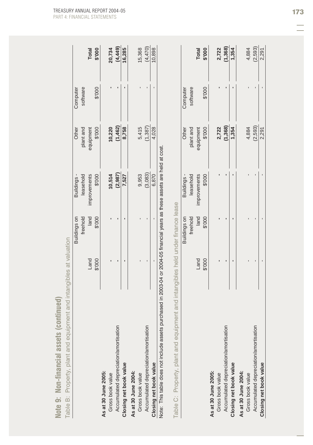| Note 9: Non-financial assets (continued                                                                                                                                                                       |        |              |                  |           |          |              |
|---------------------------------------------------------------------------------------------------------------------------------------------------------------------------------------------------------------|--------|--------------|------------------|-----------|----------|--------------|
| Property, plant and equipment and intangibles at valuation<br>Table B:                                                                                                                                        |        |              |                  |           |          |              |
|                                                                                                                                                                                                               |        | Buildings on | <b>Buildings</b> | Other     | Computer |              |
|                                                                                                                                                                                                               |        | freehold     | leasehold        | plant and | software |              |
|                                                                                                                                                                                                               | Land   | land         | improvements     | equipment |          | <b>Total</b> |
|                                                                                                                                                                                                               | \$'000 | \$'000       | \$'000           | 000.\$    | \$'000   | 000.\$       |
| As at 30 June 2005:                                                                                                                                                                                           |        |              |                  |           |          |              |
| Gross book value                                                                                                                                                                                              |        |              | 10,514           | 10,220    |          | 20,734       |
| Accumulated depreciation/amortisation                                                                                                                                                                         |        |              | (2, 987)         | (1,462)   |          | (4,449)      |
| Closing net book value                                                                                                                                                                                        |        | ٠            | 7,527            | 8,758     |          | 16,285       |
| As at 30 June 2004:                                                                                                                                                                                           |        |              |                  |           |          |              |
| Gross book value                                                                                                                                                                                              |        |              | 9,953            | 5,415     |          | 15,368       |
| Accumulated depreciation/amortisation                                                                                                                                                                         |        |              | (3,083)          | (1,387)   |          | (4,470)      |
| Closing net book value                                                                                                                                                                                        |        |              | 6,870            | 4,028     |          | 10,898       |
| Note: This table does not include assets purchased in 2003-04 or 2004-05 financial years as these assets are held at cost.<br>Table C: Property, plant and equipment and intangibles held under finance lease |        |              |                  |           |          |              |
|                                                                                                                                                                                                               |        | Buildings on | <b>Buildings</b> | Other     | Computer |              |
|                                                                                                                                                                                                               |        | freehold     | leasehold        | plant and | software |              |
|                                                                                                                                                                                                               | Land   | land         | improvements     | equipment |          | <b>Total</b> |
|                                                                                                                                                                                                               | \$'000 | \$'000       | \$'000           | \$'000    | \$'000   | \$'000       |
| As at 30 June 2005:                                                                                                                                                                                           |        |              |                  |           |          |              |
| Gross book value                                                                                                                                                                                              |        |              |                  | 2,722     |          | 2,722        |
| Accumulated depreciation/amortisation                                                                                                                                                                         |        |              |                  | (1,368)   |          | (1,368)      |
| Closing net book value                                                                                                                                                                                        |        | ı            |                  | 1,354     |          | 1,354        |
| As at 30 June 2004:                                                                                                                                                                                           |        |              |                  |           |          |              |
| Gross book value                                                                                                                                                                                              |        |              |                  | 4,884     |          | 4,884        |
| Accumulated depreciation/amortisation                                                                                                                                                                         |        |              |                  | (2,593)   |          | (2, 593)     |
| Closing net book value                                                                                                                                                                                        |        |              |                  | 2,291     |          | 2,291        |

Note 9: Non-financial assets (continued)

TREASURY ANNUAL REPORT 2004-05 173 PART 4: FINANCIAL STATEMENTS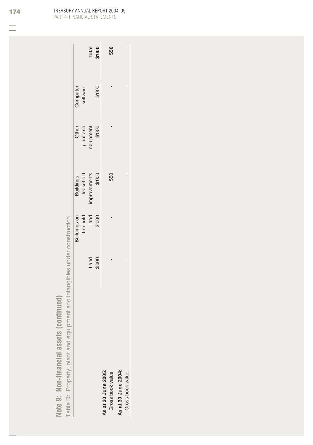|                                  | Ī<br>$\frac{1}{2}$<br>ים היי ווי האלי הי |
|----------------------------------|------------------------------------------|
| ý                                | nonotal par distribution<br>)            |
| $\overline{ }$ of $\overline{ }$ | atu ning and and animal                  |
| don-fi<br>$\ddot{\phantom{1}}$   | <b>D<sub>"</sub></b><br>ļ                |
| i<br>F<br>$\overline{a}$         | ſ<br>able L                              |

|                     |               | Buildings on<br>freehold<br>land<br>spooo |                                                   |                                           | Computer<br>software |                 |
|---------------------|---------------|-------------------------------------------|---------------------------------------------------|-------------------------------------------|----------------------|-----------------|
|                     |               |                                           |                                                   |                                           |                      |                 |
|                     |               |                                           |                                                   |                                           |                      |                 |
|                     | 000.\$<br>Pue |                                           | Buildings -<br>leasehold<br>improvements<br>\$000 | Other<br>plant and<br>equipment<br>\$'000 | 000.\$               | Total<br>\$'000 |
| As at 30 June 2005: |               |                                           |                                                   |                                           |                      |                 |
| Gross book value    |               |                                           | 550                                               |                                           |                      | 550             |
| As at 30 June 2004: |               |                                           |                                                   |                                           |                      |                 |
| Gross book value    |               |                                           |                                                   |                                           |                      |                 |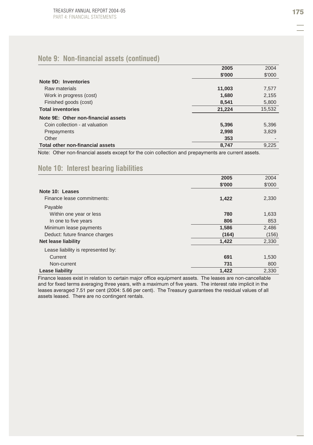## **Note 9: Non-financial assets (continued)**

|                                     | 2005   | 2004   |
|-------------------------------------|--------|--------|
|                                     | \$'000 | \$'000 |
| Note 9D: Inventories                |        |        |
| Raw materials                       | 11,003 | 7,577  |
| Work in progress (cost)             | 1,680  | 2,155  |
| Finished goods (cost)               | 8,541  | 5,800  |
| <b>Total inventories</b>            | 21,224 | 15,532 |
| Note 9E: Other non-financial assets |        |        |
| Coin collection - at valuation      | 5,396  | 5,396  |
| Prepayments                         | 2,998  | 3,829  |
| Other                               | 353    |        |
| Total other non-financial assets    | 8,747  | 9.225  |

Note: Other non-financial assets except for the coin collection and prepayments are current assets.

### **Note 10: Interest bearing liabilities**

|                                    | 2005   | 2004   |
|------------------------------------|--------|--------|
|                                    | \$'000 | \$'000 |
| Note 10: Leases                    |        |        |
| Finance lease commitments:         | 1,422  | 2,330  |
| Payable                            |        |        |
| Within one year or less            | 780    | 1,633  |
| In one to five years               | 806    | 853    |
| Minimum lease payments             | 1,586  | 2,486  |
| Deduct: future finance charges     | (164)  | (156)  |
| <b>Net lease liability</b>         | 1,422  | 2,330  |
| Lease liability is represented by: |        |        |
| Current                            | 691    | 1,530  |
| Non-current                        | 731    | 800    |
| Lease liability                    | 1,422  | 2,330  |

Finance leases exist in relation to certain major office equipment assets. The leases are non-cancellable and for fixed terms averaging three years, with a maximum of five years. The interest rate implicit in the leases averaged 7.51 per cent (2004: 5.66 per cent). The Treasury guarantees the residual values of all assets leased. There are no contingent rentals.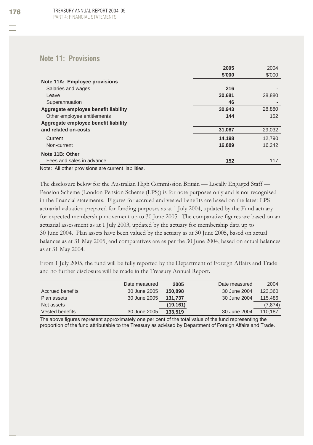### **Note 11: Provisions**

|                                      | 2005   | 2004   |
|--------------------------------------|--------|--------|
|                                      | \$'000 | \$'000 |
| Note 11A: Employee provisions        |        |        |
| Salaries and wages                   | 216    |        |
| Leave                                | 30,681 | 28,880 |
| Superannuation                       | 46     |        |
| Aggregate employee benefit liability | 30,943 | 28,880 |
| Other employee entitlements          | 144    | 152    |
| Aggregate employee benefit liability |        |        |
| and related on-costs                 | 31,087 | 29,032 |
| Current                              | 14,198 | 12,790 |
| Non-current                          | 16,889 | 16,242 |
| Note 11B: Other                      |        |        |
| Fees and sales in advance            | 152    | 117    |

Note: All other provisions are current liabilities.

The disclosure below for the Australian High Commission Britain — Locally Engaged Staff — Pension Scheme (London Pension Scheme (LPS)) is for note purposes only and is not recognised in the financial statements. Figures for accrued and vested benefits are based on the latest LPS actuarial valuation prepared for funding purposes as at 1 July 2004, updated by the Fund actuary for expected membership movement up to 30 June 2005. The comparative figures are based on an actuarial assessment as at 1 July 2003, updated by the actuary for membership data up to 30 June 2004. Plan assets have been valued by the actuary as at 30 June 2005, based on actual balances as at 31 May 2005, and comparatives are as per the 30 June 2004, based on actual balances as at 31 May 2004.

From 1 July 2005, the fund will be fully reported by the Department of Foreign Affairs and Trade and no further disclosure will be made in the Treasury Annual Report.

|                  | Date measured | 2005      | Date measured | 2004     |
|------------------|---------------|-----------|---------------|----------|
| Accrued benefits | 30 June 2005  | 150,898   | 30 June 2004  | 123.360  |
| Plan assets      | 30 June 2005  | 131.737   | 30 June 2004  | 115,486  |
| Net assets       |               | (19, 161) |               | (7, 874) |
| Vested benefits  | 30 June 2005  | 133.519   | 30 June 2004  | 110.187  |

The above figures represent approximately one per cent of the total value of the fund representing the proportion of the fund attributable to the Treasury as advised by Department of Foreign Affairs and Trade.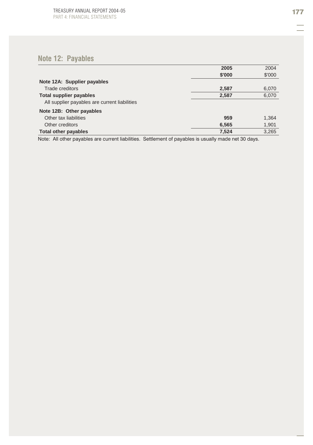# **Note 12: Payables**

|                                               | 2005   | 2004   |
|-----------------------------------------------|--------|--------|
|                                               | \$'000 | \$'000 |
| Note 12A: Supplier payables                   |        |        |
| Trade creditors                               | 2,587  | 6,070  |
| <b>Total supplier payables</b>                | 2,587  | 6,070  |
| All supplier payables are current liabilities |        |        |
| Note 12B: Other payables                      |        |        |
| Other tax liabilities                         | 959    | 1,364  |
| Other creditors                               | 6.565  | 1,901  |
| <b>Total other payables</b>                   | 7.524  | 3.265  |

Note: All other payables are current liabilities. Settlement of payables is usually made net 30 days.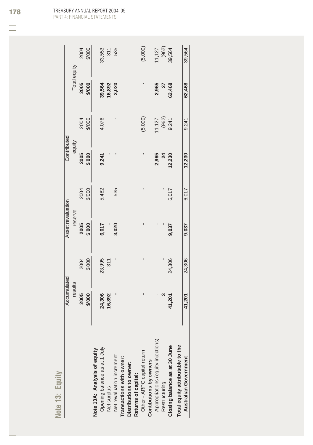| 3 |  |
|---|--|
|   |  |
|   |  |
|   |  |
|   |  |
| c |  |
|   |  |
|   |  |
|   |  |
|   |  |
|   |  |

| (5,000)<br>2004<br>\$'000<br>311<br>535<br>Total equity<br>2005<br>2,965<br>62,468<br>62,468<br>\$'000<br>39,564<br>16,892<br>27<br>3,020<br>(962)<br>(5,000)<br>4,076<br>\$'000<br>11,127<br>2004<br>9,241<br>9,241<br>equity<br>2005<br>\$'000<br>2,965<br>12,230<br>$\overline{24}$<br>12,230<br>9,241<br>5,482<br>535<br>2004<br>\$'000<br>6,017<br>6,017<br>reserve<br>2005<br>\$'000<br>6,017<br>3,020<br>9,037<br>9,037<br>24,306<br>24,306<br>\$'000<br>23,995<br>2004<br>311<br>results<br>2005<br>24,306<br>\$'000<br>16,892<br>41,201<br>41,201<br>Appropriations (equity injections)<br>Total equity attributable to the<br>Closing balance as at 30 June<br>Opening balance as at 1 July<br>Note 13A: Analysis of equity<br>Other - ARPC capital return<br>Net revaluation increment<br><b>Australian Government</b><br>Distributions to owner:<br>Returns of capital:<br>Restructuring<br>Net surplus |                          | Accumulated | Asset revaluation | Contributed |  |        |
|---------------------------------------------------------------------------------------------------------------------------------------------------------------------------------------------------------------------------------------------------------------------------------------------------------------------------------------------------------------------------------------------------------------------------------------------------------------------------------------------------------------------------------------------------------------------------------------------------------------------------------------------------------------------------------------------------------------------------------------------------------------------------------------------------------------------------------------------------------------------------------------------------------------------|--------------------------|-------------|-------------------|-------------|--|--------|
|                                                                                                                                                                                                                                                                                                                                                                                                                                                                                                                                                                                                                                                                                                                                                                                                                                                                                                                     |                          |             |                   |             |  |        |
|                                                                                                                                                                                                                                                                                                                                                                                                                                                                                                                                                                                                                                                                                                                                                                                                                                                                                                                     |                          |             |                   |             |  |        |
|                                                                                                                                                                                                                                                                                                                                                                                                                                                                                                                                                                                                                                                                                                                                                                                                                                                                                                                     |                          |             |                   |             |  |        |
|                                                                                                                                                                                                                                                                                                                                                                                                                                                                                                                                                                                                                                                                                                                                                                                                                                                                                                                     |                          |             |                   |             |  |        |
|                                                                                                                                                                                                                                                                                                                                                                                                                                                                                                                                                                                                                                                                                                                                                                                                                                                                                                                     |                          |             |                   |             |  | 33,553 |
|                                                                                                                                                                                                                                                                                                                                                                                                                                                                                                                                                                                                                                                                                                                                                                                                                                                                                                                     |                          |             |                   |             |  |        |
|                                                                                                                                                                                                                                                                                                                                                                                                                                                                                                                                                                                                                                                                                                                                                                                                                                                                                                                     |                          |             |                   |             |  |        |
|                                                                                                                                                                                                                                                                                                                                                                                                                                                                                                                                                                                                                                                                                                                                                                                                                                                                                                                     | Transactions with owner: |             |                   |             |  |        |
|                                                                                                                                                                                                                                                                                                                                                                                                                                                                                                                                                                                                                                                                                                                                                                                                                                                                                                                     |                          |             |                   |             |  |        |
|                                                                                                                                                                                                                                                                                                                                                                                                                                                                                                                                                                                                                                                                                                                                                                                                                                                                                                                     |                          |             |                   |             |  |        |
|                                                                                                                                                                                                                                                                                                                                                                                                                                                                                                                                                                                                                                                                                                                                                                                                                                                                                                                     | Contibutions by owners   |             |                   |             |  |        |
|                                                                                                                                                                                                                                                                                                                                                                                                                                                                                                                                                                                                                                                                                                                                                                                                                                                                                                                     |                          |             |                   |             |  | 11,127 |
|                                                                                                                                                                                                                                                                                                                                                                                                                                                                                                                                                                                                                                                                                                                                                                                                                                                                                                                     |                          |             |                   |             |  | (962)  |
|                                                                                                                                                                                                                                                                                                                                                                                                                                                                                                                                                                                                                                                                                                                                                                                                                                                                                                                     |                          |             |                   |             |  | 39,564 |
|                                                                                                                                                                                                                                                                                                                                                                                                                                                                                                                                                                                                                                                                                                                                                                                                                                                                                                                     |                          |             |                   |             |  |        |
|                                                                                                                                                                                                                                                                                                                                                                                                                                                                                                                                                                                                                                                                                                                                                                                                                                                                                                                     |                          |             |                   |             |  | 39,564 |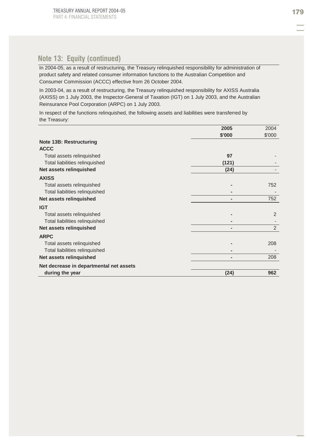## **Note 13: Equity (continued)**

Consumer Commission (ACCC) effective from 26 October 2004. In 2004-05, as a result of restructuring, the Treasury relinquished responsibility for administration of product safety and related consumer information functions to the Australian Competition and

In 2003-04, as a result of restructuring, the Treasury relinquished responsibility for AXISS Australia (AXISS) on 1 July 2003, the Inspector-General of Taxation (IGT) on 1 July 2003, and the Australian Reinsurance Pool Corporation (ARPC) on 1 July 2003.

In respect of the functions relinquished, the following assets and liabilities were transferred by the Treasury:

|                                         | 2005   | 2004   |
|-----------------------------------------|--------|--------|
|                                         | \$'000 | \$'000 |
| Note 13B: Restructuring                 |        |        |
| <b>ACCC</b>                             |        |        |
| Total assets relinguished               | 97     |        |
| Total liabilities relinquished          | (121)  |        |
| Net assets relinquished                 | (24)   |        |
| <b>AXISS</b>                            |        |        |
| Total assets relinguished               |        | 752    |
| Total liabilities relinquished          |        |        |
| Net assets relinquished                 |        | 752    |
| <b>IGT</b>                              |        |        |
| Total assets relinguished               |        | 2      |
| Total liabilities relinquished          |        |        |
| Net assets relinquished                 |        | 2      |
| <b>ARPC</b>                             |        |        |
| Total assets relinguished               |        | 208    |
| Total liabilities relinquished          |        |        |
| Net assets relinquished                 |        | 208    |
| Net decrease in departmental net assets |        |        |
| during the year                         | (24)   | 962    |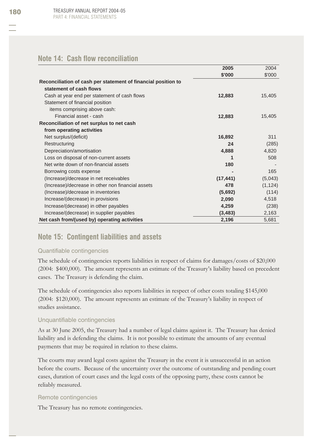### **Note 14: Cash flow reconciliation**

|                                                               | 2005      | 2004     |
|---------------------------------------------------------------|-----------|----------|
|                                                               | \$'000    | \$'000   |
| Reconciliation of cash per statement of financial position to |           |          |
| statement of cash flows                                       |           |          |
| Cash at year end per statement of cash flows                  | 12,883    | 15,405   |
| Statement of financial position                               |           |          |
| items comprising above cash:                                  |           |          |
| Financial asset - cash                                        | 12,883    | 15,405   |
| Reconciliation of net surplus to net cash                     |           |          |
| from operating activities                                     |           |          |
| Net surplus/(deficit)                                         | 16,892    | 311      |
| Restructuring                                                 | 24        | (285)    |
| Depreciation/amortisation                                     | 4,888     | 4,820    |
| Loss on disposal of non-current assets                        |           | 508      |
| Net write down of non-financial assets                        | 180       |          |
| Borrowing costs expense                                       |           | 165      |
| (Increase)/decrease in net receivables                        | (17, 441) | (5,043)  |
| (Increase)/decrease in other non financial assets             | 478       | (1, 124) |
| (Increase)/decrease in inventories                            | (5,692)   | (114)    |
| Increase/(decrease) in provisions                             | 2,090     | 4,518    |
| Increase/(decrease) in other payables                         | 4,259     | (238)    |
| Increase/(decrease) in supplier payables                      | (3, 483)  | 2,163    |
| Net cash from/(used by) operating activities                  | 2,196     | 5,681    |

## **Note 15: Contingent liabilities and assets**

### Quantifiable contingencies

The schedule of contingencies reports liabilities in respect of claims for damages/costs of \$20,000 (2004: \$400,000). The amount represents an estimate of the Treasury's liability based on precedent cases. The Treasury is defending the claim.

The schedule of contingencies also reports liabilities in respect of other costs totaling \$145,000 (2004: \$120,000). The amount represents an estimate of the Treasury's liability in respect of studies assistance.

### Unquantifiable contingencies

As at 30 June 2005, the Treasury had a number of legal claims against it. The Treasury has denied liability and is defending the claims. It is not possible to estimate the amounts of any eventual payments that may be required in relation to these claims.

The courts may award legal costs against the Treasury in the event it is unsuccessful in an action before the courts. Because of the uncertainty over the outcome of outstanding and pending court cases, duration of court cases and the legal costs of the opposing party, these costs cannot be reliably measured.

### Remote contingencies

The Treasury has no remote contingencies.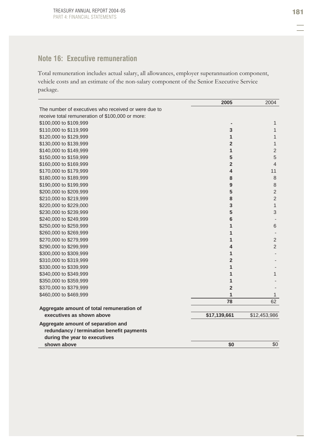# **Note 16: Executive remuneration**

Total remuneration includes actual salary, all allowances, employer superannuation component, vehicle costs and an estimate of the non-salary component of the Senior Executive Service package.

|                                                      | 2005           | 2004           |
|------------------------------------------------------|----------------|----------------|
| The number of executives who received or were due to |                |                |
| receive total remuneration of \$100,000 or more:     |                |                |
| \$100,000 to \$109,999                               |                | 1              |
| \$110,000 to \$119,999                               | 3              | 1              |
| \$120,000 to \$129,999                               | $\mathbf{1}$   | 1              |
| \$130,000 to \$139,999                               | $\overline{2}$ | 1              |
| \$140,000 to \$149,999                               | $\mathbf{1}$   | $\overline{2}$ |
| \$150,000 to \$159,999                               | 5              | 5              |
| \$160,000 to \$169,999                               | $\overline{2}$ | $\overline{4}$ |
| \$170,000 to \$179,999                               | 4              | 11             |
| \$180,000 to \$189,999                               | 8              | 8              |
| \$190,000 to \$199,999                               | $9$            | 8              |
| \$200,000 to \$209,999                               | 5              | $\overline{2}$ |
| \$210,000 to \$219,999                               | 8              | $\overline{2}$ |
| \$220,000 to \$229,000                               | 3              | 1              |
| \$230,000 to \$239,999                               | 5              | 3              |
| \$240,000 to \$249,999                               | $6\phantom{1}$ |                |
| \$250,000 to \$259,999                               | 1              | 6              |
| \$260,000 to \$269,999                               | 1              |                |
| \$270,000 to \$279,999                               | 1              | $\overline{2}$ |
| \$290,000 to \$299,999                               | 4              | $\overline{2}$ |
| \$300,000 to \$309,999                               | 1              |                |
| \$310,000 to \$319,999                               | $\overline{2}$ |                |
| \$330,000 to \$339,999                               | $\mathbf{1}$   |                |
| \$340,000 to \$349,999                               | 1              | 1              |
| \$350,000 to \$359,999                               | 1              |                |
| \$370,000 to \$379,999                               | $\overline{2}$ |                |
| \$460,000 to \$469,999                               | 1              | 1              |
|                                                      | 78             | 62             |
| Aggregate amount of total remuneration of            |                |                |
| executives as shown above                            | \$17,139,661   | \$12,453,986   |
| Aggregate amount of separation and                   |                |                |
| redundancy / termination benefit payments            |                |                |
| during the year to executives                        |                |                |
| shown above                                          | \$0            | \$0            |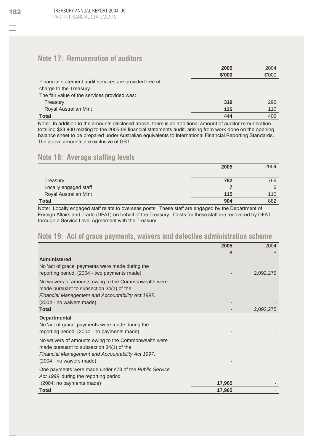## **Note 17: Remuneration of auditors**

|                                                         | 2005   | 2004   |
|---------------------------------------------------------|--------|--------|
|                                                         | \$'000 | \$'000 |
| Financial statement audit services are provided free of |        |        |
| charge to the Treasury.                                 |        |        |
| The fair value of the services provided was:            |        |        |
| Treasury                                                | 319    | 296    |
| Royal Australian Mint                                   | 125    | 110    |
| <b>Total</b>                                            | 444    | 406    |

Note: In addition to the amounts disclosed above, there is an additional amount of auditor remuneration totalling \$23,800 relating to the 2005-06 financial statements audit, arising from work done on the opening balance sheet to be prepared under Australian equivalents to International Financial Reporting Standards. The above amounts are exclusive of GST.

## **Note 18: Average staffing levels**

|                       | 2005 | 2004 |
|-----------------------|------|------|
|                       |      |      |
| Treasury              | 782  | 766  |
| Locally engaged staff |      | 6    |
| Royal Australian Mint | 115  | 110  |
| Total                 | 904  | 882  |

Note: Locally engaged staff relate to overseas posts. These staff are engaged by the Department of Foreign Affairs and Trade (DFAT) on behalf of the Treasury. Costs for these staff are recovered by DFAT through a Service Level Agreement with the Treasury.

### **Note 19: Act of grace payments, waivers and defective administration scheme**

|                                                                                                                                                                                   | 2005   | 2004      |
|-----------------------------------------------------------------------------------------------------------------------------------------------------------------------------------|--------|-----------|
|                                                                                                                                                                                   | S      | S         |
| Administered<br>No 'act of grace' payments were made during the<br>reporting period. (2004 - two payments made)                                                                   |        | 2,092,275 |
| No waivers of amounts owing to the Commonwealth were<br>made pursuant to subsection 34(1) of the<br>Financial Management and Accountability Act 1997.                             |        |           |
| (2004 - no waivers made)                                                                                                                                                          |        |           |
| Total                                                                                                                                                                             |        | 2,092,275 |
| <b>Departmental</b><br>No 'act of grace' payments were made during the<br>reporting period. (2004 - no payments made)                                                             |        |           |
| No waivers of amounts owing to the Commonwealth were<br>made pursuant to subsection 34(1) of the<br>Financial Management and Accountability Act 1997.<br>(2004 - no waivers made) |        |           |
| One payments were made under s73 of the Public Service<br>Act 1999 during the reporting period.                                                                                   |        |           |
| (2004: no payments made)                                                                                                                                                          | 17,965 |           |
| Total                                                                                                                                                                             | 17,965 |           |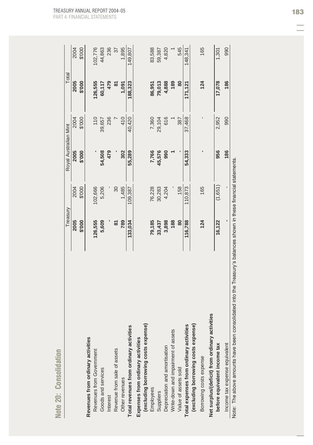|                                                | Treasury |         | Royal Australian Mint |        | Total     |                          |
|------------------------------------------------|----------|---------|-----------------------|--------|-----------|--------------------------|
|                                                | 2005     | 2004    | 2005                  | 2004   | 2005      | 2004                     |
|                                                | \$'000   | \$'000  | \$'000                | \$'000 | \$'000    | \$'000                   |
| Revenues from ordinary activities              |          |         |                       |        |           |                          |
| Revenues from Government                       | 126,555  | 102,666 |                       | 110    | 126,555   | 102,776                  |
| Goods and services                             | 5,609    | 5,206   | 54,508                | 39,657 | 60,117    | 44,863                   |
| Interest                                       |          |         | 479                   | 236    | 479       | 236                      |
| Revenue from sale of assets                    | ळ<br>    | 30      |                       |        | $\approx$ | $\overline{\mathcal{E}}$ |
| Other revenues                                 | 789      | 1,485   | 302                   | 410    | 1,091     | 1,895                    |
| Total revenues from ordinary activities        | 133,034  | 109,387 | 55,289                | 40,420 | 188,323   | 149,807                  |
| Expenses from ordinary activities              |          |         |                       |        |           |                          |
| (excluding borrowing costs expense)            |          |         |                       |        |           |                          |
| Employees                                      | 79,185   | 76,228  | 7,766                 | 7,360  | 86,951    | 83,588                   |
| Suppliers                                      | 33,437   | 30,283  | 45,576                | 29,104 | 79,013    | 59,387                   |
| Depreciation and amortisation                  | 3,898    | 4,204   | 990                   | 616    | 4,888     | 4,820                    |
| Write-down and impairment of assets            | 188      |         |                       |        | 189       |                          |
| Value of assets sold                           | 80       | 158     |                       | 387    | 80        | 545                      |
| Total expenses from ordinary activities        | 116,788  | 110,873 | 54,333                | 37,468 | 171,121   | 148,341                  |
| (excluding borrowing costs expense)            |          |         |                       |        |           |                          |
| Borrowing costs expense                        | 124      | 165     |                       |        | 124       | 165                      |
| Net surplus/(deficit) from ordinary activities |          |         |                       |        |           |                          |
| before equivalent income tax                   | 16,122   | (1,651) | 956                   | 2,952  | 17,078    | 1,301                    |
| Income tax expense equivalent                  |          |         | 186                   | 990    | 186       | 990                      |

TREASURY ANNUAL REPORT 2004-05 183 PART 4: FINANCIAL STATEMENTS

Note 20: Consolidation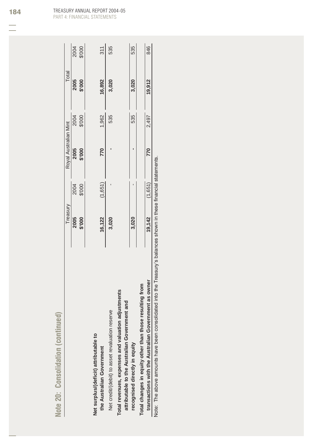|                                                                                                            | s | i<br>こくく<br>i |
|------------------------------------------------------------------------------------------------------------|---|---------------|
| ١<br>ίú<br>iep<br><b>NIOSCILO</b><br>١<br>Í<br>-<br>$\ddot{\mathbf{S}}$<br>a<br>Ĵ<br>⋍<br>∍<br>ï<br>÷<br>d |   |               |

|                                                                                                                 | Treasury |         | Royal Australian Mint |        | Total  |                |
|-----------------------------------------------------------------------------------------------------------------|----------|---------|-----------------------|--------|--------|----------------|
|                                                                                                                 | 2005     | 2004    | 2005                  | 2004   | 2005   |                |
|                                                                                                                 | \$'000   | \$'000  | \$'000                | \$'000 | \$'000 | 2004<br>\$'000 |
| Net surplus/(deficit) attributable to                                                                           |          |         |                       |        |        |                |
| the Australian Government                                                                                       | 16,122   | (1,651) | 770                   | 1,962  | 16,892 | 311            |
| Net credit/(debit) to asset revaluation reserve                                                                 | 3,020    |         |                       | 535    | 3,020  | 535            |
| Total revenues, expenses and valuation adjustments<br>attributable to the Australian Government and             |          |         |                       |        |        |                |
| recognised directly in equity                                                                                   | 3,020    |         |                       | 535    | 3,020  | 535            |
| resulting from<br>Total changes in equity other than those r                                                    |          |         |                       |        |        |                |
| iment as owner<br>transactions with the Australian Govern                                                       | 19,142   | (1,651) | 770                   | 2,497  | 19,912 | 846            |
| Note: The above amounts have been consolidated into the Treasury's balances shown in these financial statements |          |         |                       |        |        |                |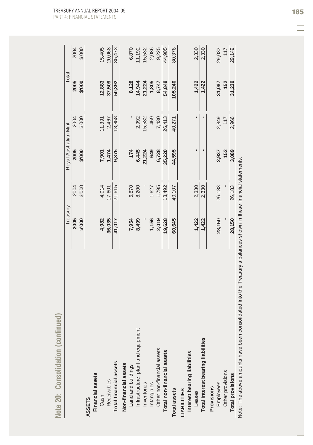| Note 20: Consolidation (continued)                                                                               |          |        |                       |        |         |        |
|------------------------------------------------------------------------------------------------------------------|----------|--------|-----------------------|--------|---------|--------|
|                                                                                                                  | Treasury |        | Royal Australian Mint |        | Total   |        |
|                                                                                                                  | 2005     | 2004   | 2005                  | 2004   | 2005    | 2004   |
|                                                                                                                  | \$'000   | \$'000 | \$'000                | \$'000 | \$'000  | \$'000 |
| <b>ASSETS</b>                                                                                                    |          |        |                       |        |         |        |
| <b>Financial assets</b>                                                                                          |          |        |                       |        |         |        |
| Cash                                                                                                             | 4,982    | 4,014  | 7,901                 | 11,391 | 12,883  | 15,405 |
| Receivables                                                                                                      | 36,035   | 17,601 | 1,474                 | 2,467  | 37,509  | 20,068 |
| Total financial assets                                                                                           | 41,017   | 21,615 | 9,375                 | 13,858 | 50,392  | 35,473 |
| Non-financial assets                                                                                             |          |        |                       |        |         |        |
| Land and buildings                                                                                               | 7,954    | 6,870  | 174                   |        | 8,128   | 6,870  |
| Infrastructure, plant and equipment                                                                              | 8,499    | 8,200  | 6,445                 | 2,992  | 14,944  | 11,192 |
| Inventories                                                                                                      |          |        | 21,224                | 15,532 | 21,224  | 15,532 |
| Intangibles                                                                                                      | 1,156    | 1,627  | 649                   | 459    | 1,805   | 2,086  |
| Other non-financial assets                                                                                       | 2,019    | 1,795  | 6,728                 | 7,430  | 8,747   | 9,225  |
| Total non-financial assets                                                                                       | 19,628   | 18,492 | 35,220                | 26,413 | 54,848  | 44,905 |
| Total assets                                                                                                     | 60,645   | 40,107 | 44,595                | 40,271 | 105,240 | 80,378 |
| <b>LIABILITIES</b>                                                                                               |          |        |                       |        |         |        |
| Interest bearing liabilities                                                                                     |          |        |                       |        |         |        |
| Leases                                                                                                           | 1,422    | 2,330  |                       |        | 1,422   | 2,330  |
| Total interest bearing liabilities                                                                               | 1,422    | 2,330  |                       |        | 1,422   | 2,330  |
| Provisions                                                                                                       |          |        |                       |        |         |        |
| Employees                                                                                                        | 28,150   | 26,183 | 2,937                 | 2,849  | 31,087  | 29,032 |
| Other provisions                                                                                                 |          |        | 152                   | 117    | 152     | 117    |
| <b>Total provisions</b>                                                                                          | 28,150   | 26,183 | 3,089                 | 2,966  | 31,239  | 29,149 |
| Note: The above amounts have been consolidated into the Treasury's balances shown in these financial statements. |          |        |                       |        |         |        |

Note: The above amounts have been consolidated into the Treasury's balances shown in these financial statements.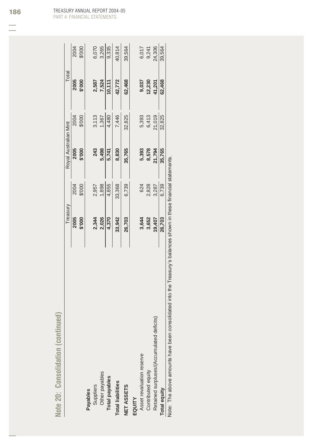| i,<br>پ<br>m<br>ı,<br>é<br>÷<br>ú<br>٠<br>۰<br>■■<br>i.<br>_<br>۰<br>ــ<br>$\blacksquare$<br>ــ<br>-                                                     |
|----------------------------------------------------------------------------------------------------------------------------------------------------------|
| _<br>=<br>$=$<br>۰<br>÷<br>ı<br>é<br>ч<br>÷<br>ı<br>e and a<br>1<br>۰<br>$\sim$<br>$\overline{\phantom{a}}$<br>ー<br>ä<br>×<br>w<br>-<br>_<br>ـ<br>٠<br>۰ |
| ٠<br>-<br>ī                                                                                                                                              |
| $\equiv$                                                                                                                                                 |

| 6,070<br>3,265<br>9,335<br>24,306<br>2004<br>000, 3<br>40,814<br>39,564<br>39,564<br>6,017<br>9,241<br>2005<br>7,524<br>62,468<br>\$'000<br>2,587<br>42,772<br>62,468<br>9,037<br>12,230<br>10,111<br>41,201<br>3,113<br>7,446<br>5,393<br>21,019<br>2004<br>4,480<br>32,825<br>32,825<br>\$'000<br>1,367<br>6,413<br>5,498<br>2005<br>243<br>\$'000<br>35,765<br>5,393<br>8,578<br>21,794<br>8,830<br>35,765<br>5,741<br>1,898<br>4,855<br>33,368<br>6,739<br>2004<br>\$'000<br>624<br>2,828<br>6,739<br>2,957<br>3,287<br>2,026<br>2005<br>2,344<br>26,703<br>\$'000<br>4,370<br>33,942<br>26,703<br>3,644<br>3,652<br>19,407<br>Retained surpluses/(Accumulated deficits)<br>Asset revaluation reserve<br>Contributed equity<br>Other payables<br><b>Total payables</b><br><b>Total liabilities</b><br>Suppliers<br>NET ASSETS<br><b>Total equity</b><br><b>Payables</b><br>EQUITY | reasury | Royal Australian Mint | Total |  |
|---------------------------------------------------------------------------------------------------------------------------------------------------------------------------------------------------------------------------------------------------------------------------------------------------------------------------------------------------------------------------------------------------------------------------------------------------------------------------------------------------------------------------------------------------------------------------------------------------------------------------------------------------------------------------------------------------------------------------------------------------------------------------------------------------------------------------------------------------------------------------------------|---------|-----------------------|-------|--|
|                                                                                                                                                                                                                                                                                                                                                                                                                                                                                                                                                                                                                                                                                                                                                                                                                                                                                       |         |                       |       |  |
|                                                                                                                                                                                                                                                                                                                                                                                                                                                                                                                                                                                                                                                                                                                                                                                                                                                                                       |         |                       |       |  |
|                                                                                                                                                                                                                                                                                                                                                                                                                                                                                                                                                                                                                                                                                                                                                                                                                                                                                       |         |                       |       |  |
|                                                                                                                                                                                                                                                                                                                                                                                                                                                                                                                                                                                                                                                                                                                                                                                                                                                                                       |         |                       |       |  |
|                                                                                                                                                                                                                                                                                                                                                                                                                                                                                                                                                                                                                                                                                                                                                                                                                                                                                       |         |                       |       |  |
|                                                                                                                                                                                                                                                                                                                                                                                                                                                                                                                                                                                                                                                                                                                                                                                                                                                                                       |         |                       |       |  |
|                                                                                                                                                                                                                                                                                                                                                                                                                                                                                                                                                                                                                                                                                                                                                                                                                                                                                       |         |                       |       |  |
|                                                                                                                                                                                                                                                                                                                                                                                                                                                                                                                                                                                                                                                                                                                                                                                                                                                                                       |         |                       |       |  |
|                                                                                                                                                                                                                                                                                                                                                                                                                                                                                                                                                                                                                                                                                                                                                                                                                                                                                       |         |                       |       |  |
|                                                                                                                                                                                                                                                                                                                                                                                                                                                                                                                                                                                                                                                                                                                                                                                                                                                                                       |         |                       |       |  |
|                                                                                                                                                                                                                                                                                                                                                                                                                                                                                                                                                                                                                                                                                                                                                                                                                                                                                       |         |                       |       |  |
|                                                                                                                                                                                                                                                                                                                                                                                                                                                                                                                                                                                                                                                                                                                                                                                                                                                                                       |         |                       |       |  |
|                                                                                                                                                                                                                                                                                                                                                                                                                                                                                                                                                                                                                                                                                                                                                                                                                                                                                       |         |                       |       |  |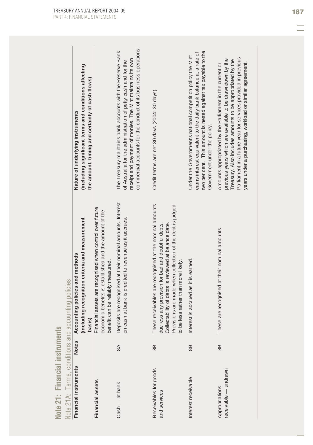| (including significant terms and conditions affecting<br>the amount, timing and certainty of cash flows)<br>Nature of underlying instruments | The Treasury maintains bank accounts with the Reserve Bank<br>$\ddot{\phantom{a}}$<br>$\begin{array}{c} \n\cdot \\ \cdot \\ \cdot \\ \cdot \\ \cdot\n\end{array}$ |
|----------------------------------------------------------------------------------------------------------------------------------------------|-------------------------------------------------------------------------------------------------------------------------------------------------------------------|
|                                                                                                                                              | $\ddot{\phantom{a}}$                                                                                                                                              |

| ٠                   |
|---------------------|
|                     |
|                     |
|                     |
| ļ                   |
| ī                   |
| Ì                   |
| r                   |
| Ċ<br>ŋ              |
| E                   |
| ■■                  |
| ٠                   |
| $\overline{\Omega}$ |
|                     |
|                     |
|                     |
|                     |
|                     |
| è                   |
| ú,                  |
| ۰                   |
|                     |
| $\blacksquare$<br>× |
|                     |
| 7                   |
|                     |
|                     |
| ٠                   |
|                     |
| ٠                   |
|                     |

|                                           | .<br>.<br>.<br>֦ׅׅׅׅׅׅ֚֘֝֘֝֬֝֝֬֝                                                                      |
|-------------------------------------------|-------------------------------------------------------------------------------------------------------|
| Terms. conditions and accounting policies | Accounting policies and methods<br>֦֖֚֚֚֚֚֚֚֚֝֝֝֝֝֝<br>֧֚֚֚֚֚֚֚֚֚֚֝֝֝֝֝֝<br>֧֪֪֪֪֖֪֪֪֪֚֚֚֚֚֚֚֝֝֝֝֝֝֝֝ |
|                                           | lotes                                                                                                 |
|                                           | Financial instruments                                                                                 |

| <b>Note 21: Financial instruments</b>               |              |                                                                                                                                                                                                                                                                           |                                                                                                                                                                                                                                                             |
|-----------------------------------------------------|--------------|---------------------------------------------------------------------------------------------------------------------------------------------------------------------------------------------------------------------------------------------------------------------------|-------------------------------------------------------------------------------------------------------------------------------------------------------------------------------------------------------------------------------------------------------------|
| Note 21A: Terms, conditions and accounting policies |              |                                                                                                                                                                                                                                                                           |                                                                                                                                                                                                                                                             |
| Financial instruments                               | <b>Notes</b> | Accounting policies and methods<br>(including recognition criteria and measurement<br>basis)                                                                                                                                                                              | (including significant terms and conditions affecting<br>the amount, timing and certainty of cash flows)<br>Nature of underlying instruments                                                                                                                |
| <b>Financial assets</b>                             |              | Financial assets are recognised when control over future<br>economic benefits is established and the amount of the<br>benefit can be reliably measured.                                                                                                                   |                                                                                                                                                                                                                                                             |
| Cash - at bank                                      | $\mathbb{R}$ | Deposits are recognised at their nominal amounts. Interest<br>cash at bank is credited to revenue as it accrues.<br>$\delta$                                                                                                                                              | commercial accounts for the conduct of its business operations.<br>The Treasury maintains bank accounts with the Reserve Bank<br>receipt and payment of monies. The Mint maintains its own<br>of Australia for the administration of petty cash and for the |
| Receivables for goods<br>and services               | 88           | These receivables are recognised at the nominal amounts<br>due less any provision for bad and doubtful debts.<br>Collectability of debts is reviewed at balance date.<br>Provisions are made when collection of the debt is judged<br>to be less rather than more likely. | Credit terms are net 30 days (2004: 30 days).                                                                                                                                                                                                               |
| Interest receivable                                 | 8B           | Interest is accrued as it is earned.                                                                                                                                                                                                                                      | two per cent. This amount is netted against tax payable to the<br>earns interest equivalent to the daily bank balance at a rate of<br>Under the Government's national competition policy the Mint<br>Government under the policy.                           |
| receivable - undrawn<br>Appropriations              | 8B           | These are recognised at their nominal amounts.                                                                                                                                                                                                                            | Parliament in a future year for services provided in previous<br>previous years which are available to be drawndown by the<br>Treasury. Also includes amounts to be appropriated by the<br>Amounts appropriated by the Parliament in the current or         |

years under a purchasing, workload or similar agreement.

years under a purchasing, workload or similar agreement.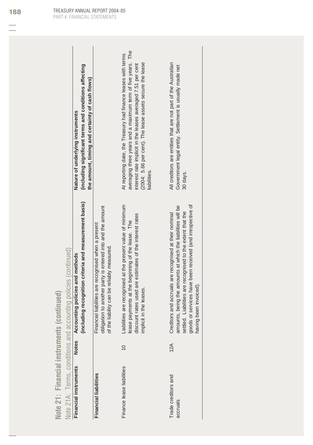|                                    | continue                           |
|------------------------------------|------------------------------------|
| 'n<br>Del<br>â<br>÷<br><b>CONI</b> |                                    |
| c<br>ments<br>insti<br>Ξ<br>ë,     | conditions and accounting policies |
| Financi                            | l erms<br>ŀ                        |
| ×<br>i<br>$\rho$ $\gamma$<br>Note  | Note 21A                           |

|                                 |                | Note 21A: Terms, conditions and accounting policies (continued)                                                                                                                                                                                                            |                                                                                                                                                                                                                                                                         |
|---------------------------------|----------------|----------------------------------------------------------------------------------------------------------------------------------------------------------------------------------------------------------------------------------------------------------------------------|-------------------------------------------------------------------------------------------------------------------------------------------------------------------------------------------------------------------------------------------------------------------------|
| Financial instruments           | <b>Notes</b>   | Accounting policies and methods                                                                                                                                                                                                                                            | Nature of underlying instruments                                                                                                                                                                                                                                        |
|                                 |                | (including recognition criteria and measurement basis)                                                                                                                                                                                                                     | (including significant terms and conditions affecting<br>the amount, timing and certainty of cash flows)                                                                                                                                                                |
| <b>Financial liabilities</b>    |                | obligation to another party is entered into and the amount<br>Financial liabilities are recognised when a present<br>of the liability can be reliably measured.                                                                                                            |                                                                                                                                                                                                                                                                         |
| Finance lease liabilities       | $\overline{0}$ | Liabilities are recognised at the present value of minimum<br>discount rates used are estimates of the interest rates<br>lease payments at the beginning of the lease. The<br>implicit in the leases.                                                                      | averaging three years and a maximum term of five years. The<br>At reporting date, the Treasury had finance leases with terms<br>(2004: 5.66 per cent). The lease assets secure the lease<br>interest rate implicit in the leases averaged 7.51 per cent<br>liabilities. |
| Trade creditors and<br>accruals | 12A            | goods or services have been received (and irrespective of<br>amounts, being the amounts at which the liabilities will be<br>settled. Liabilities are recognised to the extent that the<br>Creditors and accruals are recognised at their nominal<br>having been invoiced). | All creditors are entities that are not part of the Australian<br>Government legal entity. Settlement is usually made net<br>30 days.                                                                                                                                   |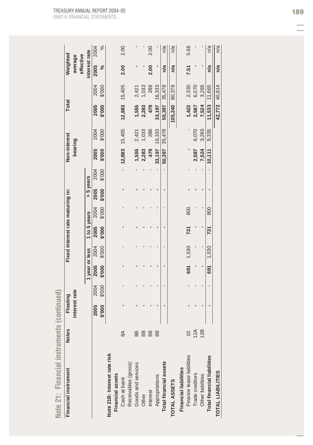| Note 21: Financial instruments     |               | (continued)               |        |                |        |                                  |        |           |        |                         |        |              |               |                     |      |
|------------------------------------|---------------|---------------------------|--------|----------------|--------|----------------------------------|--------|-----------|--------|-------------------------|--------|--------------|---------------|---------------------|------|
| Financial instrument               | <b>Notes</b>  | interest rate<br>Floating |        |                |        | Fixed interest rate maturing in: |        |           |        | Non-interest<br>bearing |        | <b>Total</b> |               | Weighted<br>average |      |
|                                    |               |                           |        |                |        |                                  |        |           |        |                         |        |              |               | effective           |      |
|                                    |               |                           |        | 1 year or less |        | 1 to 5 years                     |        | > 5 years |        |                         |        |              |               | interest rate       |      |
|                                    |               | 2005                      | 2004   | 2005           | 2004   | 2005                             | 2004   | 2005      | 2004   | 2005                    | 2004   | 2005         | 2004          | 2005                | 2004 |
|                                    |               | \$'000                    | \$'000 | \$'000         | \$'000 | \$'000                           | \$'000 | \$'000    | \$'000 | \$'000                  | \$'000 | \$'000       | \$'000        | వ                   | $\%$ |
| Note 21B: Interest rate risk       |               |                           |        |                |        |                                  |        |           |        |                         |        |              |               |                     |      |
| Financial assets                   |               |                           |        |                |        |                                  |        |           |        |                         |        |              |               |                     |      |
| Cash at bank                       | $\approx$     |                           |        |                |        |                                  |        |           |        | 12,883                  | 15,405 | 12,883       | 15,405        | 2.00                | 2.00 |
| Receivables (gross):               |               |                           |        |                |        |                                  |        |           |        |                         |        |              |               |                     |      |
| Goods and services                 | 8B            |                           |        |                |        |                                  |        |           |        |                         | 2,421  | 1,555        | 2,421         |                     |      |
| Other                              | 8B            |                           |        |                |        |                                  |        |           |        | 1,555<br>2,283          | 1,033  | 2,283        | 1,033         |                     |      |
| <b>Interest</b>                    | 8B            |                           |        |                |        |                                  |        |           |        | 479                     | 286    | 479          | 286           | 2.00                | 2.00 |
| Appropriations                     | 8B            |                           |        |                |        |                                  |        |           |        | 33, 197                 | 16,333 | 33,197       | 16,333        |                     |      |
| <b>Total financial assets</b>      |               |                           |        |                |        |                                  |        |           |        | 50,397                  | 35,478 | 50,397       | 35,478        | n/a                 | n/a  |
| TOTAL ASSETS                       |               |                           |        |                |        |                                  |        |           |        |                         |        | 105,240      | 80,378        | n/a                 | n/a  |
| <b>Financial liabilities</b>       |               |                           |        |                |        |                                  |        |           |        |                         |        |              |               |                     |      |
| Finance lease liabilities          | $\frac{1}{2}$ |                           |        | 691            | 1,530  | 731                              | 800    |           |        |                         |        | 1,422        | 2,330         | 7.51                | 5.66 |
| Trade creditors                    | 12A           |                           |        |                |        |                                  |        |           |        | 2,587                   | 6,070  | 2,587        | 6,070         |                     |      |
| Other liabilities                  | 12B           |                           |        |                |        |                                  |        |           |        | 7,524                   | 3,265  | 7,524        | 3,265         |                     |      |
| <b>Total financial liabilities</b> |               |                           |        | 691            | 1,530  | 731                              | 800    |           |        | 10,111                  | 9,335  | 11,533       | 11,665        | n/a                 | n/a  |
| <b>TOTAL LIABILITIES</b>           |               |                           |        |                |        |                                  |        |           |        |                         |        |              | 42,772 40,814 | n/a                 | n/a  |
|                                    |               |                           |        |                |        |                                  |        |           |        |                         |        |              |               |                     |      |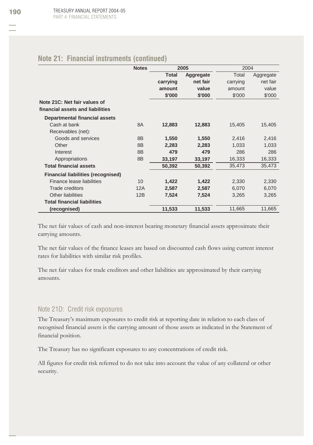|  |  | Note 21: Financial instruments (continued) |  |  |
|--|--|--------------------------------------------|--|--|
|--|--|--------------------------------------------|--|--|

|                                                                  | <b>Notes</b>   |              | 2005      | 2004     |           |
|------------------------------------------------------------------|----------------|--------------|-----------|----------|-----------|
|                                                                  |                | <b>Total</b> | Aggregate | Total    | Aggregate |
|                                                                  |                | carrying     | net fair  | carrying | net fair  |
|                                                                  |                | amount       | value     | amount   | value     |
|                                                                  |                | \$'000       | \$'000    | \$'000   | \$'000    |
| Note 21C: Net fair values of<br>financial assets and liabilities |                |              |           |          |           |
| Departmental financial assets                                    |                |              |           |          |           |
| Cash at bank                                                     | <b>8A</b>      | 12,883       | 12,883    | 15,405   | 15,405    |
| Receivables (net):                                               |                |              |           |          |           |
| Goods and services                                               | 8B             | 1,550        | 1,550     | 2,416    | 2,416     |
| Other                                                            | 8B             | 2,283        | 2,283     | 1,033    | 1,033     |
| Interest                                                         | 8 <sub>B</sub> | 479          | 479       | 286      | 286       |
| Appropriations                                                   | 8B             | 33,197       | 33,197    | 16,333   | 16,333    |
| <b>Total financial assets</b>                                    |                | 50,392       | 50,392    | 35,473   | 35,473    |
| <b>Financial liabilities (recognised)</b>                        |                |              |           |          |           |
| Finance lease liabilities                                        | 10             | 1,422        | 1,422     | 2,330    | 2,330     |
| Trade creditors                                                  | 12A            | 2,587        | 2,587     | 6,070    | 6,070     |
| Other liabilities                                                | 12B            | 7,524        | 7,524     | 3,265    | 3,265     |
| <b>Total financial liabilities</b>                               |                |              |           |          |           |
| (recognised)                                                     |                | 11,533       | 11,533    | 11,665   | 11,665    |

The net fair values of cash and non-interest bearing monetary financial assets approximate their carrying amounts.

The net fair values of the finance leases are based on discounted cash flows using current interest rates for liabilities with similar risk profiles.

The net fair values for trade creditors and other liabilities are approximated by their carrying amounts.

### Note 21D: Credit risk exposures

The Treasury's maximum exposures to credit risk at reporting date in relation to each class of recognised financial assets is the carrying amount of those assets as indicated in the Statement of financial position.

The Treasury has no significant exposures to any concentrations of credit risk.

All figures for credit risk referred to do not take into account the value of any collateral or other security.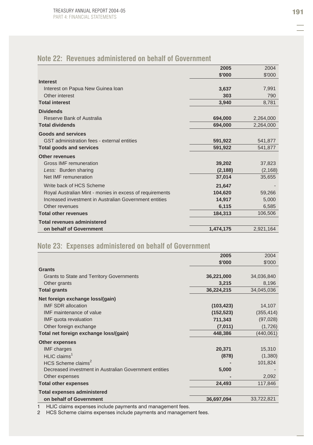# **Note 22: Revenues administered on behalf of Government**

|                                                          | 2005      | 2004      |
|----------------------------------------------------------|-----------|-----------|
|                                                          | \$'000    | \$'000    |
| <b>Interest</b>                                          |           |           |
| Interest on Papua New Guinea Ioan                        | 3,637     | 7,991     |
| Other interest                                           | 303       | 790       |
| <b>Total interest</b>                                    | 3,940     | 8,781     |
| <b>Dividends</b>                                         |           |           |
| Reserve Bank of Australia                                | 694,000   | 2,264,000 |
| <b>Total dividends</b>                                   | 694,000   | 2,264,000 |
| <b>Goods and services</b>                                |           |           |
| GST administration fees - external entities              | 591,922   | 541,877   |
| <b>Total goods and services</b>                          | 591,922   | 541,877   |
| <b>Other revenues</b>                                    |           |           |
| Gross IMF remuneration                                   | 39,202    | 37,823    |
| Less: Burden sharing                                     | (2, 188)  | (2, 168)  |
| Net IMF remuneration                                     | 37,014    | 35,655    |
| Write back of HCS Scheme                                 | 21,647    |           |
| Royal Australian Mint - monies in excess of requirements | 104,620   | 59,266    |
| Increased investment in Australian Government entities   | 14,917    | 5,000     |
| Other revenues                                           | 6,115     | 6,585     |
| <b>Total other revenues</b>                              | 184,313   | 106,506   |
| <b>Total revenues administered</b>                       |           |           |
| on behalf of Government                                  | 1,474,175 | 2,921,164 |

## **Note 23: Expenses administered on behalf of Government**

|                                                        | 2005       | 2004       |
|--------------------------------------------------------|------------|------------|
|                                                        | \$'000     | \$'000     |
| <b>Grants</b>                                          |            |            |
| <b>Grants to State and Territory Governments</b>       | 36,221,000 | 34,036,840 |
| Other grants                                           | 3,215      | 8,196      |
| <b>Total grants</b>                                    | 36,224,215 | 34,045,036 |
| Net foreign exchange loss/(gain)                       |            |            |
| <b>IMF SDR allocation</b>                              | (103, 423) | 14,107     |
| IMF maintenance of value                               | (152, 523) | (355, 414) |
| IMF quota revaluation                                  | 711,343    | (97, 028)  |
| Other foreign exchange                                 | (7,011)    | (1,726)    |
| Total net foreign exchange loss/(gain)                 | 448,386    | (440, 061) |
| Other expenses                                         |            |            |
| <b>IMF</b> charges                                     | 20,371     | 15,310     |
| $HLIC$ claims <sup>1</sup>                             | (878)      | (1,380)    |
| HCS Scheme claims <sup>2</sup>                         |            | 101,824    |
| Decreased investment in Australian Government entities | 5,000      |            |
| Other expenses                                         |            | 2,092      |
| <b>Total other expenses</b>                            | 24,493     | 117,846    |
| <b>Total expenses administered</b>                     |            |            |
| on behalf of Government                                | 36,697,094 | 33,722,821 |

1 HLIC claims expenses include payments and management fees.

2 HCS Scheme claims expenses include payments and management fees.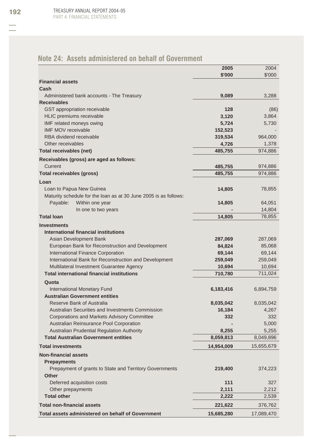# **Note 24: Assets administered on behalf of Government**

|                                                                  | 2005       | 2004       |
|------------------------------------------------------------------|------------|------------|
|                                                                  | \$'000     | \$'000     |
| <b>Financial assets</b>                                          |            |            |
| Cash                                                             |            |            |
| Administered bank accounts - The Treasury                        | 9,089      | 3,288      |
| <b>Receivables</b>                                               |            |            |
| GST appropriation receivable                                     | 128        | (86)       |
| <b>HLIC</b> premiums receivable                                  | 3,120      | 3,864      |
| IMF related moneys owing                                         | 5,724      | 5,730      |
| <b>IMF MOV receivable</b>                                        | 152,523    |            |
| RBA dividend receivable                                          | 319,534    | 964,000    |
| Other receivables                                                | 4,726      | 1,378      |
| Total receivables (net)                                          | 485,755    | 974,886    |
| Receivables (gross) are aged as follows:                         |            |            |
| Current                                                          | 485,755    | 974,886    |
| <b>Total receivables (gross)</b>                                 | 485,755    | 974,886    |
|                                                                  |            |            |
| Loan                                                             |            |            |
| Loan to Papua New Guinea                                         | 14,805     | 78,855     |
| Maturity schedule for the loan as at 30 June 2005 is as follows: |            |            |
| Payable:<br>Within one year                                      | 14,805     | 64,051     |
| In one to two years                                              |            | 14,804     |
| <b>Total loan</b>                                                | 14,805     | 78,855     |
| <b>Investments</b>                                               |            |            |
| International financial institutions                             |            |            |
| Asian Development Bank                                           | 287,069    | 287,069    |
| European Bank for Reconstruction and Development                 | 84,824     | 85,068     |
| International Finance Corporation                                | 69,144     | 69,144     |
| International Bank for Reconstruction and Development            | 259,049    | 259,049    |
| Multilateral Investment Guarantee Agency                         | 10,694     | 10,694     |
| <b>Total international financial institutions</b>                | 710,780    | 711,024    |
| Quota                                                            |            |            |
| International Monetary Fund                                      | 6,183,416  | 6,894,759  |
| <b>Australian Government entities</b>                            |            |            |
| <b>Reserve Bank of Australia</b>                                 | 8,035,042  | 8,035,042  |
| Australian Securities and Investments Commission                 | 16,184     | 4,267      |
| <b>Corporations and Markets Advisory Committee</b>               | 332        | 332        |
| Australian Reinsurance Pool Corporation                          |            | 5,000      |
| Australian Prudential Regulation Authority                       | 8,255      | 5,255      |
| <b>Total Australian Government entities</b>                      | 8,059,813  | 8,049,896  |
| <b>Total investments</b>                                         | 14,954,009 | 15,655,679 |
|                                                                  |            |            |
| <b>Non-financial assets</b>                                      |            |            |
| <b>Prepayments</b>                                               |            |            |
| Prepayment of grants to State and Territory Governments          | 219,400    | 374,223    |
| <b>Other</b>                                                     |            |            |
| Deferred acquisition costs                                       | 111        | 327        |
| Other prepayments                                                | 2,111      | 2,212      |
| <b>Total other</b>                                               | 2,222      | 2,539      |
| <b>Total non-financial assets</b>                                | 221,622    | 376,762    |
| Total assets administered on behalf of Government                | 15,685,280 | 17,089,470 |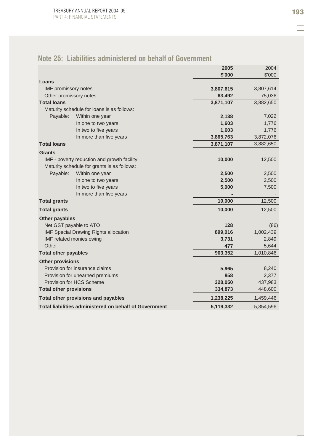|                               |                                                        | 2005      | 2004      |
|-------------------------------|--------------------------------------------------------|-----------|-----------|
|                               |                                                        | \$'000    | \$'000    |
| Loans                         |                                                        |           |           |
| <b>IMF</b> promissory notes   |                                                        | 3,807,615 | 3,807,614 |
| Other promissory notes        |                                                        | 63,492    | 75,036    |
| <b>Total loans</b>            |                                                        | 3,871,107 | 3,882,650 |
|                               | Maturity schedule for loans is as follows:             |           |           |
| Payable:                      | Within one year                                        | 2,138     | 7,022     |
|                               | In one to two years                                    | 1,603     | 1,776     |
|                               | In two to five years                                   | 1,603     | 1,776     |
|                               | In more than five years                                | 3,865,763 | 3,872,076 |
| <b>Total loans</b>            |                                                        | 3,871,107 | 3,882,650 |
| <b>Grants</b>                 |                                                        |           |           |
|                               | IMF - poverty reduction and growth facility            | 10,000    | 12,500    |
|                               | Maturity schedule for grants is as follows:            |           |           |
| Payable:                      | Within one year                                        | 2,500     | 2,500     |
|                               | In one to two years                                    | 2,500     | 2,500     |
|                               | In two to five years                                   | 5,000     | 7,500     |
|                               | In more than five years                                |           |           |
| <b>Total grants</b>           |                                                        | 10,000    | 12,500    |
| <b>Total grants</b>           |                                                        | 10,000    | 12,500    |
| Other payables                |                                                        |           |           |
|                               | Net GST payable to ATO                                 | 128       | (86)      |
|                               | <b>IMF Special Drawing Rights allocation</b>           | 899,016   | 1,002,439 |
|                               | IMF related monies owing                               | 3,731     | 2,849     |
| Other                         |                                                        | 477       | 5,644     |
| <b>Total other payables</b>   |                                                        | 903,352   | 1,010,846 |
| <b>Other provisions</b>       |                                                        |           |           |
|                               | Provision for insurance claims                         | 5,965     | 8,240     |
|                               | Provision for unearned premiums                        | 858       | 2,377     |
|                               | Provision for HCS Scheme                               | 328,050   | 437,983   |
| <b>Total other provisions</b> |                                                        | 334,873   | 448,600   |
|                               | Total other provisions and payables                    | 1,238,225 | 1,459,446 |
|                               | Total liabilities administered on behalf of Government | 5,119,332 | 5,354,596 |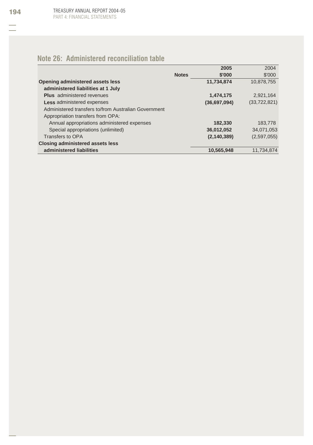# **Note 26: Administered reconciliation table**

|                                                      |              | 2005          | 2004           |
|------------------------------------------------------|--------------|---------------|----------------|
|                                                      | <b>Notes</b> | \$'000        | \$'000         |
| Opening administered assets less                     |              | 11,734,874    | 10.878.755     |
| administered liabilities at 1 July                   |              |               |                |
| <b>Plus</b> administered revenues                    |              | 1,474,175     | 2.921.164      |
| Less administered expenses                           |              | (36,697,094)  | (33, 722, 821) |
| Administered transfers to/from Australian Government |              |               |                |
| Appropriation transfers from OPA:                    |              |               |                |
| Annual appropriations administered expenses          |              | 182,330       | 183,778        |
| Special appropriations (unlimited)                   |              | 36,012,052    | 34,071,053     |
| Transfers to OPA                                     |              | (2, 140, 389) | (2,597,055)    |
| <b>Closing administered assets less</b>              |              |               |                |
| administered liabilities                             |              | 10,565,948    | 11.734.874     |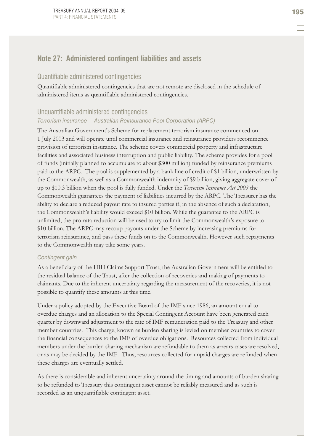### **Note 27: Administered contingent liabilities and assets**

### Quantifiable administered contingencies

Quantifiable administered contingencies that are not remote are disclosed in the schedule of administered items as quantifiable administered contingencies.

### Unquantifiable administered contingencies

### *Terrorism insurance —Australian Reinsurance Pool Corporation (ARPC)*

The Australian Government's Scheme for replacement terrorism insurance commenced on 1 July 2003 and will operate until commercial insurance and reinsurance providers recommence provision of terrorism insurance. The scheme covers commercial property and infrastructure facilities and associated business interruption and public liability. The scheme provides for a pool of funds (initially planned to accumulate to about \$300 million) funded by reinsurance premiums paid to the ARPC. The pool is supplemented by a bank line of credit of \$1 billion, underwritten by the Commonwealth, as well as a Commonwealth indemnity of \$9 billion, giving aggregate cover of up to \$10.3 billion when the pool is fully funded. Under the *Terrorism Insurance Act 2003* the Commonwealth guarantees the payment of liabilities incurred by the ARPC. The Treasurer has the ability to declare a reduced payout rate to insured parties if, in the absence of such a declaration, the Commonwealth's liability would exceed \$10 billion. While the guarantee to the ARPC is unlimited, the pro-rata reduction will be used to try to limit the Commonwealth's exposure to \$10 billion. The ARPC may recoup payouts under the Scheme by increasing premiums for terrorism reinsurance, and pass these funds on to the Commonwealth. However such repayments to the Commonwealth may take some years.

#### *Contingent gain*

As a beneficiary of the HIH Claims Support Trust, the Australian Government will be entitled to the residual balance of the Trust, after the collection of recoveries and making of payments to claimants. Due to the inherent uncertainty regarding the measurement of the recoveries, it is not possible to quantify these amounts at this time.

Under a policy adopted by the Executive Board of the IMF since 1986, an amount equal to overdue charges and an allocation to the Special Contingent Account have been generated each quarter by downward adjustment to the rate of IMF remuneration paid to the Treasury and other member countries. This charge, known as burden sharing is levied on member countries to cover the financial consequences to the IMF of overdue obligations. Resources collected from individual members under the burden sharing mechanism are refundable to them as arrears cases are resolved, or as may be decided by the IMF. Thus, resources collected for unpaid charges are refunded when these charges are eventually settled.

As there is considerable and inherent uncertainty around the timing and amounts of burden sharing to be refunded to Treasury this contingent asset cannot be reliably measured and as such is recorded as an unquantifiable contingent asset.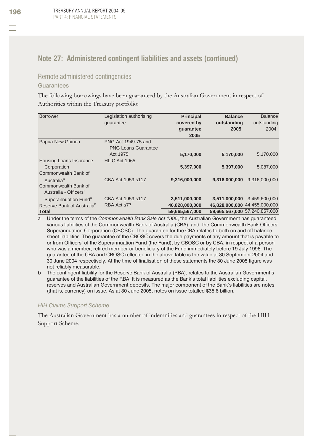## **Note 27: Administered contingent liabilities and assets (continued)**

### Remote administered contingencies

#### Guarantees

The following borrowings have been guaranteed by the Australian Government in respect of Authorities within the Treasury portfolio:

| <b>Borrower</b>                        | Legislation authorising    | <b>Principal</b> | <b>Balance</b> | <b>Balance</b>                |
|----------------------------------------|----------------------------|------------------|----------------|-------------------------------|
|                                        | quarantee                  | covered by       | outstanding    | outstanding                   |
|                                        |                            | guarantee        | 2005           | 2004                          |
|                                        |                            | 2005             |                |                               |
| Papua New Guinea                       | PNG Act 1949-75 and        |                  |                |                               |
|                                        | <b>PNG Loans Guarantee</b> |                  |                |                               |
|                                        | Act 1975                   | 5,170,000        | 5,170,000      | 5,170,000                     |
| Housing Loans Insurance                | HLIC Act 1965              |                  |                |                               |
| Corporation                            |                            | 5,397,000        | 5,397,000      | 5,087,000                     |
| Commonwealth Bank of                   |                            |                  |                |                               |
| Australia <sup>a</sup>                 | CBA Act 1959 s117          | 9,316,000,000    | 9.316.000.000  | 9,316,000,000                 |
| Commonwealth Bank of                   |                            |                  |                |                               |
| Australia - Officers'                  |                            |                  |                |                               |
| Superannuation Fund <sup>a</sup>       | CBA Act 1959 s117          | 3,511,000,000    | 3,511,000,000  | 3.459.600.000                 |
| Reserve Bank of Australia <sup>b</sup> | RBA Act s77                | 46,828,000,000   |                | 46,828,000,000 44,455,000,000 |
| Total                                  |                            | 59,665,567,000   |                | 59,665,567,000 57,240,857,000 |

a Under the terms of the *Commonwealth Bank Sale Act 1995*, the Australian Government has guaranteed various liabilities of the Commonwealth Bank of Australia (CBA), and the Commonwealth Bank Officers' Superannuation Corporation (CBOSC). The guarantee for the CBA relates to both on and off balance sheet liabilities. The guarantee of the CBOSC covers the due payments of any amount that is payable to or from Officers' of the Superannuation Fund (the Fund), by CBOSC or by CBA, in respect of a person who was a member, retired member or beneficiary of the Fund immediately before 19 July 1996. The guarantee of the CBA and CBOSC reflected in the above table is the value at 30 September 2004 and 30 June 2004 respectively. At the time of finalisation of these statements the 30 June 2005 figure was not reliably measurable.

b The contingent liability for the Reserve Bank of Australia (RBA), relates to the Australian Government's guarantee of the liabilities of the RBA. It is measured as the Bank's total liabilities excluding capital, reserves and Australian Government deposits. The major component of the Bank's liabilities are notes (that is, currency) on issue. As at 30 June 2005, notes on issue totalled \$35.6 billion.

#### *HIH Claims Support Scheme*

The Australian Government has a number of indemnities and guarantees in respect of the HIH Support Scheme.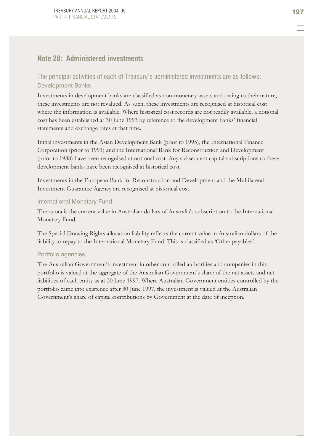### **Note 28: Administered investments**

### The principal activities of each of Treasury's administered investments are as follows: Development Banks

Investments in development banks are classified as non-monetary assets and owing to their nature, these investments are not revalued. As such, these investments are recognised at historical cost where the information is available. Where historical cost records are not readily available, a notional cost has been established at 30 June 1993 by reference to the development banks' financial statements and exchange rates at that time.

Initial investments in the Asian Development Bank (prior to 1995), the International Finance Corporation (prior to 1991) and the International Bank for Reconstruction and Development (prior to 1988) have been recognised at notional cost. Any subsequent capital subscriptions to these development banks have been recognised at historical cost.

Investments in the European Bank for Reconstruction and Development and the Multilateral Investment Guarantee Agency are recognised at historical cost.

#### International Monetary Fund

The quota is the current value in Australian dollars of Australia's subscription to the International Monetary Fund.

The Special Drawing Rights allocation liability reflects the current value in Australian dollars of the liability to repay to the International Monetary Fund. This is classified as 'Other payables'.

#### Portfolio agencies

The Australian Government's investment in other controlled authorities and companies in this portfolio is valued at the aggregate of the Australian Government's share of the net assets and net liabilities of each entity as at 30 June 1997. Where Australian Government entities controlled by the portfolio came into existence after 30 June 1997, the investment is valued at the Australian Government's share of capital contributions by Government at the date of inception.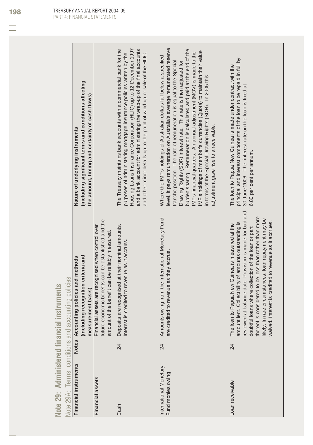| S<br>s<br>فسيلد<br>-<br>ー<br>œ                                                                        |    |
|-------------------------------------------------------------------------------------------------------|----|
| $\equiv$<br>⊨<br>_<br>$\equiv$<br>ó<br>-<br>┶<br>تسبب<br>Í<br>ч<br>-<br>═<br>$\sim$<br>i              |    |
| --<br>m<br>×<br>ч<br>o<br>$=$<br>$n - n$<br>9<br>-<br>ー                                               |    |
| $\overline{\mathbf{c}}$<br>-<br>╾<br>$\sim$<br>٠<br>w<br>۰<br>٠                                       |    |
| яh<br>യ<br>-<br>m٩<br>ىيا<br>ىپ<br>é<br>n<br>-<br>-<br>Ì<br>−<br>$\sim$<br>٠<br>-<br>⊨<br>ー<br>o<br>⋖ | ֘֒ |
| $\blacksquare$<br>$\blacksquare$<br>۰<br>မ<br>À<br>L                                                  | ï  |
| ۹<br>t,<br>-<br>-<br>-                                                                                | I  |
|                                                                                                       |    |

| ပ္ခ<br>ذ<br>d<br>۰                         |
|--------------------------------------------|
| ι                                          |
|                                            |
| $\overline{c}$<br>$\overline{ }$<br>ć<br>Ś |
| ζ<br>ת                                     |
| ¢                                          |
| ۰<br>ü<br>÷                                |
| j                                          |
|                                            |
| ć<br>J                                     |
| ċ                                          |
| C                                          |
| $\bar{\sigma}$                             |
|                                            |
| $\overline{\smash{\bigcirc}}$              |
| ⋶                                          |
| $\overline{\sigma}$                        |
|                                            |
| <b>ns</b>                                  |
|                                            |
| Ē<br>ر                                     |
| ē                                          |
|                                            |
| $\overline{\smash{\bigcirc}}$              |
| É                                          |
| $\circ$                                    |
| د                                          |
|                                            |
| °S,                                        |
|                                            |
| Š<br>ŝ                                     |
|                                            |
| D                                          |
| ŀ                                          |
|                                            |
| ٠<br>۷<br>⊲                                |
|                                            |
| Ģ.<br>J                                    |
| ă                                          |
| $\omega$                                   |
| ⊢                                          |
| ö                                          |
| $\geq$                                     |
|                                            |

|                                             |    | - האומר המונח המונח המונח המונח המונח המונח המונח המונח המונח המונח המונח המונח המונח המונח המונח המונח המונח ה                                                                                                                                                                                                                                                                                            |                                                                                                                                                                                                                                                                                                                                                                                                                                                                                                                                                                                                                            |
|---------------------------------------------|----|------------------------------------------------------------------------------------------------------------------------------------------------------------------------------------------------------------------------------------------------------------------------------------------------------------------------------------------------------------------------------------------------------------|----------------------------------------------------------------------------------------------------------------------------------------------------------------------------------------------------------------------------------------------------------------------------------------------------------------------------------------------------------------------------------------------------------------------------------------------------------------------------------------------------------------------------------------------------------------------------------------------------------------------------|
| Financial instruments                       |    | Notes Accounting policies and methods                                                                                                                                                                                                                                                                                                                                                                      | Nature of underlying instruments                                                                                                                                                                                                                                                                                                                                                                                                                                                                                                                                                                                           |
|                                             |    | (including recognition criteria and<br>measurement basis)                                                                                                                                                                                                                                                                                                                                                  | (including significant terms and conditions affecting<br>the amount, timing and certainty of cash flows)                                                                                                                                                                                                                                                                                                                                                                                                                                                                                                                   |
| <b>Financial assets</b>                     |    | Financial assets are recognised when control over<br>future economic benefits can be established and the<br>amount of the benefit can be reliably measured                                                                                                                                                                                                                                                 |                                                                                                                                                                                                                                                                                                                                                                                                                                                                                                                                                                                                                            |
| Cash                                        | 24 | Deposits are recognised at their nominal amounts.<br>Interest is credited to revenue as it accrues                                                                                                                                                                                                                                                                                                         | Housing Loans Insurance Corporation (HLIC) up to 12 December 1997<br>The Treasury maintains bank accounts with a commercial bank for the<br>and a bank account for administering the wrap-up of the final accounts<br>purposes of administering mortgage insurance policies written by the<br>and other minor details up to the point of wind-up or sale of the HLIC.                                                                                                                                                                                                                                                      |
| International Monetary<br>Fund monies owing | 24 | Amounts owing from the International Monetary Fund<br>are credited to revenue as they accrue.                                                                                                                                                                                                                                                                                                              | level, it pays remuneration on Australia's average remunerated reserve<br>burden sharing. Remuneration is calculated and paid at the end of the<br>IMF's holdings of member's currencies (Quota) to maintain their value<br>MF's financial quarters. An annual adjustment (MOV) is made to the<br>Where the IMF's holdings of Australian dollars fall below a specified<br>tranche position. The rate of remuneration is equal to the Special<br>Drawing Rights (SDR) interest rate. This rate is then adjusted for<br>in terms of the Special Drawing Rights (SDR). In 2005 this<br>adjustment gave rise to a receivable. |
| Loan receivable                             | 24 | reviewed at balance date. Provision is made for bad and<br>thereof is considered to be less than rather than more<br>likely. In rare circumstances, loan repayment may be<br>waived. Interest is credited to revenue as it accrues.<br>amount lent. Collectibility of amounts outstanding is<br>oan to Papua New Guinea is measured at the<br>doubtful loans where collection of the loan or part<br>The I | principal and interest components of the loan to be repaid in full by<br>The loan to Papua New Guinea is made under contract with the<br>30 June 2006. The interest rate on the loan is fixed at<br>6.80 per cent per annum.                                                                                                                                                                                                                                                                                                                                                                                               |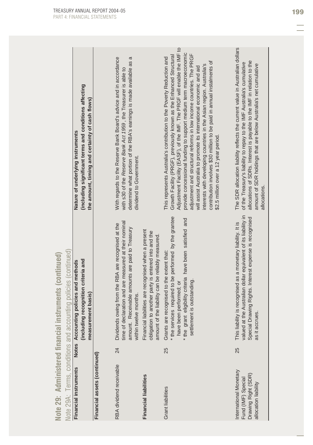| Note 29: Administered financial                                                             |    | instruments (continued)                                                                                                                                                                                                  |                                                                                                                                                                                                                                                                                                                                                                                                                                                                                                                                                                                                                                      |
|---------------------------------------------------------------------------------------------|----|--------------------------------------------------------------------------------------------------------------------------------------------------------------------------------------------------------------------------|--------------------------------------------------------------------------------------------------------------------------------------------------------------------------------------------------------------------------------------------------------------------------------------------------------------------------------------------------------------------------------------------------------------------------------------------------------------------------------------------------------------------------------------------------------------------------------------------------------------------------------------|
|                                                                                             |    | Note 29A: Terms, conditions and accounting policies (continued)                                                                                                                                                          |                                                                                                                                                                                                                                                                                                                                                                                                                                                                                                                                                                                                                                      |
| Financial instruments                                                                       |    | Notes Accounting policies and methods                                                                                                                                                                                    | Nature of underlying instruments                                                                                                                                                                                                                                                                                                                                                                                                                                                                                                                                                                                                     |
|                                                                                             |    | (including recognition criteria and                                                                                                                                                                                      | (including significant terms and conditions affecting                                                                                                                                                                                                                                                                                                                                                                                                                                                                                                                                                                                |
|                                                                                             |    | measurement basis)                                                                                                                                                                                                       | the amount, timing and certainty of cash flows)                                                                                                                                                                                                                                                                                                                                                                                                                                                                                                                                                                                      |
| Financial assets (continued)                                                                |    |                                                                                                                                                                                                                          |                                                                                                                                                                                                                                                                                                                                                                                                                                                                                                                                                                                                                                      |
| RBA dividend receivable                                                                     | 24 | time of declaration and are measured at their nominal<br>Dividends owing from the RBA are recognised at the<br>Receivable amounts are paid to Treasury<br>within twelve months.<br>amount.                               | With regards to the Reserve Bank Board's advice and in accordance<br>$\sigma$<br>determine what portion of the RBA's earnings is made available as<br>with s30 of the Reserve Bank Act 1959, the Treasurer is able to<br>dividend to Government.                                                                                                                                                                                                                                                                                                                                                                                     |
| <b>Financial liabilities</b>                                                                |    | Financial liabilities are recognised when a present<br>obligation to another party is entered into and the<br>amount of the liability can be reliably measured.                                                          |                                                                                                                                                                                                                                                                                                                                                                                                                                                                                                                                                                                                                                      |
| <b>Grant liabilities</b>                                                                    | 25 | * the services required to be performed by the grantee<br>* the grant eligibility criteria have been satisfied and<br>Grants are recognised to the extent that:<br>settlement is outstanding.<br>have been performed; or | Adjustment Facility (EASF), of the IMF. The PRGF will enable the IMF to<br>provide concessional funding to support medium term macroeconomic<br>adjustment and structural reforms in low income countries. The PRGF<br>Growth Facility (PRGF), previously known as the Enhanced Structural<br>This represents Australia's contribution to the Poverty Reduction and<br>contribution involves \$30 million to be paid in annual instalments of<br>interests with developing countries in the Asian region. Australia's<br>will assist Australia to promote its international economic and aid<br>\$2.5 million over a 12 year period. |
| International Monetary<br>Drawing Right (SDR)<br>Fund (IMF) Special<br>allocation liability | 25 | valued at the Australian dollar equivalent of its liability in<br>Special Drawing Rights. Interest expense is recognised<br>This liability is recognised as a monetary liability. It is<br>as it accrues.                | The SDR allocation liability reflects the current value in Australian dollars<br>allocations of SDRs. Interest is payable to the IMF in relation to the<br>of the Treasury's liability to repay to the IMF Australia's cumulative<br>amount of SDR holdings that are below Australia's net cumulative<br>allocations.                                                                                                                                                                                                                                                                                                                |

Note 29: Administered financial instruments (continued)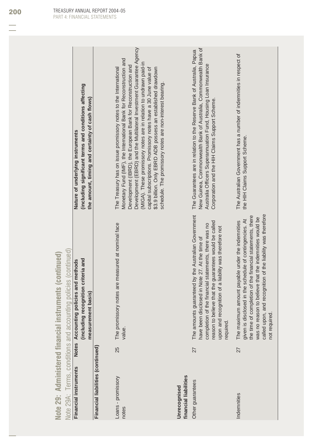|                                                        |                                                                 | (including significant terms and conditions affecting<br>the amount, timing and certainty of cash flows)<br>Nature of underlying instruments |                                   | Development (EBRD) and the Multilateral Investment Guarantee Agency<br>Monetary Fund (IMF), the International Bank for Reconstruction and<br>(MIGA). These promissory notes are in relation to undrawn paid-in<br>Development (IBRD), the European Bank for Reconstruction and<br>The Treasury has on issue promissory notes to the International<br>capital subscriptions. Promissory notes have a 30 June value of<br>\$3.9 billion. Only EBRD ADB possess an established drawdown<br>schedule. The promissory notes are non-interest bearing. |                                       | New Guinea, Commonwealth Bank of Australia, Commonwealth Bank of<br>The Guarantees are in relation to the Reserve Bank of Australia, Papua<br>Australia Officers Superannuation Fund, Housing Loan Insurance<br>Corporation and the HIH Claims Support Scheme.                               | The Australian Government has a number of indemnities in respect of<br>the HIH Claims Support Scheme.                                                                                                                                                                                                                |
|--------------------------------------------------------|-----------------------------------------------------------------|----------------------------------------------------------------------------------------------------------------------------------------------|-----------------------------------|--------------------------------------------------------------------------------------------------------------------------------------------------------------------------------------------------------------------------------------------------------------------------------------------------------------------------------------------------------------------------------------------------------------------------------------------------------------------------------------------------------------------------------------------------|---------------------------------------|----------------------------------------------------------------------------------------------------------------------------------------------------------------------------------------------------------------------------------------------------------------------------------------------|----------------------------------------------------------------------------------------------------------------------------------------------------------------------------------------------------------------------------------------------------------------------------------------------------------------------|
| NOTE ZY: Administered Hiancial Instruments (Continued) | Note 29A: Terms, conditions and accounting policies (continued) | (including recognition criteria and<br>Notes Accounting policies and methods<br>measurement basis)                                           |                                   | The promissory notes are measured at nominal face<br>value.                                                                                                                                                                                                                                                                                                                                                                                                                                                                                      |                                       | The amounts guaranteed by the Australian Government<br>reason to believe that the guarantees would be called<br>completion of the financial statements, there was no<br>upon and recognition of a liability was therefore not<br>have been disclosed in Note 27. At the time of<br>required. | called upon, and recognition of the liability was therefore<br>the time of completion of the financial statements, there<br>was no reason to believe that the indemnities would be<br>is disclosed in the schedule of contingencies. At<br>The maximum amount payable under the indemnities<br>not required<br>given |
|                                                        |                                                                 |                                                                                                                                              |                                   | 25                                                                                                                                                                                                                                                                                                                                                                                                                                                                                                                                               |                                       | 27                                                                                                                                                                                                                                                                                           | 27                                                                                                                                                                                                                                                                                                                   |
|                                                        |                                                                 | Financial instruments                                                                                                                        | Financial liabilities (continued) | Loans - promissory<br>notes                                                                                                                                                                                                                                                                                                                                                                                                                                                                                                                      | financial liabilities<br>Unrecognised | Other guarantees                                                                                                                                                                                                                                                                             | Indemnities                                                                                                                                                                                                                                                                                                          |

**Note 29: Administered financial instruments (continued)**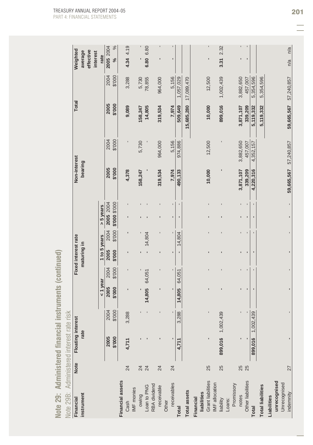Note 29: Administered financial instruments (continued)

| Note 29B:                           |             |                          | Administered interest rate risk |                |                |                     |                |                            |                |                |                |                |                |                                  |
|-------------------------------------|-------------|--------------------------|---------------------------------|----------------|----------------|---------------------|----------------|----------------------------|----------------|----------------|----------------|----------------|----------------|----------------------------------|
| Financial                           | <b>Note</b> | <b>Floating interest</b> |                                 |                |                | Fixed interest rate |                |                            |                | Non-interest   |                | <b>Total</b>   |                | Weighted                         |
| instrument                          |             | rate                     |                                 |                |                | maturing in         |                |                            |                | bearing        |                |                |                | effective<br>average<br>interest |
|                                     |             |                          |                                 | $1$ year       |                | 1 to 5 years        |                | $> 5$ years                |                |                |                |                |                | rate                             |
|                                     |             | 2005<br>\$'000           | \$'000<br>2004                  | 2005<br>\$'000 | \$'000<br>2004 | 2005<br>\$'000      | 2004<br>\$'000 | 2005 2004<br>000.\$ 000.\$ |                | 2005<br>000.\$ | \$'000<br>2004 | 2005<br>000.\$ | 2004<br>\$'000 | 2005 2004<br>$\%$                |
| <b>Financial assets</b>             | 24          | 4.711                    | 3,288                           |                |                |                     |                |                            |                | 4,378          |                | 9,089          | 3,288          | 4.34 4.19                        |
| IMF monies<br>Cash                  |             |                          |                                 |                |                |                     | ı              |                            |                |                |                |                |                |                                  |
| owing                               | 24          |                          |                                 |                |                |                     |                |                            |                | 158,247        | 5,730          | 158,247        | 5,730          |                                  |
| Loan to PNG                         | 24          |                          |                                 | 14,805         | 64,051         |                     | 14,804         |                            |                |                |                | 14,805         | 78,855         | 6.80 6.80                        |
| RBA dividend<br>receivable          | 24          |                          |                                 |                |                |                     |                |                            |                | 319,534        | 964,000        | 319,534        | 964,000        |                                  |
| receivables<br>Other                | 24          |                          |                                 |                |                |                     |                | ٠                          |                | 7,974          | 5,156          | 7,974          | 5,156          | ı                                |
| <b>Total</b>                        |             | 4,711                    | 3,288                           | 14,805         | 64,051         |                     | 14,804         | ı                          | $\blacksquare$ | 490,133        | 974,886        | 509,649        | 1,057,029      |                                  |
| <b>Total assets</b>                 |             |                          |                                 |                |                |                     |                |                            |                |                |                | 15,685,280     | 17,089,470     |                                  |
| liabilities<br>Financial            |             |                          |                                 |                |                |                     |                |                            |                |                |                |                |                |                                  |
| Grant liabilities<br>IMF allocation | 25          | ı                        |                                 |                |                |                     |                |                            |                | 10,000         | 12,500         | 10,000         | 12,500         |                                  |
| liability                           | 25          | 899,016                  | 1,002,439                       |                |                |                     |                |                            |                |                |                | 899,016        | 1,002,439      | 2.32<br>3.31                     |
| Loans:                              |             |                          |                                 |                |                |                     |                |                            |                |                |                |                |                |                                  |
| Promissory<br>notes                 | 25          |                          |                                 |                |                |                     | ı              | ٠                          | 3,871,107<br>ı |                | 3,882,650      | 3,871,107      | 3,882,650      | ı                                |
| Other liabilities                   | 25          |                          |                                 |                | ı              |                     | ı              | $\blacksquare$             | $\blacksquare$ | 339,209        | 457,007        | 339,209        | 457,007        | 1                                |
| <b>Total</b>                        |             | 899,016                  | 1,002,439                       |                |                |                     |                |                            | $\blacksquare$ | 4,220,316      | 4,352,157      | 5,119,332      | 5,354,596      |                                  |
| <b>Total liabilities</b>            |             |                          |                                 |                |                |                     |                |                            |                |                |                | 5,119,332      | 5,354,596      |                                  |
| Liabilities                         |             |                          |                                 |                |                |                     |                |                            |                |                |                |                |                |                                  |
| unrecognised                        |             |                          |                                 |                |                |                     |                |                            |                |                |                |                |                |                                  |
| Unrecognised<br>indemnity           | 27          | $\blacksquare$           |                                 |                |                |                     |                |                            | 59,665,567     |                | 57,240,857     | 59,665,567     | 57,240,857     | n/a<br>n/a                       |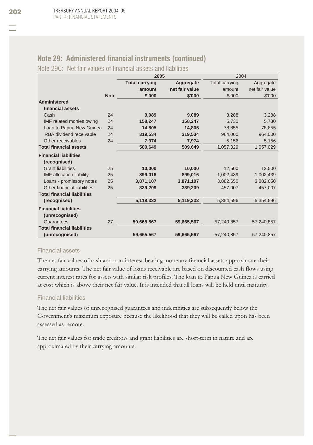## **Note 29: Administered financial instruments (continued)**

## Note 29C: Net fair values of financial assets and liabilities

|                                    |             | 2005                  |                | 2004                  |                |
|------------------------------------|-------------|-----------------------|----------------|-----------------------|----------------|
|                                    |             | <b>Total carrying</b> | Aggregate      | <b>Total carrying</b> | Aggregate      |
|                                    |             | amount                | net fair value | amount                | net fair value |
|                                    | <b>Note</b> | \$'000                | \$'000         | \$'000                | \$'000         |
| <b>Administered</b>                |             |                       |                |                       |                |
| financial assets                   |             |                       |                |                       |                |
| Cash                               | 24          | 9,089                 | 9,089          | 3,288                 | 3,288          |
| IMF related monies owing           | 24          | 158,247               | 158,247        | 5,730                 | 5,730          |
| Loan to Papua New Guinea           | 24          | 14,805                | 14,805         | 78,855                | 78,855         |
| RBA dividend receivable            | 24          | 319,534               | 319,534        | 964,000               | 964,000        |
| Other receivables                  | 24          | 7,974                 | 7,974          | 5,156                 | 5,156          |
| <b>Total financial assets</b>      |             | 509,649               | 509,649        | 1,057,029             | 1,057,029      |
| <b>Financial liabilities</b>       |             |                       |                |                       |                |
| (recognised)                       |             |                       |                |                       |                |
| <b>Grant liabilities</b>           | 25          | 10,000                | 10,000         | 12,500                | 12,500         |
| <b>IMF</b> allocation liability    | 25          | 899,016               | 899,016        | 1,002,439             | 1,002,439      |
| Loans - promissory notes           | 25          | 3,871,107             | 3,871,107      | 3,882,650             | 3,882,650      |
| Other financial liabilities        | 25          | 339,209               | 339,209        | 457,007               | 457,007        |
| <b>Total financial liabilities</b> |             |                       |                |                       |                |
| (recognised)                       |             | 5,119,332             | 5,119,332      | 5,354,596             | 5,354,596      |
| <b>Financial liabilities</b>       |             |                       |                |                       |                |
| (unrecognised)                     |             |                       |                |                       |                |
| Guarantees                         | 27          | 59,665,567            | 59,665,567     | 57,240,857            | 57,240,857     |
| <b>Total financial liabilities</b> |             |                       |                |                       |                |
| (unrecognised)                     |             | 59,665,567            | 59,665,567     | 57,240,857            | 57,240,857     |

## Financial assets

The net fair values of cash and non-interest-bearing monetary financial assets approximate their carrying amounts. The net fair value of loans receivable are based on discounted cash flows using current interest rates for assets with similar risk profiles. The loan to Papua New Guinea is carried at cost which is above their net fair value. It is intended that all loans will be held until maturity.

## Financial liabilities

The net fair values of unrecognised guarantees and indemnities are subsequently below the Government's maximum exposure because the likelihood that they will be called upon has been assessed as remote.

The net fair values for trade creditors and grant liabilities are short-term in nature and are approximated by their carrying amounts.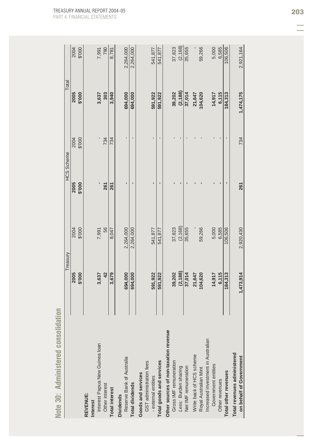|                                                        |           | Treasury  | HCS Scheme |                | Total     |           |
|--------------------------------------------------------|-----------|-----------|------------|----------------|-----------|-----------|
|                                                        | 2005      | 2004      | 2005       | 2004           | 2005      | 2004      |
|                                                        | \$'000    | \$'000    | \$'000     | \$'000         | 000.\$    | \$'000    |
| REVENUE:                                               |           |           |            |                |           |           |
| <b>Interest</b>                                        |           |           |            |                |           |           |
| Interest Papua New Guinea loan                         | 3,637     | 7,991     |            |                | 3,637     | 7,991     |
| Other interest                                         | 42        | 56        | 261        | 734            | 303       | 790       |
| <b>Total interest</b>                                  | 3,679     | 8,047     | 261        | 734            | 3,940     | 8,781     |
| <b>Dividends</b>                                       |           |           |            |                |           |           |
| Reserve Bank of Australia                              | 694,000   | 2,264,000 | ı          | $\blacksquare$ | 694,000   | 2,264,000 |
| Total dividends                                        | 694,000   | 2,264,000 |            |                | 694,000   | 2,264,000 |
| Goods and services                                     |           |           |            |                |           |           |
| GST administration fees<br>external entities           | 591,922   | 541,877   |            |                | 591,922   | 541,877   |
| Total goods and services                               | 591,922   | 541,877   |            |                | 591,922   | 541,877   |
|                                                        |           |           |            |                |           |           |
| Other sources of non-taxation revenue                  |           |           |            |                |           |           |
| Gross IMF remuneration                                 | 39,202    | 37,823    |            |                | 39,202    | 37,823    |
| Less: Burden sharing                                   | (2, 188)  | (2, 168)  |            |                | (2, 188)  | (2, 168)  |
| Net IMF remuneration                                   | 37,014    | 35,655    |            |                | 37,014    | 35,655    |
| Write back of HCS scheme                               | 21,647    |           |            |                | 21,647    |           |
| Royal Australian Mint                                  | 104,620   | 59,266    |            |                | 104,620   | 59,266    |
| Increased investment in Australian                     |           |           |            |                |           |           |
| Government entities                                    | 14,917    | 5,000     |            |                | 14,917    | 5,000     |
| Other revenues                                         | 6,115     | 6,585     |            |                | 6,115     | 6,585     |
| Total other revenues                                   | 184,313   | 106,506   |            |                | 184,313   | 106,506   |
| Total revenues administered<br>on behalf of Government | 1,473,914 | 2,920,430 | 261        | 734            | 1,474,175 | 2,921,164 |

Note 30: Administered consolidation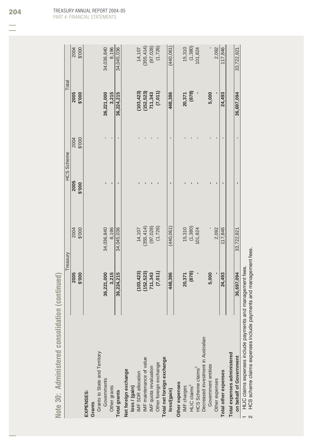| (7,011)<br>(878)<br>(103, 423)<br>(152, 523)<br>2005<br>000.\$<br>36,221,000<br>3,215<br>36,224,215<br>711,343<br>448,386<br>5,000<br>20,371<br>24,493<br>ı<br>ï<br>$\blacksquare$<br>\$'000<br>2004<br>2005<br>ı<br>$\blacksquare$<br>\$'000<br>п<br>(1,380)<br>(355, 414)<br>(97, 028)<br>(1, 726)<br>(440, 061)<br>8,196<br>15,310<br>\$'000<br>34,036,840<br>34,045,036<br>14,107<br>2,092<br>117,846<br>2004<br>101,824<br>(878)<br>(7,011)<br>(103, 423)<br>(152, 523)<br>36,221,000<br>3,215<br>5,000<br>2005<br>36,224,215<br>711,343<br>\$'000<br>448,386<br>20,371<br>24,493<br>Decreased investment in Australian<br>Grants to State and Territory<br>Total expenses administered<br>IMF maintenance of value<br>Total net foreign exchange<br>Other foreign exchange<br>Government entities<br>IMF quota revaluation<br>HCS Scheme claims <sup>2</sup><br>Net foreign exchange<br>Total other expenses<br>loss / (gain)<br>IMF SDR allocation<br>Other expenses<br>Governments<br>Other expenses<br>HLIC claims <sup>1</sup><br>Other grants<br>IMF charges<br>loss/(gain)<br><b>Total grants</b><br>EXPENSES:<br>Grants |                         |            | Treasury   | HCS Scheme     | Total      |            |
|--------------------------------------------------------------------------------------------------------------------------------------------------------------------------------------------------------------------------------------------------------------------------------------------------------------------------------------------------------------------------------------------------------------------------------------------------------------------------------------------------------------------------------------------------------------------------------------------------------------------------------------------------------------------------------------------------------------------------------------------------------------------------------------------------------------------------------------------------------------------------------------------------------------------------------------------------------------------------------------------------------------------------------------------------------------------------------------------------------------------------------------|-------------------------|------------|------------|----------------|------------|------------|
|                                                                                                                                                                                                                                                                                                                                                                                                                                                                                                                                                                                                                                                                                                                                                                                                                                                                                                                                                                                                                                                                                                                                      |                         |            |            |                |            | 2004       |
|                                                                                                                                                                                                                                                                                                                                                                                                                                                                                                                                                                                                                                                                                                                                                                                                                                                                                                                                                                                                                                                                                                                                      |                         |            |            |                |            | \$'000     |
|                                                                                                                                                                                                                                                                                                                                                                                                                                                                                                                                                                                                                                                                                                                                                                                                                                                                                                                                                                                                                                                                                                                                      |                         |            |            |                |            |            |
|                                                                                                                                                                                                                                                                                                                                                                                                                                                                                                                                                                                                                                                                                                                                                                                                                                                                                                                                                                                                                                                                                                                                      |                         |            |            |                |            |            |
|                                                                                                                                                                                                                                                                                                                                                                                                                                                                                                                                                                                                                                                                                                                                                                                                                                                                                                                                                                                                                                                                                                                                      |                         |            |            |                |            |            |
|                                                                                                                                                                                                                                                                                                                                                                                                                                                                                                                                                                                                                                                                                                                                                                                                                                                                                                                                                                                                                                                                                                                                      |                         |            |            |                |            | 34,036,840 |
|                                                                                                                                                                                                                                                                                                                                                                                                                                                                                                                                                                                                                                                                                                                                                                                                                                                                                                                                                                                                                                                                                                                                      |                         |            |            |                |            | 8,196      |
|                                                                                                                                                                                                                                                                                                                                                                                                                                                                                                                                                                                                                                                                                                                                                                                                                                                                                                                                                                                                                                                                                                                                      |                         |            |            |                |            | 34,045,036 |
|                                                                                                                                                                                                                                                                                                                                                                                                                                                                                                                                                                                                                                                                                                                                                                                                                                                                                                                                                                                                                                                                                                                                      |                         |            |            |                |            |            |
|                                                                                                                                                                                                                                                                                                                                                                                                                                                                                                                                                                                                                                                                                                                                                                                                                                                                                                                                                                                                                                                                                                                                      |                         |            |            |                |            |            |
|                                                                                                                                                                                                                                                                                                                                                                                                                                                                                                                                                                                                                                                                                                                                                                                                                                                                                                                                                                                                                                                                                                                                      |                         |            |            |                |            | 14,107     |
|                                                                                                                                                                                                                                                                                                                                                                                                                                                                                                                                                                                                                                                                                                                                                                                                                                                                                                                                                                                                                                                                                                                                      |                         |            |            |                |            | (355, 414) |
|                                                                                                                                                                                                                                                                                                                                                                                                                                                                                                                                                                                                                                                                                                                                                                                                                                                                                                                                                                                                                                                                                                                                      |                         |            |            |                |            | (97, 028)  |
|                                                                                                                                                                                                                                                                                                                                                                                                                                                                                                                                                                                                                                                                                                                                                                                                                                                                                                                                                                                                                                                                                                                                      |                         |            |            |                |            | (1,726)    |
|                                                                                                                                                                                                                                                                                                                                                                                                                                                                                                                                                                                                                                                                                                                                                                                                                                                                                                                                                                                                                                                                                                                                      |                         |            |            |                |            |            |
|                                                                                                                                                                                                                                                                                                                                                                                                                                                                                                                                                                                                                                                                                                                                                                                                                                                                                                                                                                                                                                                                                                                                      |                         |            |            |                |            | (440, 061) |
|                                                                                                                                                                                                                                                                                                                                                                                                                                                                                                                                                                                                                                                                                                                                                                                                                                                                                                                                                                                                                                                                                                                                      |                         |            |            |                |            |            |
|                                                                                                                                                                                                                                                                                                                                                                                                                                                                                                                                                                                                                                                                                                                                                                                                                                                                                                                                                                                                                                                                                                                                      |                         |            |            |                |            | 15,310     |
|                                                                                                                                                                                                                                                                                                                                                                                                                                                                                                                                                                                                                                                                                                                                                                                                                                                                                                                                                                                                                                                                                                                                      |                         |            |            |                |            | (1,380)    |
|                                                                                                                                                                                                                                                                                                                                                                                                                                                                                                                                                                                                                                                                                                                                                                                                                                                                                                                                                                                                                                                                                                                                      |                         |            |            |                |            | 101,824    |
|                                                                                                                                                                                                                                                                                                                                                                                                                                                                                                                                                                                                                                                                                                                                                                                                                                                                                                                                                                                                                                                                                                                                      |                         |            |            |                |            |            |
|                                                                                                                                                                                                                                                                                                                                                                                                                                                                                                                                                                                                                                                                                                                                                                                                                                                                                                                                                                                                                                                                                                                                      |                         |            |            |                |            |            |
|                                                                                                                                                                                                                                                                                                                                                                                                                                                                                                                                                                                                                                                                                                                                                                                                                                                                                                                                                                                                                                                                                                                                      |                         |            |            |                |            | 2,092      |
|                                                                                                                                                                                                                                                                                                                                                                                                                                                                                                                                                                                                                                                                                                                                                                                                                                                                                                                                                                                                                                                                                                                                      |                         |            |            |                |            | 117,846    |
|                                                                                                                                                                                                                                                                                                                                                                                                                                                                                                                                                                                                                                                                                                                                                                                                                                                                                                                                                                                                                                                                                                                                      |                         |            |            |                |            |            |
|                                                                                                                                                                                                                                                                                                                                                                                                                                                                                                                                                                                                                                                                                                                                                                                                                                                                                                                                                                                                                                                                                                                                      | on behalf of Government | 36,697,094 | 33,722,821 | $\blacksquare$ | 36,697,094 | 33,722,821 |

Note 30: Administered consolidation (continued) **Note 30: Administered consolidation (continued)** 

TREASURY ANNUAL REPORT 2004-05 PART 4: FINANCIAL STATEMENTS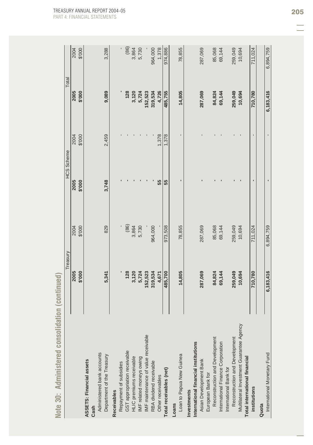| Note 30: Administered consolid              | Treasury<br>ation (continued) |                 | HCS Scheme     |                | Total     |           |
|---------------------------------------------|-------------------------------|-----------------|----------------|----------------|-----------|-----------|
|                                             | 2005                          | 2004            | 2005           | 2004           | 2005      | 2004      |
|                                             | \$'000                        | \$'000          | \$'000         | \$'000         | \$'000    | \$'000    |
| <b>ASSETS: Financial assets</b><br>Cash     |                               |                 |                |                |           |           |
| Administered bank accounts                  |                               |                 |                |                |           |           |
| Department of the Treasury                  | 5,341                         | 829             | 3,748          | 2,459          | 9,089     | 3,288     |
| Receivables                                 |                               |                 |                |                |           |           |
| Repayment of subsidies                      |                               |                 |                |                |           |           |
| GST appropriation receivable                | 128                           |                 |                |                | 128       | (86)      |
| HLIC premiums receivable                    | 3,120                         | $(86)$<br>3,864 |                |                | 3,120     | 3,864     |
| IMF related moneys owing                    | 5,724                         | 5,730           |                |                | 5,724     | 5,730     |
| MF maintenance of value receivable          | 152,523                       |                 |                |                | 152,523   |           |
| RBA dividend receivable                     | 319,534                       | 964,000         |                |                | 319,534   | 964,000   |
| Other receivables                           | 4,671                         |                 | 55             | 1,378          | 4,726     | 1,378     |
| Total receivables (net)                     | 485,700                       | 973,508         | 55             | 1,378          | 485,755   | 974,886   |
| Loans                                       |                               |                 |                |                |           |           |
| Loan to Papua New Guinea                    | 14,805                        | 78,855          | ٠              | $\blacksquare$ | 14,805    | 78,855    |
| Investments                                 |                               |                 |                |                |           |           |
| International financial institutions        |                               |                 |                |                |           |           |
| Asian Development Bank<br>European Bank for | 287,069                       | 287,069         |                |                | 287,069   | 287,069   |
| Reconstruction and Development              | 84,824                        | 85,068          |                |                | 84,824    | 85,068    |
| International Finance Corporation           | 69,144                        | 69,144          |                |                | 69,144    | 69,144    |
| International Bank for                      |                               |                 |                |                |           |           |
| Reconstruction and Development              | 259,049                       | 259,049         |                |                | 259,049   | 259,049   |
| Multilateral Investment Guarantee Agency    | 10,694                        | 10,694          |                |                | 10,694    | 10,694    |
| Total international financial               |                               |                 |                |                |           |           |
| institutions                                | 710,780                       | 711,024         | $\blacksquare$ | $\blacksquare$ | 710,780   | 711,024   |
| Quota                                       |                               |                 |                |                |           |           |
| International Monetary Fund                 | 6,183,416                     | 6,894,759       | $\blacksquare$ |                | 6,183,416 | 6,894,759 |

Note 30: Administered consolidation (continued)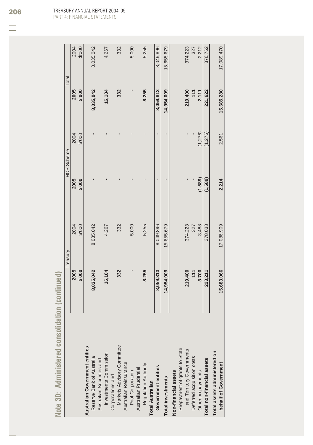|                                | Treasury   |            | <b>HCS Scheme</b> |          | Total      |            |
|--------------------------------|------------|------------|-------------------|----------|------------|------------|
|                                | 2005       | 2004       | 2005              | 2004     | 2005       | 2004       |
|                                | 000.\$     | \$'000     | 000.\$            | \$'000   | \$'000     | 000.\$     |
| Australian Government entities |            |            |                   |          |            |            |
| Reserve Bank of Australia      | 8,035,042  | 8,035,042  |                   |          | 8,035,042  | 8,035,042  |
| Australian Securities and      |            |            |                   |          |            |            |
| Investments Commission         | 16,184     | 4,267      |                   |          | 16,184     | 4,267      |
| Corporations and               |            |            |                   |          |            |            |
| Markets Advisory Committee     | 332        | 332        |                   |          | 332        | 332        |
| Australian Reinsurance         |            |            |                   |          |            |            |
| Pool Corporation               |            | 5,000      |                   |          |            | 5,000      |
| Australian Prudential          |            |            |                   |          |            |            |
| Regulation Authority           | 8,255      | 5,255      |                   |          | 8,255      | 5,255      |
| <b>Total Australian</b>        |            |            |                   |          |            |            |
| Government entities            | 8,059,813  | 8,049,896  | ŗ                 | ī        | 8,059,813  | 8,049,896  |
| <b>Total investments</b>       | 14,954,009 | 15,655,679 |                   |          | 14,954,009 | 15,655,679 |
| Non-financial assets           |            |            |                   |          |            |            |
| Prepayment of grants to State  |            |            |                   |          |            |            |
| and Territory Governments      | 219,400    | 374,223    |                   |          | 219,400    | 374,223    |
| Deferred acquisition costs     | 111        | 327        |                   |          | 111        | 327        |
| Other prepayments              | 3,700      | 3,488      | (1,589)           | (1, 276) | 2,111      | 2,212      |
| Total non-financial assets     | 223,211    | 378,038    | (1,589)           | (1, 276) | 221,622    | 376,762    |
| Total assets administered on   |            |            |                   |          |            |            |
| behalf of Government           | 15,683,066 | 17,086,909 | 2,214             | 2,561    | 15,685,280 | 17,089,470 |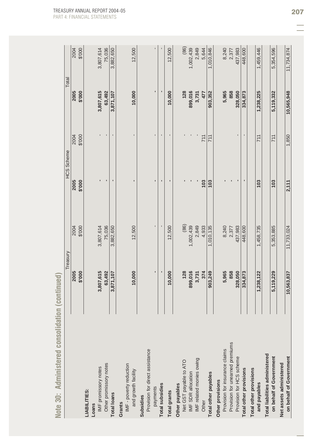| Note 30: Administered consolidation (continued)          |                | Treasury   | <b>HCS Scheme</b> |                | Total      |            |
|----------------------------------------------------------|----------------|------------|-------------------|----------------|------------|------------|
|                                                          | 2005           | 2004       | 2005              | 2004           | 2005       | 2004       |
|                                                          | \$'000         | \$'000     | \$'000            | \$'000         | 000.\$     | 000.\$     |
| LIABILITIES:                                             |                |            |                   |                |            |            |
| Loans                                                    |                |            |                   |                |            |            |
| IMF promissory notes                                     | 3,807,615      | 3,807,614  |                   |                | 3,807,615  | 3,807,614  |
| Other promissory notes                                   | 63,492         | 75,036     |                   |                | 63,492     | 75,036     |
| <b>Total loans</b>                                       | 3,871,107      | 3,882,650  |                   | $\blacksquare$ | 3,871,107  | 3,882,650  |
| IMF - poverty reduction<br>and growth facility<br>Grants | 10,000         | 12,500     | $\blacksquare$    | $\blacksquare$ | 10,000     | 12,500     |
| Provision for direct assistance<br>Subsidies             |                |            |                   |                |            |            |
| payments                                                 | $\blacksquare$ |            | $\blacksquare$    | $\blacksquare$ | п          |            |
| <b>Total subsidies</b>                                   |                |            | ٠                 | $\blacksquare$ | ٠          |            |
| <b>Total grants</b>                                      | 10,000         | 12,500     | ı                 | $\blacksquare$ | 10,000     | 12,500     |
| Other payables                                           |                |            |                   |                |            |            |
| Net GST payable to ATO                                   | 128            | (86)       |                   |                | 128        | (86)       |
| IMF SDR allocation                                       | 899,016        | 1,002,439  |                   |                | 899,016    | 1,002,439  |
| IMF related monies owing                                 | 3,731          | 2,849      |                   |                | 3,731      | 2,849      |
| Other                                                    | 374            | 4,933      | 103               | 711            | 477        | 5,644      |
| Total other payables                                     | 903,249        | 1,010,135  | 103               | 711            | 903,352    | 1,010,846  |
| Other provisions                                         |                |            |                   |                |            |            |
| Provision for insurance claims                           | 5,965          | 8,240      |                   |                | 5,965      | 8,240      |
| Provision for unearned premiums                          | 858            | 2,377      |                   |                | 858        | 2,377      |
| Provision for HCS scheme                                 | 328,050        | 437,983    |                   |                | 328,050    | 437,983    |
| Total other provisions                                   | 334,873        | 448,600    | ٠                 | $\blacksquare$ | 334,873    | 448,600    |
| <b>Total other provisions</b>                            |                |            |                   |                |            |            |
| and payables                                             | 1,238,122      | 1,458,735  | 103               | 711            | 1,238,225  | 1,459,446  |
| Total liabilities administered                           |                |            |                   |                |            |            |
| on behalf of Government                                  | 5,119,229      | 5,353,885  | 103               | 711            | 5,119,332  | 5,354,596  |
| Net assets administered                                  |                |            |                   |                |            |            |
| on behalf of Government                                  | 10,563,837     | 11,733,024 | 2,111             | 1,850          | 10,565,948 | 11,734,874 |

Note 30: Administered consolidation (continued)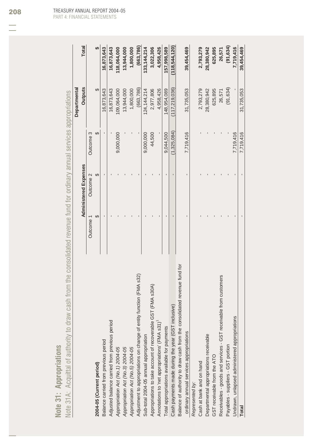|                          | ı      |
|--------------------------|--------|
|                          | j      |
| p<br>$\equiv$<br>¢       | ï      |
| $=$<br>è<br>ā            | ì      |
| Έ<br>$\overline{0}$      |        |
| 느<br>$\overline{0}$<br>۰ |        |
| ۰<br>ē                   | ı      |
| $\blacksquare$<br>×      | í      |
| Ġ<br>٦                   | ł<br>I |
| 유<br>I                   | ï      |
| Ć<br>-<br>ï<br>⋍         | í<br>ï |

| I<br>j<br>)<br>ļ<br>¢<br>i<br>l<br>$\overline{\phantom{a}}$<br>$\frac{1}{2}$<br>ļ<br>j<br>l<br>j<br>I                                                                                                                                                                 | ֧֧֧֧֧֧֧֛֦֧֧֦֧֚֚֚֚֚֚֚֚֚֚֚֚֚֚֚֜֡֓֜֜֜֓֜֜֓֟֓֡֓<br>5<br>l |
|-----------------------------------------------------------------------------------------------------------------------------------------------------------------------------------------------------------------------------------------------------------------------|------------------------------------------------------|
| $\frac{1}{2}$<br>$\mathbf{I}$<br>$\sim$ $\sim$ $\sim$                                                                                                                                                                                                                 |                                                      |
| $\sim$ $\sim$ $\sim$<br>I                                                                                                                                                                                                                                             |                                                      |
| i                                                                                                                                                                                                                                                                     |                                                      |
| $\mathbf$                                                                                                                                                                                                                                                             |                                                      |
| $\frac{1}{2}$<br>$\overline{\phantom{a}}$<br>l<br>$\overline{\phantom{a}}$<br>ļ<br>$\overline{\phantom{a}}$                                                                                                                                                           |                                                      |
| $\frac{1}{2} \int_{0}^{2\pi} \frac{1}{2} \left( \int_{0}^{2\pi} \frac{1}{2} \left( \int_{0}^{2\pi} \frac{1}{2} \left( \int_{0}^{2\pi} \frac{1}{2} \left( \int_{0}^{2\pi} \frac{1}{2} \left( \int_{0}^{2\pi} \frac{1}{2} \right) \right) \right) \, d\mu \right) d\mu$ |                                                      |
| $\overline{\phantom{a}}$<br>١                                                                                                                                                                                                                                         |                                                      |
| I                                                                                                                                                                                                                                                                     |                                                      |
| くうきょうこく<br>$\overline{\phantom{a}}$<br>$\overline{\phantom{a}}$<br>ĵ<br>ļ<br>j<br>è<br>C                                                                                                                                                                              |                                                      |
| ä<br>$\overline{\epsilon}$<br>١<br>$\overline{1}$<br><b>HUDO</b><br>ā                                                                                                                                                                                                 |                                                      |
| é<br>J<br>ı,<br>ÿ<br>$\sqrt{0}$ te 3<br>2                                                                                                                                                                                                                             |                                                      |

|                                                                          |           | Administered Expenses |             | <b>Outputs</b>  | <b>Total</b>  |
|--------------------------------------------------------------------------|-----------|-----------------------|-------------|-----------------|---------------|
|                                                                          | Outcome 1 | Outcome 2             | Outcome 3   |                 |               |
| 2004-05 (Current period)                                                 | ↔         |                       | ↔           | ↔               | ക             |
| Balance carried from previous period                                     |           |                       |             | 6,873,643       | 16,873,643    |
| Adjusted balance carried from previous period                            |           |                       |             | 16,873,643      | 16,873,643    |
| Appropriation Act (No. 1) 2004-05                                        |           |                       | 9,000,000   | 109,064,000     | 118,064,000   |
| Appropriation Act (No.3) 2004-05                                         |           |                       |             | 13,944,000      | 13,944,000    |
| Appropriation Act (No.5) 2004-05                                         |           |                       |             | 1,800,000       | 1,800,000     |
| Adjustment to appropriations on change of entity function (FMA s32)      |           |                       |             | (663,786)       | (663, 786)    |
| Sub-total 2004-05 annual appropriation                                   |           |                       | 9,000,000   | 124, 144, 214   | 133, 144, 214 |
| Appropriations to take account of recoverable GST (FMA s30A)             |           |                       | 44,500      | 2,977,806       | 3,022,306     |
| Annotations to 'net appropriations' (FMA s31) <sup>1</sup>               |           |                       |             | 4,958,426       | 4,958,426     |
| Total appropriations available for payments                              |           |                       | 9,044,500   | 148,954,089     | 157,998,589   |
| Cash payments made during the year (GST inclusive)                       |           |                       | (1,325,084) | (117, 219, 036) | (118,544,120) |
| Balance of authority to draw cash from the consolidated revenue fund for |           |                       |             |                 |               |
| ordinary annual services appropriations                                  |           |                       | 7,719,416   | 31,735,053      | 39,454,469    |
| Represented by:                                                          |           |                       |             |                 |               |
| Cash at bank and on hand                                                 |           |                       |             | 2,793,279       | 2,793,279     |
| Departmental appropriations receivable                                   |           |                       |             | 28,380,942      | 28,380,942    |
| GST receivable from the ATO                                              |           |                       |             | 625,895         | 625,895       |
| Receivables - goods and services - GST receivable from customers         |           |                       |             | 26,571          | 26,571        |
| Payables - suppliers - GST portion                                       |           |                       |             | (91, 634)       | (91, 634)     |
| Undrawn, unlapsed administered appropriations                            |           |                       | 7.719.416   |                 | 7,719,416     |
| Total                                                                    |           |                       | 7,719,416   | 31,735,053      | 39,454,469    |
|                                                                          |           |                       |             |                 |               |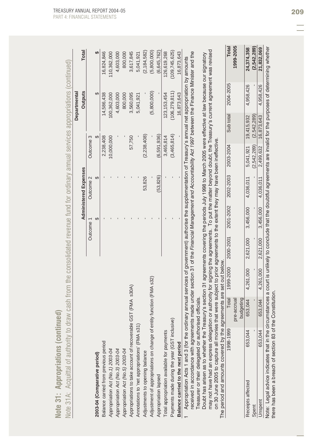| Note 31: Appropriations (continued                                                                                                                                                                                                                                                                                                                                                |                                                                                                      |           |           |           |                              |             |             |                 |                                                                                                                              |
|-----------------------------------------------------------------------------------------------------------------------------------------------------------------------------------------------------------------------------------------------------------------------------------------------------------------------------------------------------------------------------------|------------------------------------------------------------------------------------------------------|-----------|-----------|-----------|------------------------------|-------------|-------------|-----------------|------------------------------------------------------------------------------------------------------------------------------|
| Note 31A: Acquittal of authority to                                                                                                                                                                                                                                                                                                                                               | draw cash from the consolidated revenue fund for ordinary annual services appropriations (continued) |           |           |           |                              |             |             |                 |                                                                                                                              |
|                                                                                                                                                                                                                                                                                                                                                                                   |                                                                                                      |           |           |           |                              |             |             | Departmental    |                                                                                                                              |
|                                                                                                                                                                                                                                                                                                                                                                                   |                                                                                                      |           |           |           | <b>Administered Expenses</b> |             |             | <b>Outputs</b>  | Total                                                                                                                        |
|                                                                                                                                                                                                                                                                                                                                                                                   |                                                                                                      |           |           | Outcome   | Outcome 2                    | Outcome 3   |             |                 |                                                                                                                              |
| 2003-04 (Comparative period)                                                                                                                                                                                                                                                                                                                                                      |                                                                                                      |           |           | ↔         | $\Theta$                     |             | ↔           | $\Theta$        | ↮                                                                                                                            |
| Balance carried from previous period                                                                                                                                                                                                                                                                                                                                              |                                                                                                      |           |           |           |                              | 2,238,408   |             | 14,586,438      | 16,824,846                                                                                                                   |
| Appropriation Act (No. 1) 2003-04                                                                                                                                                                                                                                                                                                                                                 |                                                                                                      |           |           |           |                              | 10,000,000  |             | 100,362,000     | 110,362,000                                                                                                                  |
| Appropriation Act (No. 3) 2003-04                                                                                                                                                                                                                                                                                                                                                 |                                                                                                      |           |           |           |                              |             |             | 4,603,000       | 4,603,000                                                                                                                    |
| Appropriation Act (No.5) 2003-04                                                                                                                                                                                                                                                                                                                                                  |                                                                                                      |           |           |           |                              |             |             | 800,000         | 800,000                                                                                                                      |
| Appropriations to take account of recoverable GST (FMA s30A)                                                                                                                                                                                                                                                                                                                      |                                                                                                      |           |           |           |                              | 57,750      |             | 3,560,095       | 3,617,845                                                                                                                    |
| Annotations to 'net appropriations' (FMA s31)                                                                                                                                                                                                                                                                                                                                     |                                                                                                      |           |           |           |                              |             |             | 5,041,921       | 5,041,921                                                                                                                    |
| Adjustments to opening balance                                                                                                                                                                                                                                                                                                                                                    |                                                                                                      |           |           |           | 53,826                       | (2,238,408) |             |                 | (2, 184, 582)                                                                                                                |
| Adjustment of appropriations on change of                                                                                                                                                                                                                                                                                                                                         | entity function (FMA s32)                                                                            |           |           |           |                              |             |             | (5,800,000)     | (5,800,000)                                                                                                                  |
| Appropriation lapsed                                                                                                                                                                                                                                                                                                                                                              |                                                                                                      |           |           |           | (53, 826)                    | (6,591,936) |             |                 | (6, 645, 762)                                                                                                                |
| Total appropriation available for payments                                                                                                                                                                                                                                                                                                                                        |                                                                                                      |           |           |           |                              | 3,465,814   |             | 123, 153, 454   | 126,619,268                                                                                                                  |
| Payments made during the year (GST inclusive)                                                                                                                                                                                                                                                                                                                                     |                                                                                                      |           |           |           |                              | (3,465,814) |             | (106, 279, 811) | (109, 745, 625)                                                                                                              |
| Balance carried to the next period                                                                                                                                                                                                                                                                                                                                                |                                                                                                      |           |           |           |                              |             |             | 16,873,643      | 16,873,643                                                                                                                   |
| received in accordance with agreements made under section 31 of the Financial Management and Accountability Act 1997 between the Finance Minister and the<br>Appropriation Acts 1 and 3 (for the ordinary annual services of government) authorise the supplementation of Treasury's annual net appropriation by amounts<br>Treasurer or their delegated or authorised officials. |                                                                                                      |           |           |           |                              |             |             |                 |                                                                                                                              |
| Doubt has arisen as to whether the Treasury's section 31 agreements covering the periods July 1998 to March 2005 were effective at law because our signatory                                                                                                                                                                                                                      |                                                                                                      |           |           |           |                              |             |             |                 |                                                                                                                              |
| may not have had an express delegation or authority for signing the agreements. To put the matter beyond doubt, the Treasury's current agreement was revised<br>on 30 June 2005 to capture all monies that were subject to prior agreements to the extent they may have been ineffective                                                                                          |                                                                                                      |           |           |           |                              |             |             |                 |                                                                                                                              |
| The period and amounts covered by the agreements are set out below                                                                                                                                                                                                                                                                                                                |                                                                                                      |           |           |           |                              |             |             |                 |                                                                                                                              |
| 1998-1999                                                                                                                                                                                                                                                                                                                                                                         | Total                                                                                                | 1999-2000 | 2000-2001 | 2001-2002 | 2002-2003                    | 2003-2004   | Sub total   | 2004-2005       | <b>Total</b>                                                                                                                 |
|                                                                                                                                                                                                                                                                                                                                                                                   | budgeting<br>pre-accrual                                                                             |           |           |           |                              |             |             |                 | 1999-2005                                                                                                                    |
| 653,044<br>Receipts affected                                                                                                                                                                                                                                                                                                                                                      | 653,044                                                                                              | 4,261,000 | 2,621,000 | 3,456,000 | 4,036,011                    | 5,041,921   | 19,415,932  | 4,958,426       | 24,374,358                                                                                                                   |
| Spent                                                                                                                                                                                                                                                                                                                                                                             |                                                                                                      |           |           |           |                              | (2,542,289) | (2,542,289) |                 | (2,542,289)                                                                                                                  |
| 653,044<br>Unspent                                                                                                                                                                                                                                                                                                                                                                | 653,044                                                                                              | 4.261.000 | 2.621.000 | 3.456.000 | 4.036.011                    | 2,499,632   | 16,873,643  | 4,958,426       | 21,832,069                                                                                                                   |
| there has been a breach of section 83 of<br>Note: Legal advice indicates that in the o                                                                                                                                                                                                                                                                                            | the Constitution.                                                                                    |           |           |           |                              |             |             |                 | counstances a court is unlikely to conclude that the doubtful agreements are invalid for the purposes of determining whether |

Note 31: Appropriations (continued)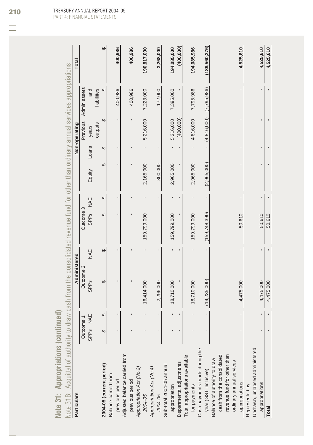| Note 31: Appropriations (continued                                                                                                      |             |        |                        |     |                  |   |           |       |               |                       |             |
|-----------------------------------------------------------------------------------------------------------------------------------------|-------------|--------|------------------------|-----|------------------|---|-----------|-------|---------------|-----------------------|-------------|
| Note 31B: Acquittal of authority to draw cash from the consolidated revenue fund for other than ordinary annual services appropriations |             |        |                        |     |                  |   |           |       |               |                       |             |
| <b>Particulars</b>                                                                                                                      |             |        | Administered           |     |                  |   |           |       | Non-operating |                       | Total       |
|                                                                                                                                         | Outcon      | `<br>e | Outcome 2              |     | <b>Dutcome 3</b> |   |           |       |               | Previous Admin assets |             |
|                                                                                                                                         | <b>SPPs</b> | NAE    | <b>SPP<sub>S</sub></b> | NAE | SPPs NAE         |   | Equity    | Loans | years'        | and                   |             |
|                                                                                                                                         |             |        |                        |     |                  |   |           |       | outputs       | liabilities           |             |
| 2004-05 (current period)                                                                                                                |             | ↔      | ↔                      | ↔   | ↔                | ↔ | G,        | ↔     |               |                       |             |
| Balance carried from                                                                                                                    |             |        |                        |     |                  |   |           |       |               |                       |             |
| previous period                                                                                                                         |             |        |                        |     |                  |   |           |       |               | 400,986               | 400.986     |
| Adjusted balance carried from                                                                                                           |             |        |                        |     |                  |   |           |       |               |                       |             |
| previous period                                                                                                                         |             |        |                        |     |                  |   |           |       |               | 400,986               | 400,986     |
| Appropriation Act (No.2)                                                                                                                |             |        |                        |     |                  |   |           |       |               |                       |             |
| 2004-05                                                                                                                                 |             |        | 16,414,000             |     | 159,799,000      |   | 2,165,000 |       | 5,216,000     | 7,223,000             | 190,817,000 |
| Appropriation Act (No. 4)                                                                                                               |             |        |                        |     |                  |   |           |       |               |                       |             |
| 2004-05                                                                                                                                 |             |        | 2,296,000              |     |                  |   | 800,000   |       |               | 172,000               | 3,268,000   |
| Sub-total 2004-05 annual                                                                                                                |             |        |                        |     |                  |   |           |       |               |                       |             |
| appropriation                                                                                                                           |             |        | 18,710,000             |     | 159,799,000      |   | 2,965,000 |       | 5,216,000     | 7,395,000             | 194,085,000 |
| Departmental adjustments                                                                                                                |             |        |                        |     |                  |   |           |       | (400, 000)    |                       | (400, 000)  |
| Total appropriations available                                                                                                          |             |        |                        |     |                  |   |           |       |               |                       |             |

| 4,525,610       |                             |             | 50,610          | 4,475,000      |  | Total                          |
|-----------------|-----------------------------|-------------|-----------------|----------------|--|--------------------------------|
| 4,525,610       |                             |             | 50,610          | 4,475,000      |  | appropriations                 |
|                 |                             |             |                 |                |  | Undrawn, unlapsed administered |
|                 |                             |             |                 |                |  | Represented by:                |
| 4,525,610       |                             |             | 50.610          | 4,475,000      |  | appropriations                 |
|                 |                             |             |                 |                |  | ordinary annual services       |
|                 |                             |             |                 |                |  | revenue fund for other than    |
|                 |                             |             |                 |                |  | cash from the consolidated     |
|                 |                             |             |                 |                |  | Balance of authority to draw   |
| (189, 560, 376) | $(4,816,000)$ $(7,795,986)$ | (2,965,000) | (159, 748, 390) | (14, 235, 000) |  | year (GST inclusive)           |
|                 |                             |             |                 |                |  | Cash payments made during the  |
| 194.085.986     | 4,816,000 7,795,986         | 2,965,000   | 159,799,000     | 18.710.000     |  | for payments                   |

TREASURY ANNUAL REPORT 2004-05 PART 4: FINANCIAL STATEMENTS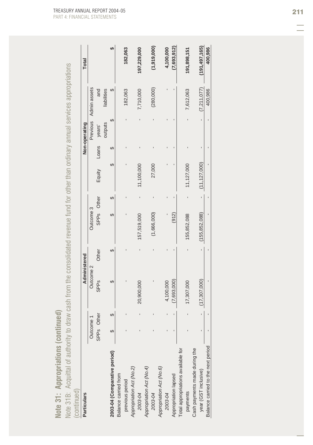| ∽                                |
|----------------------------------|
| ı                                |
| ì,<br>I                          |
| é<br>i i<br>ı,                   |
| é<br>ı                           |
| I<br>$\sim$                      |
| ×<br>ı<br>Ì                      |
| a.                               |
| ■■                               |
| ٠                                |
| ï<br>⋍                           |
|                                  |
| ٠                                |
| pη                               |
| ú<br>۰                           |
|                                  |
|                                  |
| D                                |
| -                                |
| ś                                |
| e                                |
| $=$<br>۰                         |
| n.                               |
| ä<br>í                           |
|                                  |
| 医院<br>ı                          |
| ۱                                |
| $\mathbf{r}$                     |
| ó                                |
| ı,                               |
| ⋍                                |
| ۰                                |
| Ξ                                |
| h                                |
| ═                                |
| ⋖                                |
|                                  |
|                                  |
| $\blacksquare$<br>$\blacksquare$ |
| i                                |
|                                  |
| פי                               |
|                                  |
|                                  |
| m<br>٠                           |
| ÷                                |
| ๛                                |
|                                  |
| $\sim$                           |
| ╱<br>_                           |

| Note 31B: Acquittal of authority to draw cash from the consolidated revenue fund for other than ordinary annual services appropriations<br>Note 31: Appropriations (continued |            |   |                        |              |                 |   |                |       |               |              |                 |
|-------------------------------------------------------------------------------------------------------------------------------------------------------------------------------|------------|---|------------------------|--------------|-----------------|---|----------------|-------|---------------|--------------|-----------------|
| (continued)                                                                                                                                                                   |            |   |                        |              |                 |   |                |       |               |              |                 |
| <b>Particulars</b>                                                                                                                                                            |            |   |                        | Administered |                 |   |                |       | Non-operating |              | Total           |
|                                                                                                                                                                               | Outcome 1  |   | Outcome 2              |              | Outcome 3       |   |                |       | Previous      | Admin assets |                 |
|                                                                                                                                                                               | SPPs Other |   | <b>SPP<sub>S</sub></b> | Other        | SPPs Other      |   | Equity         | Loans | years'        | and          |                 |
|                                                                                                                                                                               |            |   |                        |              |                 |   |                |       | outputs       | liabilities  |                 |
| 2003-04 (Comparative period)                                                                                                                                                  | ↔          | ↔ | ↔                      | ↔            | ക               | ക | ↔              | ↔     | ↔             | ↔            | ക               |
| Balance carried from                                                                                                                                                          |            |   |                        |              |                 |   |                |       |               |              |                 |
| previous period                                                                                                                                                               |            |   |                        |              |                 |   |                |       |               | 182,063      | 182,063         |
| Appropriation Act (No.2)                                                                                                                                                      |            |   |                        |              |                 |   |                |       |               |              |                 |
| 2003-04                                                                                                                                                                       |            |   | 20,900,000             |              | 157,519,000     |   | 11,100,000     |       |               | 7,710,000    | 197,229,000     |
| Appropriation Act (No.4)                                                                                                                                                      |            |   |                        |              |                 |   |                |       |               |              |                 |
| 2003-04                                                                                                                                                                       |            |   |                        |              | (1,666,000)     |   | 27,000         |       |               | (280, 000)   | (1,919,000)     |
| Appropriation Act (No.6)                                                                                                                                                      |            |   |                        |              |                 |   |                |       |               |              |                 |
| 2003-04                                                                                                                                                                       |            |   | 4,100,000              |              |                 |   |                |       |               |              | 4,100,000       |
| Appropriation lapsed                                                                                                                                                          |            |   | (7,693,000)            |              | (912)           |   |                |       |               |              | (7,693,912)     |
| Total appropriations available for                                                                                                                                            |            |   |                        |              |                 |   |                |       |               |              |                 |
| payments                                                                                                                                                                      |            |   | 17,307,000             |              | 155,852,088     |   | 11,127,000     |       |               | 7,612,063    | 191,898,151     |
| Cash payments made during the                                                                                                                                                 |            |   |                        |              |                 |   |                |       |               |              |                 |
| year (GST inclusive)                                                                                                                                                          |            |   | (17, 307, 000)         |              | (155, 852, 088) |   | (11, 127, 000) |       |               | (7,211,077)  | (191, 497, 165) |
| Balance carried to the next period                                                                                                                                            |            |   |                        |              |                 |   |                |       |               | 400,986      | 400,986         |
|                                                                                                                                                                               |            |   |                        |              |                 |   |                |       |               |              |                 |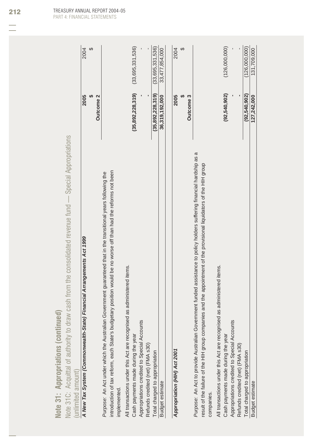| Note 31: Appropriations (continued)                                                                                                |                      |                  |
|------------------------------------------------------------------------------------------------------------------------------------|----------------------|------------------|
| Note 31C: Acquittal of authority to draw cash from the consolidated revenue fund — Special Appropriations                          |                      |                  |
| (unlimited amount)                                                                                                                 |                      |                  |
| A New Tax System (Commonwealth-State) Financial Arrangements Act 1999                                                              | 2005                 | 2004             |
|                                                                                                                                    | Outcome <sub>2</sub> | ↔                |
| Purpose: An Act under which the Australian Government guaranteed that in the transitional years following the                      |                      |                  |
| introduction of tax reform, each State's budgetary position would be no worse off than had the reforms not been<br>implemented.    |                      |                  |
| All transactions under this Act are recognised as administered items.                                                              |                      |                  |
| Cash payments made during the year                                                                                                 | (35, 892, 228, 319)  | (33,695,331,536) |
| Appropriations credited to Special Accounts                                                                                        |                      |                  |
| Refunds credited (net) (FMA s30)                                                                                                   |                      |                  |
| Total charged to appropriation                                                                                                     | (35,892,228,319)     | (33,695,331,536) |
| <b>Budget estimate</b>                                                                                                             | 36,319,192,000       | 33,477,854,000   |
|                                                                                                                                    |                      |                  |
| Appropriation (HIH) Act 2001                                                                                                       | 2005                 | 2004             |
|                                                                                                                                    |                      | ↔                |
|                                                                                                                                    | Outcome <sub>3</sub> |                  |
| Purpose: An Act to provide Australian Government funded assistance to policy holders suffering financial hardship as a             |                      |                  |
| result of the failure of the HIH group companies and the appointment of the provisional liquidators of the HIH group<br>companies. |                      |                  |
| All transactions under this Act are recognised as administered items.                                                              |                      |                  |
| Cash payments made during the year                                                                                                 | (92, 540, 902)       | (126,000,000)    |
| Appropriations credited to Special Accounts                                                                                        |                      |                  |
| Refunds credited (net) (FMA s30)                                                                                                   |                      |                  |
| Total charged to appropriation                                                                                                     | (92, 540, 902)       | (126,000,000)    |
| <b>Budget estimate</b>                                                                                                             | 127,242,000          | 131,709,000      |
|                                                                                                                                    |                      |                  |

TREASURY ANNUAL REPORT 2004-05 PART 4: FINANCIAL STATEMENTS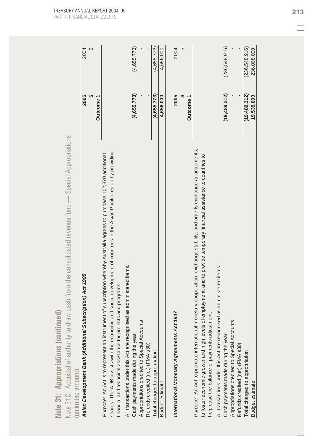| (236,548,916)<br>(4,655,773)<br>(4,655,773)<br>4,656,000<br>(19,489,312)<br>(4, 655, 773)<br>(4, 655, 773)<br>2005<br>2005<br>4,656,000<br>Outcome 1<br><b>Outcome</b><br>Note 31C: Acquittal of authority to draw cash from the consolidated revenue fund — Special Appropriations<br>Purpose: An Act to promote international monetary cooperation, exchange stability, and orderly exchange arrangements;<br>and social development of countries in the Asian Pacific region by providing<br>Purpose: An Act is to represent an instrument of subscription whereby Australia agrees to purchase 102,370 additional<br>to foster economic growth and high levels of employment; and to provide temporary financial assistance to countries to<br>All transactions under this Act are recognised as administered items.<br>All transactions under this Act are recognised as administered items.<br>Asian Development Bank (Additional Subscription) Act 1995<br>financial and technical assistance for projects and programs.<br>International Monetary Agreements Act 1947<br>help ease the balance of payments adjustment.<br>Appropriations credited to Special Accounts<br>Appropriations credited to Special Accounts<br>shares. The ADB assists with the economic<br>Cash payments made during the year<br>Cash payments made during the year<br>Refunds credited (net) (FMA s30)<br>Refunds credited (net) (FMA s30)<br>Total charged to appropriation<br>(unlimited amount)<br>Budget estimate |  |
|----------------------------------------------------------------------------------------------------------------------------------------------------------------------------------------------------------------------------------------------------------------------------------------------------------------------------------------------------------------------------------------------------------------------------------------------------------------------------------------------------------------------------------------------------------------------------------------------------------------------------------------------------------------------------------------------------------------------------------------------------------------------------------------------------------------------------------------------------------------------------------------------------------------------------------------------------------------------------------------------------------------------------------------------------------------------------------------------------------------------------------------------------------------------------------------------------------------------------------------------------------------------------------------------------------------------------------------------------------------------------------------------------------------------------------------------------------------------------------------------------------|--|
|                                                                                                                                                                                                                                                                                                                                                                                                                                                                                                                                                                                                                                                                                                                                                                                                                                                                                                                                                                                                                                                                                                                                                                                                                                                                                                                                                                                                                                                                                                          |  |
|                                                                                                                                                                                                                                                                                                                                                                                                                                                                                                                                                                                                                                                                                                                                                                                                                                                                                                                                                                                                                                                                                                                                                                                                                                                                                                                                                                                                                                                                                                          |  |
|                                                                                                                                                                                                                                                                                                                                                                                                                                                                                                                                                                                                                                                                                                                                                                                                                                                                                                                                                                                                                                                                                                                                                                                                                                                                                                                                                                                                                                                                                                          |  |
|                                                                                                                                                                                                                                                                                                                                                                                                                                                                                                                                                                                                                                                                                                                                                                                                                                                                                                                                                                                                                                                                                                                                                                                                                                                                                                                                                                                                                                                                                                          |  |
|                                                                                                                                                                                                                                                                                                                                                                                                                                                                                                                                                                                                                                                                                                                                                                                                                                                                                                                                                                                                                                                                                                                                                                                                                                                                                                                                                                                                                                                                                                          |  |
|                                                                                                                                                                                                                                                                                                                                                                                                                                                                                                                                                                                                                                                                                                                                                                                                                                                                                                                                                                                                                                                                                                                                                                                                                                                                                                                                                                                                                                                                                                          |  |
|                                                                                                                                                                                                                                                                                                                                                                                                                                                                                                                                                                                                                                                                                                                                                                                                                                                                                                                                                                                                                                                                                                                                                                                                                                                                                                                                                                                                                                                                                                          |  |
|                                                                                                                                                                                                                                                                                                                                                                                                                                                                                                                                                                                                                                                                                                                                                                                                                                                                                                                                                                                                                                                                                                                                                                                                                                                                                                                                                                                                                                                                                                          |  |
|                                                                                                                                                                                                                                                                                                                                                                                                                                                                                                                                                                                                                                                                                                                                                                                                                                                                                                                                                                                                                                                                                                                                                                                                                                                                                                                                                                                                                                                                                                          |  |
|                                                                                                                                                                                                                                                                                                                                                                                                                                                                                                                                                                                                                                                                                                                                                                                                                                                                                                                                                                                                                                                                                                                                                                                                                                                                                                                                                                                                                                                                                                          |  |
|                                                                                                                                                                                                                                                                                                                                                                                                                                                                                                                                                                                                                                                                                                                                                                                                                                                                                                                                                                                                                                                                                                                                                                                                                                                                                                                                                                                                                                                                                                          |  |
|                                                                                                                                                                                                                                                                                                                                                                                                                                                                                                                                                                                                                                                                                                                                                                                                                                                                                                                                                                                                                                                                                                                                                                                                                                                                                                                                                                                                                                                                                                          |  |
|                                                                                                                                                                                                                                                                                                                                                                                                                                                                                                                                                                                                                                                                                                                                                                                                                                                                                                                                                                                                                                                                                                                                                                                                                                                                                                                                                                                                                                                                                                          |  |
|                                                                                                                                                                                                                                                                                                                                                                                                                                                                                                                                                                                                                                                                                                                                                                                                                                                                                                                                                                                                                                                                                                                                                                                                                                                                                                                                                                                                                                                                                                          |  |
|                                                                                                                                                                                                                                                                                                                                                                                                                                                                                                                                                                                                                                                                                                                                                                                                                                                                                                                                                                                                                                                                                                                                                                                                                                                                                                                                                                                                                                                                                                          |  |
|                                                                                                                                                                                                                                                                                                                                                                                                                                                                                                                                                                                                                                                                                                                                                                                                                                                                                                                                                                                                                                                                                                                                                                                                                                                                                                                                                                                                                                                                                                          |  |
|                                                                                                                                                                                                                                                                                                                                                                                                                                                                                                                                                                                                                                                                                                                                                                                                                                                                                                                                                                                                                                                                                                                                                                                                                                                                                                                                                                                                                                                                                                          |  |
|                                                                                                                                                                                                                                                                                                                                                                                                                                                                                                                                                                                                                                                                                                                                                                                                                                                                                                                                                                                                                                                                                                                                                                                                                                                                                                                                                                                                                                                                                                          |  |
|                                                                                                                                                                                                                                                                                                                                                                                                                                                                                                                                                                                                                                                                                                                                                                                                                                                                                                                                                                                                                                                                                                                                                                                                                                                                                                                                                                                                                                                                                                          |  |
|                                                                                                                                                                                                                                                                                                                                                                                                                                                                                                                                                                                                                                                                                                                                                                                                                                                                                                                                                                                                                                                                                                                                                                                                                                                                                                                                                                                                                                                                                                          |  |
|                                                                                                                                                                                                                                                                                                                                                                                                                                                                                                                                                                                                                                                                                                                                                                                                                                                                                                                                                                                                                                                                                                                                                                                                                                                                                                                                                                                                                                                                                                          |  |
|                                                                                                                                                                                                                                                                                                                                                                                                                                                                                                                                                                                                                                                                                                                                                                                                                                                                                                                                                                                                                                                                                                                                                                                                                                                                                                                                                                                                                                                                                                          |  |
| (236, 548, 916)<br>(19, 489, 312)<br>Total charged to appropriation                                                                                                                                                                                                                                                                                                                                                                                                                                                                                                                                                                                                                                                                                                                                                                                                                                                                                                                                                                                                                                                                                                                                                                                                                                                                                                                                                                                                                                      |  |
| 236,008,000<br>19,539,000<br><b>Budget estimate</b>                                                                                                                                                                                                                                                                                                                                                                                                                                                                                                                                                                                                                                                                                                                                                                                                                                                                                                                                                                                                                                                                                                                                                                                                                                                                                                                                                                                                                                                      |  |

Note 31: Appropriations (continued)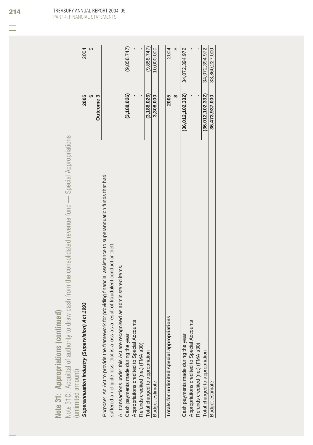| 5<br>Ć<br>$\frac{1}{2}$<br><b>Alldo/</b><br>ś<br>ś<br>$\sqrt{\text{ote 31}}$ : $\sqrt{\text{}}$ | ed                                                                                                                                   |      |      |
|-------------------------------------------------------------------------------------------------|--------------------------------------------------------------------------------------------------------------------------------------|------|------|
| Z                                                                                               |                                                                                                                                      |      |      |
| Note 31C: Acquittal of authority                                                                | Ĕ<br>$\mathfrak{c}$<br>J — Special Appro<br>nut i<br>≘<br>T<br>acolidated rever<br>$rac{1}{2}$<br>h trom ti<br>Ċ<br>₹<br>$\sqrt{10}$ |      |      |
| $\overline{\phantom{0}}$<br>d amouni<br>imitar                                                  |                                                                                                                                      |      |      |
| uperannuation Industry (Supervisio                                                              | on) Act 199:                                                                                                                         | 2005 | 2004 |
|                                                                                                 |                                                                                                                                      |      |      |

| Superannuation Industry (Supervision) Act 1993                                                               | 2005             | 2004           |
|--------------------------------------------------------------------------------------------------------------|------------------|----------------|
|                                                                                                              |                  |                |
|                                                                                                              | Outcome 3        |                |
| Purpose: An Act to provide the framework for providing financial assistance to superannuation funds that had |                  |                |
| suffered an eligible loss, that is a loss as a result of fraudulent conduct or theft.                        |                  |                |
| All transactions under this Act are recognised as administered items.                                        |                  |                |
| Cash payments made during the year                                                                           | (3, 188, 026)    | (9,858,747)    |
| Appropriations credited to Special Accounts                                                                  |                  |                |
| Refunds credited (net) (FMA s30)                                                                             |                  |                |
| Total charged to appropriation                                                                               | (3, 188, 026)    | (9,858,747)    |
| <b>Budget estimate</b>                                                                                       | 3,308,000        | 10,000,000     |
|                                                                                                              |                  |                |
| S<br>Totals for unlimited special appropriation                                                              | 2005             | 2004           |
|                                                                                                              |                  |                |
| Cash payments made during the year                                                                           | (36,012,102,332) | 34,072,394,972 |
| Appropriations credited to Special Accounts                                                                  |                  |                |
| Refunds credited (net) (FMA s30)                                                                             |                  |                |
| Total charged to appropriation                                                                               | (36,012,102,332) | 34,072,394,972 |
| <b>Budget estimate</b>                                                                                       | 36,473,937,000   | 33,860,227,000 |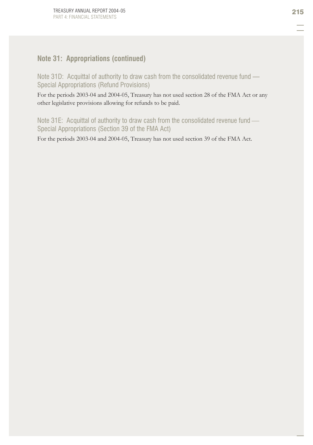## **Note 31: Appropriations (continued)**

Note 31D: Acquittal of authority to draw cash from the consolidated revenue fund — Special Appropriations (Refund Provisions)

For the periods 2003-04 and 2004-05, Treasury has not used section 28 of the FMA Act or any other legislative provisions allowing for refunds to be paid.

Note 31E: Acquittal of authority to draw cash from the consolidated revenue fund -Special Appropriations (Section 39 of the FMA Act)

For the periods 2003-04 and 2004-05, Treasury has not used section 39 of the FMA Act.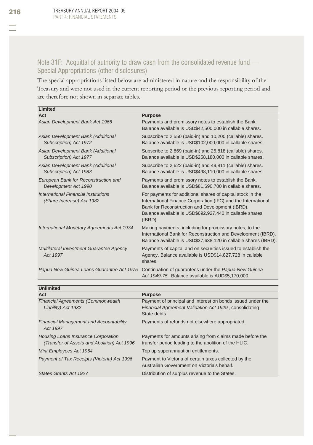## Note 31F: Acquittal of authority to draw cash from the consolidated revenue fund -Special Appropriations (other disclosures)

The special appropriations listed below are administered in nature and the responsibility of the Treasury and were not used in the current reporting period or the previous reporting period and are therefore not shown in separate tables.

| Limited                                                           |                                                                                                                                                                                                                                                          |
|-------------------------------------------------------------------|----------------------------------------------------------------------------------------------------------------------------------------------------------------------------------------------------------------------------------------------------------|
| Act                                                               | <b>Purpose</b>                                                                                                                                                                                                                                           |
| Asian Development Bank Act 1966                                   | Payments and promissory notes to establish the Bank.<br>Balance available is USD\$42,500,000 in callable shares.                                                                                                                                         |
| Asian Development Bank (Additional<br>Subscription) Act 1972      | Subscribe to 2,550 (paid-in) and 10,200 (callable) shares.<br>Balance available is USD\$102,000,000 in callable shares.                                                                                                                                  |
| Asian Development Bank (Additional<br>Subscription) Act 1977      | Subscribe to 2,869 (paid-in) and 25,818 (callable) shares.<br>Balance available is USD\$258,180,000 in callable shares.                                                                                                                                  |
| Asian Development Bank (Additional<br>Subscription) Act 1983      | Subscribe to 2,622 (paid-in) and 49,811 (callable) shares.<br>Balance available is USD\$498,110,000 in callable shares.                                                                                                                                  |
| European Bank for Reconstruction and<br>Development Act 1990      | Payments and promissory notes to establish the Bank.<br>Balance available is USD\$81,690,700 in callable shares.                                                                                                                                         |
| International Financial Institutions<br>(Share Increase) Act 1982 | For payments for additional shares of capital stock in the<br>International Finance Corporation (IFC) and the International<br>Bank for Reconstruction and Development (IBRD).<br>Balance available is USD\$692,927,440 in callable shares<br>$(IBRD)$ . |
| International Monetary Agreements Act 1974                        | Making payments, including for promissory notes, to the<br>International Bank for Reconstruction and Development (IBRD).<br>Balance available is USD\$37,638,120 in callable shares (IBRD).                                                              |
| Multilateral Investment Guarantee Agency<br>Act 1997              | Payments of capital and on securities issued to establish the<br>Agency. Balance available is USD\$14,827,728 in callable<br>shares.                                                                                                                     |
| Papua New Guinea Loans Guarantee Act 1975                         | Continuation of guarantees under the Papua New Guinea<br>Act 1949-75. Balance available is AUD\$5,170,000.                                                                                                                                               |

| <b>Unlimited</b>                                                                          |                                                                                                                                       |
|-------------------------------------------------------------------------------------------|---------------------------------------------------------------------------------------------------------------------------------------|
| Act                                                                                       | <b>Purpose</b>                                                                                                                        |
| <b>Financial Agreements (Commonwealth</b><br>Liability) Act 1932                          | Payment of principal and interest on bonds issued under the<br>Financial Agreement Validation Act 1929, consolidating<br>State debts. |
| <b>Financial Management and Accountability</b><br>Act 1997                                | Payments of refunds not elsewhere appropriated.                                                                                       |
| <b>Housing Loans Insurance Corporation</b><br>(Transfer of Assets and Abolition) Act 1996 | Payments for amounts arising from claims made before the<br>transfer period leading to the abolition of the HLIC.                     |
| Mint Employees Act 1964                                                                   | Top up superannuation entitlements.                                                                                                   |
| Payment of Tax Receipts (Victoria) Act 1996                                               | Payment to Victoria of certain taxes collected by the<br>Australian Government on Victoria's behalf.                                  |
| States Grants Act 1927                                                                    | Distribution of surplus revenue to the States.                                                                                        |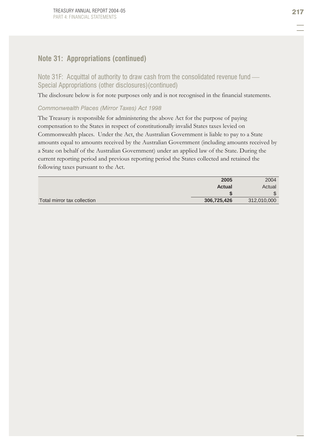## **Note 31: Appropriations (continued)**

Note 31F: Acquittal of authority to draw cash from the consolidated revenue fund -Special Appropriations (other disclosures)(continued)

The disclosure below is for note purposes only and is not recognised in the financial statements.

### *Commonwealth Places (Mirror Taxes) Act 1998*

The Treasury is responsible for administering the above Act for the purpose of paying compensation to the States in respect of constitutionally invalid States taxes levied on Commonwealth places. Under the Act, the Australian Government is liable to pay to a State amounts equal to amounts received by the Australian Government (including amounts received by a State on behalf of the Australian Government) under an applied law of the State. During the current reporting period and previous reporting period the States collected and retained the following taxes pursuant to the Act.

|                             | 2005        | 2004        |
|-----------------------------|-------------|-------------|
|                             | Actual      | Actual      |
|                             |             | ъĐ          |
| Total mirror tax collection | 306,725,426 | 312,010,000 |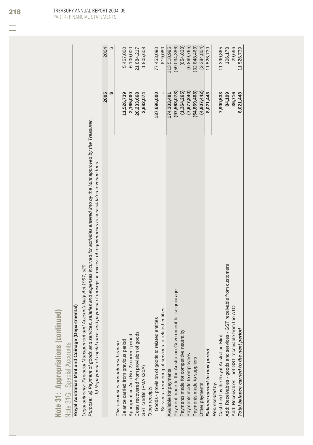| i,                  |                                   |
|---------------------|-----------------------------------|
| œ                   |                                   |
| ÷<br>ħ              |                                   |
| $=$<br>٠            |                                   |
|                     |                                   |
| ≍<br>é<br>×.        |                                   |
| ν                   | I<br>ï                            |
| ≘                   |                                   |
| -2<br>-             | <b>Contract Contract Contract</b> |
| <b>Service</b>      |                                   |
| Ġ<br>œ              | $\overline{\phantom{a}}$          |
| ۲<br>ī              | ׇ֦<br>ć                           |
| $\overline{0}$      |                                   |
|                     | I                                 |
| ź<br>-              | .<br>.<br>.                       |
| ⋸<br>۰              |                                   |
| Ap<br>۰             | Ċ                                 |
|                     |                                   |
| $\blacksquare$<br>× |                                   |
| ۰                   |                                   |
| Ć<br>Þ              |                                   |
|                     |                                   |
| ⊨<br>۰<br>ċ         |                                   |
| ù<br>═              | $\frac{1}{2}$                     |
| 2<br>۰              |                                   |

## Royal Australian Mint and Coinage (Departmental) Note 31G: Special Accounts Note 31G: Special Accounts

**Royal Australian Mint and Coinage (Departmental)** *Legal authority: Financial Management and Accountability Act 1997; s20*

Legal authority: Financial Management and Accountability Act 1997; s20<br>Purpose: a) Payment of goods and services. salaries and expenses incurred for activities entered into by the Mint approved by the Treasurer. *Purpose: a) Payment of goods and services, salaries and expenses incurred for activities entered into by the Mint approved by the Treasurer.*

|                                                                       | 2005           | 2004           |
|-----------------------------------------------------------------------|----------------|----------------|
|                                                                       | မာ             | ക              |
| This account is non-interest bearing                                  |                |                |
| Balance carried from previous period                                  | 11,526,739     | 5,457,000      |
| Appropriation Act (No. 2) current period                              | 2,165,000      | 6,100,000      |
| Costs recovered from provision of goods                               | 20,233,668     | 21,884,217     |
| GST credits (FMA s30A)                                                | 2,682,074      | 1,805,608      |
| Other receipts                                                        |                |                |
| Goods - provision of goods to related entities                        | 137,696,000    | 77,453,090     |
| Services - rendering of services to related entities                  |                | 819,080        |
| Available for payments                                                | 174,303,481    | 113,518,995    |
| for seigniorage<br>Payment made to the Australian Government          | (97,563,078)   | (59,034,386)   |
| Payments made for competitive neutrality                              | (1,364,265)    | (854, 838)     |
| Payments made to employees                                            | (7, 677, 840)  | (6,869,765)    |
| Payments made to suppliers                                            | (54, 869, 408) | (32, 848, 463) |
| Other payments                                                        | (4,807,442)    | (2,384,804)    |
| <b>Balance carried to next period</b>                                 | 8,021,448      | 11,526,739     |
| Represented by:                                                       |                |                |
| Cash held by the Royal Australian Mint                                | 7,900,533      | 11,390,865     |
| Add: Receivables - goods and services - GST receivable from customers | 84,199         | 106,178        |
| Add: Receivables - net GST receivable from the ATO                    | 36,716         | 29,696         |
| Total balance carried to the next period                              | 8,021,448      | 11,526,739     |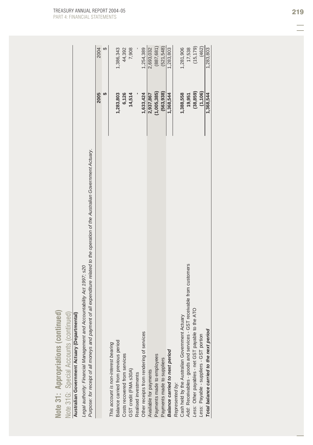| ۱<br>led<br>≕<br>Ē<br>×,<br>ó                            | Continuad                          |
|----------------------------------------------------------|------------------------------------|
| propriations<br>é<br>∍<br><b>Ap</b>                      | $\Delta$ <i>rraunte</i><br>Snarial |
| $\blacksquare$<br>$\blacksquare$<br>$\mathbf{5}$<br>lote | 210.<br>lota                       |

# NOte 3 Fut - Special Accounts (continued)<br>Australian Government Actuary (Departmental)

| Note 31: Appropriations (continued                                                                                               |             |            |
|----------------------------------------------------------------------------------------------------------------------------------|-------------|------------|
| Note 31G: Special Accounts (continued)                                                                                           |             |            |
| Australian Government Actuary (Departmental)                                                                                     |             |            |
| Legal authority: Financial Management and Accountability Act 1997; s20                                                           |             |            |
| Purpose: for receipt of all moneys and payment of all expenditure related to the operation of the Australian Government Actuary. |             |            |
|                                                                                                                                  | 2005        | 2004       |
|                                                                                                                                  | မာ          | ↔          |
| This account is non-interest bearing                                                                                             |             |            |
| Balance carried from previous period                                                                                             | 1,283,803   | 1,386,343  |
| Costs recovered from services                                                                                                    | 6,126       | 44,392     |
| GST credit (FMA s30A)                                                                                                            | 14,514      | 7,908      |
| Realised investments                                                                                                             |             |            |
| Other receipts from rendering of services                                                                                        | 1,633,424   | 1,254,389  |
| Available for payments                                                                                                           | 2,937,867   | 2,693,032  |
| Payments made to employees                                                                                                       | (1,005,385) | (887, 681) |
| Payments made to suppliers                                                                                                       | (563, 938)  | (521, 548) |
| <b>Balance carried to next period</b>                                                                                            | 1,368,544   | 1,283,803  |
| Represented by:                                                                                                                  |             |            |
| Cash held by the Australian Government Actuary                                                                                   | 1,388,558   | 1,281,906  |
| Add: Receivables - goods and services - GST receivable from customers                                                            | 19,951      | 17,538     |
| Less: Other payables - net GST payable to the ATO                                                                                | (38, 859)   | (15, 179)  |
| Less: Payable - suppliers - GST portion                                                                                          | (1, 106)    | (462)      |
| Total balance carried to the next period                                                                                         | 1,368,544   | 1,283,803  |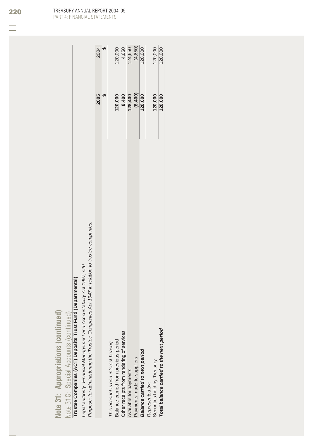| ۰,<br>ø<br>١<br>ı<br>п<br>i<br>$=$<br>i.<br>p<br>ı<br>p m<br>é                                                            |  |
|---------------------------------------------------------------------------------------------------------------------------|--|
| $=$<br>۰<br>n.<br>í<br>$=$<br>ı<br>ì<br>٠<br>ı<br>١<br>ı<br>g<br>٠<br>ć<br>۰<br>ì<br>S<br>۰<br>£<br>2<br>۰<br>ø<br>c<br>۰ |  |
| $\blacksquare$<br>$\blacksquare$<br>×<br>Þ<br>c<br>٠<br>ć<br>$\sim$<br>ë                                                  |  |

## Note 31G: Special Accounts (continued) Note 31G: Special Accounts (continued)

Trustee Companies (ACT) Deposits Trust Fund (Departmental) **Trustee Companies (ACT) Deposits Trust Fund (Departmental)**

Legal authority: Financial Management and Accountability Act 1997; s20<br>Purpose: for administering the Trustee Companies Act 1947 in relation to trustee companies. *Purpose: for administering the Trustee Companies Act 1947 in relation to trustee companies. Legal authority: Financial Management and Accountability Act 1997; s20*

|                                           | <b>2005</b> | 2004                      |
|-------------------------------------------|-------------|---------------------------|
|                                           |             |                           |
| This account is non-interest bearing      |             |                           |
| Balance carried from previous period      | 120,000     | 120,000                   |
| Other receipts from rendering of services | 8,400       | 4,650<br>124,650          |
| Available for payments                    | 128,400     |                           |
| Payments made to suppliers                | (8,400)     | $\frac{(4,650)}{120,000}$ |
| <b>Balance carried to next period</b>     | 120,000     |                           |
| Represented by:                           |             |                           |
| Securities held by Treasury               | 120,000     | $\frac{120,000}{120,000}$ |
| Total balance carried to the next period  | 120,000     |                           |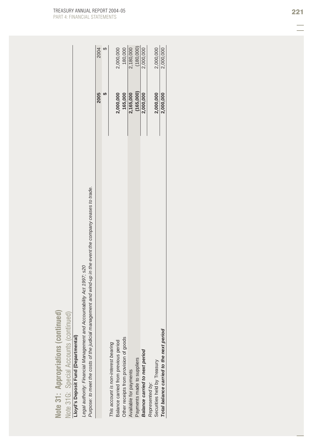| í,<br>è<br>tinu             | $($ continued)                  |
|-----------------------------|---------------------------------|
| priations<br>m.<br>Appror   | <b>Inte</b><br>Accou<br>Snerial |
| F<br>۹<br>51<br><b>Jote</b> | Inta 31G                        |

## Lloyd's Deposit Fund (Departmental)

| ued<br>Note 31: Appropriations (contin                                                                      |           |           |
|-------------------------------------------------------------------------------------------------------------|-----------|-----------|
| ued)<br>Note 31G: Special Accounts (contin                                                                  |           |           |
| Lloyd's Deposit Fund (Departmental)                                                                         |           |           |
| Legal authority: Financial Management and Accountability Act 1997; s20                                      |           |           |
| Purpose: to meet the costs of the judicial management and wind-up in the event the company ceases to trade. |           |           |
|                                                                                                             | 2005      | 2004      |
|                                                                                                             |           |           |
| This account is non-interest bearing                                                                        |           |           |
| Balance carried from previous period                                                                        | 2,000,000 | 2,000,000 |
| Other receipts from provision of goods                                                                      | 165,000   | 180,000   |
| Available for payments                                                                                      | 2,165,000 | 2,180,000 |
| Payments made to suppliers                                                                                  | (165,000) | (180,000) |
| <b>Balance carried to next period</b>                                                                       | 2,000,000 | 2,000,000 |
| Represented by:                                                                                             |           |           |
| Securities held by Treasury                                                                                 | 2,000,000 | 2,000,000 |
| Total balance carried to the next period                                                                    | 2,000,000 | 2,000,000 |
|                                                                                                             |           |           |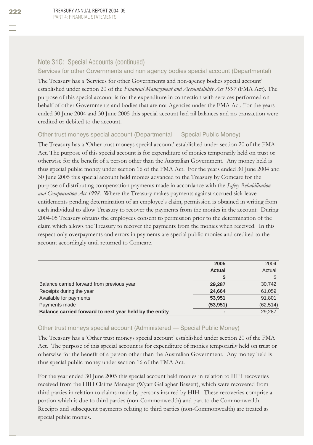## Note 31G: Special Accounts (continued)

### Services for other Governments and non agency bodies special account (Departmental)

The Treasury has a 'Services for other Governments and non-agency bodies special account' established under section 20 of the *Financial Management and Accountability Act 1997* (FMA Act). The purpose of this special account is for the expenditure in connection with services performed on behalf of other Governments and bodies that are not Agencies under the FMA Act. For the years ended 30 June 2004 and 30 June 2005 this special account had nil balances and no transaction were credited or debited to the account.

## Other trust moneys special account (Departmental — Special Public Money)

The Treasury has a 'Other trust moneys special account' established under section 20 of the FMA Act. The purpose of this special account is for expenditure of monies temporarily held on trust or otherwise for the benefit of a person other than the Australian Government. Any money held is thus special public money under section 16 of the FMA Act. For the years ended 30 June 2004 and 30 June 2005 this special account held monies advanced to the Treasury by Comcare for the purpose of distributing compensation payments made in accordance with the *Safety Rehabilitation and Compensation Act 1998*. Where the Treasury makes payments against accrued sick leave entitlements pending determination of an employee's claim, permission is obtained in writing from each individual to allow Treasury to recover the payments from the monies in the account. During 2004-05 Treasury obtains the employees consent to permission prior to the determination of the claim which allows the Treasury to recover the payments from the monies when received. In this respect only overpayments and errors in payments are special public monies and credited to the account accordingly until returned to Comcare.

|                                                         | 2005          | 2004      |
|---------------------------------------------------------|---------------|-----------|
|                                                         | <b>Actual</b> | Actual    |
|                                                         |               |           |
| Balance carried forward from previous year              | 29.287        | 30,742    |
| Receipts during the year                                | 24,664        | 61,059    |
| Available for payments                                  | 53.951        | 91,801    |
| Payments made                                           | (53, 951)     | (62, 514) |
| Balance carried forward to next year held by the entity |               | 29,287    |

## Other trust moneys special account (Administered — Special Public Money)

The Treasury has a 'Other trust moneys special account' established under section 20 of the FMA Act. The purpose of this special account is for expenditure of monies temporarily held on trust or otherwise for the benefit of a person other than the Australian Government. Any money held is thus special public money under section 16 of the FMA Act.

For the year ended 30 June 2005 this special account held monies in relation to HIH recoveries received from the HIH Claims Manager (Wyatt Gallagher Bassett), which were recovered from third parties in relation to claims made by persons insured by HIH. These recoveries comprise a portion which is due to third parties (non-Commonwealth) and part to the Commonwealth. Receipts and subsequent payments relating to third parties (non-Commonwealth) are treated as special public monies.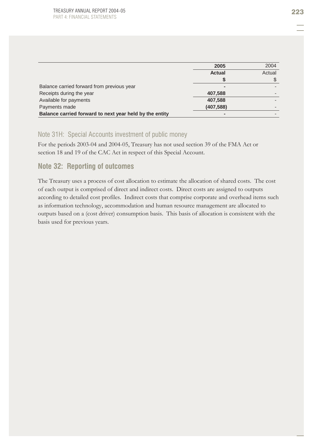|                                                         | 2005          | 2004   |
|---------------------------------------------------------|---------------|--------|
|                                                         | <b>Actual</b> | Actual |
|                                                         |               |        |
| Balance carried forward from previous year              |               |        |
| Receipts during the year                                | 407,588       |        |
| Available for payments                                  | 407,588       |        |
| Payments made                                           | (407, 588)    |        |
| Balance carried forward to next year held by the entity |               |        |

## Note 31H: Special Accounts investment of public money

For the periods 2003-04 and 2004-05, Treasury has not used section 39 of the FMA Act or section 18 and 19 of the CAC Act in respect of this Special Account.

## **Note 32: Reporting of outcomes**

The Treasury uses a process of cost allocation to estimate the allocation of shared costs. The cost of each output is comprised of direct and indirect costs. Direct costs are assigned to outputs according to detailed cost profiles. Indirect costs that comprise corporate and overhead items such as information technology, accommodation and human resource management are allocated to outputs based on a (cost driver) consumption basis. This basis of allocation is consistent with the basis used for previous years.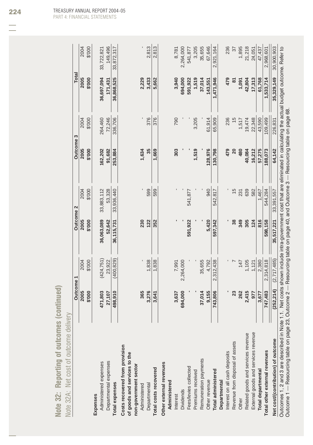| í,<br>٠<br>-<br>$\sim$<br>医胃<br>n.<br>p n<br>_<br>é<br>u<br>'n.<br>٠ | ì<br>Ś<br>×,<br>ī |
|----------------------------------------------------------------------|-------------------|
| ۰<br>-<br>-<br><b>Spinster</b>                                       |                   |
| ١<br>پا<br>ı<br>g<br>a m<br>иi<br>۹<br>◘<br>۰                        | ч<br>ò<br>∠       |
| $\blacksquare$<br>m<br>ч<br>¢<br>٦<br>D<br>٠                         | i                 |

| \$'000<br>2004<br>\$'000<br>2005                                                                                        | \$'000<br>2005  | 2004                  | 2004<br>2005                     |
|-------------------------------------------------------------------------------------------------------------------------|-----------------|-----------------------|----------------------------------|
|                                                                                                                         |                 |                       |                                  |
|                                                                                                                         |                 | \$'000                | \$'000<br>\$'000                 |
|                                                                                                                         |                 |                       |                                  |
| 33,883,112<br>36,063,089                                                                                                | 162,202         | 36,697,094<br>264,460 | 33,722,821                       |
| 53,328<br>52,642                                                                                                        | 91,682          | 171,431<br>72,246     | 149,496                          |
| 33,936,440<br>36,115,731                                                                                                | 253,884         | 36,868,525<br>336,706 | 33,872,317                       |
|                                                                                                                         |                 |                       |                                  |
|                                                                                                                         |                 |                       |                                  |
| 230                                                                                                                     | 1,634           |                       | 2,229                            |
| 599<br>122                                                                                                              | 35              | 376                   | 2,813<br>3,433                   |
| 599<br>352                                                                                                              | 1,669           | 376                   | 2,813<br>5,662                   |
|                                                                                                                         |                 |                       |                                  |
|                                                                                                                         | 303             | 790                   | 8,781<br>3,940                   |
|                                                                                                                         |                 | 694,000               | 2,264,000                        |
| 541,877<br>591,922                                                                                                      |                 | 591,922               | 541,877                          |
|                                                                                                                         | 1,519           | 3,205                 | 3,205<br>1,519                   |
|                                                                                                                         |                 |                       | 35,655<br>37,014                 |
| 940<br>5,420                                                                                                            | 128,976         | 143,551<br>61,914     | 67,646                           |
| 542.817<br>597,342                                                                                                      | 130,798         | 1,471,946<br>65,909   | 2,921,164                        |
|                                                                                                                         |                 |                       |                                  |
|                                                                                                                         | 479             | 236                   | 236<br>479                       |
| $\frac{15}{1}$<br>38                                                                                                    | $\overline{20}$ | $\frac{15}{2}$        | $\overline{37}$<br>$\frac{1}{8}$ |
| 231<br>349                                                                                                              | 480             | 1,517                 | 1,895<br>1,091                   |
| 639<br>305                                                                                                              | 40,084          | 19,474                | 21,218<br>42,804                 |
| 582<br>124                                                                                                              | 16,212          | 22,348                | 24,051<br>17,313                 |
| 1,467<br>816                                                                                                            | 57,275          |                       | 47,437<br>61,768                 |
| 544,284<br>598,158                                                                                                      | 88,073          | 1,533,714             | 2,968,601                        |
| 33,391,557<br>35,517,221                                                                                                | 64,142          | 35,329,149            | 30,900,903                       |
| 1. Net costs shown include intra-government cost that are eliminated in calculating the actual budget outcome. Refer to |                 |                       | 43,590<br>109,499<br>226,831     |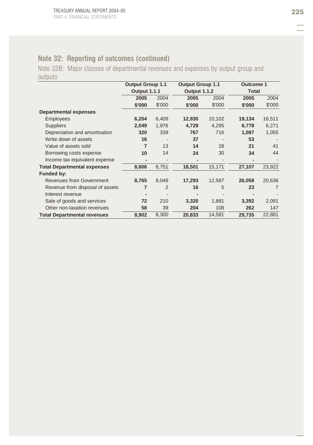## **Note 32: Reporting of outcomes (continued)**

Note 32B: Major classes of departmental revenues and expenses by output group and outputs

|                                    | <b>Output Group 1.1</b> |                | <b>Output Group 1.1</b> |                     | <b>Outcome 1</b> |              |
|------------------------------------|-------------------------|----------------|-------------------------|---------------------|------------------|--------------|
|                                    | <b>Output 1.1.1</b>     |                |                         | <b>Output 1.1.2</b> |                  | <b>Total</b> |
|                                    | 2005                    | 2004           | 2005                    | 2004                | 2005             | 2004         |
|                                    | \$'000                  | \$'000         | \$'000                  | \$'000              | \$'000           | \$'000       |
| <b>Departmental expenses</b>       |                         |                |                         |                     |                  |              |
| <b>Employees</b>                   | 6,204                   | 6,409          | 12,930                  | 10,102              | 19,134           | 16,511       |
| <b>Suppliers</b>                   | 2,049                   | 1,976          | 4,729                   | 4,295               | 6,778            | 6,271        |
| Depreciation and amortisation      | 320                     | 339            | 767                     | 716                 | 1,087            | 1,055        |
| Write down of assets               | 16                      |                | 37                      |                     | 53               |              |
| Value of assets sold               | 7                       | 13             | 14                      | 28                  | 21               | 41           |
| Borrowing costs expense            | 10                      | 14             | 24                      | 30                  | 34               | 44           |
| Income tax equivalent expense      |                         |                |                         |                     |                  |              |
| <b>Total Departmental expenses</b> | 8,606                   | 8,751          | 18,501                  | 15,171              | 27,107           | 23,922       |
| Funded by:                         |                         |                |                         |                     |                  |              |
| <b>Revenues from Government</b>    | 8,765                   | 8,049          | 17,293                  | 12,587              | 26,058           | 20,636       |
| Revenue from disposal of assets    | 7                       | $\overline{2}$ | 16                      | 5                   | 23               | 7            |
| Interest revenue                   |                         |                |                         |                     |                  |              |
| Sale of goods and services         | 72                      | 210            | 3,320                   | 1,881               | 3,392            | 2,091        |
| Other non-taxation revenues        | 58                      | 39             | 204                     | 108                 | 262              | 147          |
| <b>Total Departmental revenues</b> | 8,902                   | 8,300          | 20,833                  | 14,581              | 29,735           | 22,881       |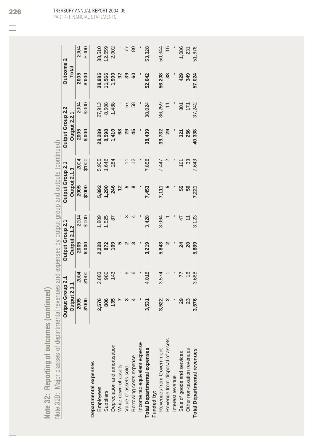| I<br>⋍<br>ä<br>ım<br>₩<br>$\overline{\phantom{a}}$<br>١<br>-<br>$\equiv$<br>٠<br>٠<br>иi<br>ó<br>-<br>ı<br>-<br>-<br>ـ<br>p n<br>U<br>- |
|-----------------------------------------------------------------------------------------------------------------------------------------|
| é<br>U)<br>ø<br>a s<br>٦<br>₩<br>÷<br>╘<br>ー<br>╘<br>a i<br>ఆ<br>مسود<br>-<br>۱<br>-<br>$\bullet$                                       |
| -<br>▬<br>0                                                                                                                             |
| ŋ<br>◡<br>-<br>−<br>$-$<br>است<br>▄<br>-<br>ー<br>$\equiv$<br>١<br>⋍<br>ч<br>-<br>--                                                     |
| $\blacksquare$<br>٠<br>╲<br>u<br>٣ŕ<br>ь<br>٠                                                                                           |
| ß<br>ч<br>u<br>است<br>-<br>ـ<br>⇒                                                                                                       |

|                                           | d<br>۱<br>ļ<br>ļ<br>$\overline{\phantom{a}}$                                                                                                                                                                                                                                                                                              |
|-------------------------------------------|-------------------------------------------------------------------------------------------------------------------------------------------------------------------------------------------------------------------------------------------------------------------------------------------------------------------------------------------|
|                                           | $\frac{1}{2}$                                                                                                                                                                                                                                                                                                                             |
|                                           |                                                                                                                                                                                                                                                                                                                                           |
|                                           | きこうし うとう とこうえき きこうきこ                                                                                                                                                                                                                                                                                                                      |
|                                           |                                                                                                                                                                                                                                                                                                                                           |
|                                           |                                                                                                                                                                                                                                                                                                                                           |
|                                           | $\frac{1}{2}$ $\frac{1}{2}$ $\frac{1}{2}$ $\frac{1}{2}$ $\frac{1}{2}$ $\frac{1}{2}$ $\frac{1}{2}$ $\frac{1}{2}$ $\frac{1}{2}$ $\frac{1}{2}$ $\frac{1}{2}$ $\frac{1}{2}$ $\frac{1}{2}$ $\frac{1}{2}$ $\frac{1}{2}$ $\frac{1}{2}$ $\frac{1}{2}$ $\frac{1}{2}$ $\frac{1}{2}$ $\frac{1}{2}$ $\frac{1}{2}$ $\frac{1}{2}$<br>$\frac{1}{2}$<br>í |
|                                           |                                                                                                                                                                                                                                                                                                                                           |
| 5<br>$S = 18$<br>j                        | <b>C.I.U.I.U.I.C.</b><br>l                                                                                                                                                                                                                                                                                                                |
| $\frac{1}{2}$<br>$\overline{\phantom{a}}$ | $\frac{1}{2}$                                                                                                                                                                                                                                                                                                                             |
|                                           | $\frac{1}{2}$<br>i<br>ļ<br>I                                                                                                                                                                                                                                                                                                              |
| $\ddot{\phantom{a}}$                      |                                                                                                                                                                                                                                                                                                                                           |
| i<br>I<br>J                               |                                                                                                                                                                                                                                                                                                                                           |
|                                           |                                                                                                                                                                                                                                                                                                                                           |
| Donovin                                   | ١<br>Ţ                                                                                                                                                                                                                                                                                                                                    |
| $\overline{a}$                            | $\overline{\phantom{a}}$<br>١<br>J<br>$\overline{\phantom{a}}$                                                                                                                                                                                                                                                                            |
| ï<br>d                                    | ł                                                                                                                                                                                                                                                                                                                                         |

|                                    | Output Group 2.1    |               | Output Group 2.1    |        | Output Group 2.1 |        | Output Group 2.2 |                | <b>Outcome 2</b> |        |
|------------------------------------|---------------------|---------------|---------------------|--------|------------------|--------|------------------|----------------|------------------|--------|
|                                    | <b>Output 2.1.1</b> |               | <b>Output 2.1.2</b> |        | Output 2.1.3     |        | Output 2.2.1     |                | <b>Total</b>     |        |
|                                    | 2005                | 2004          | 2005                | 2004   | 2005             | 2004   | 2005             | 2004           | 2005             | 2004   |
|                                    | \$'000              | \$'000        | \$'000              | \$'000 | \$'000           | \$'000 | \$'000           | \$'000         | \$'000           | \$'000 |
| Departmental expenses              |                     |               |                     |        |                  |        |                  |                |                  |        |
| Employees                          | 2,576               | 2,883         | 2,228               | 1,809  | 5,892            | 5,905  | 28,289           | 27,913         | 38,985           | 38,510 |
| Suppliers                          | 806                 | 980           | 872                 | 1,525  | ,290             | 1,646  | 8,598            | 8,508          | 11,566           | 12,659 |
| Depreciation and amortisation      | 135                 | 143           | $\frac{60}{2}$      | 78     | 246              | 284    | 1,410            | 1,488          | 1,900            | 2,002  |
| Write down of assets               |                     |               |                     |        |                  |        | 89               |                | 8                |        |
| Value of assets sold               |                     |               |                     |        |                  |        | 29               | 57             | 39               | 77     |
| Borrowing costs expense            |                     |               |                     |        |                  |        | 45               | 58             | 80               | 80     |
| Income tax equivalent expense      |                     |               |                     |        |                  |        |                  |                |                  |        |
| <b>Total Departmental expenses</b> | 3,531               | 4,018         | 3,219               | 3,428  | 7,453            | 7,858  | 38,439           | 38,024         | 52,642           | 53,328 |
| Funded by:                         |                     |               |                     |        |                  |        |                  |                |                  |        |
| Revenues from Government           | 3,522               | 3,574         | 5,843               | 3,064  | 7,111            | 7,447  | 39,732           | 36,259         | 56,208           | 50,344 |
| Revenue from disposal of assets    |                     |               |                     |        |                  |        | 29               |                | 38               | 15     |
| Interest revenue                   |                     |               |                     |        |                  |        |                  |                |                  |        |
| Sale of goods and services         | 29                  |               | 24                  |        | 55               | 161    | 321              | $\overline{8}$ | 429              | 1,086  |
| Other non-taxation revenues        | 23                  | $\frac{6}{5}$ | $\overline{20}$     |        | 50               | 33     | 256              | 171            | 349              | 231    |
| <b>Total Departmental revenues</b> | 3,576               | 3,668         | 5,889               | 3,123  | 7,221            | 7,643  | 40,338           | 37,242         | 57,024           | 51,676 |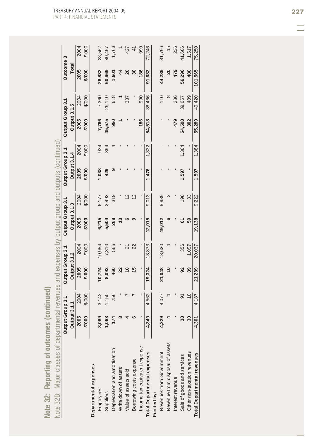|                                    | Output Group 3.1    |               | Output Group 3.1    |        | Output Group 3.1 |        | Output Group 3.1    |        | Output Group 3.1    |               | Outcome 3                              |               |
|------------------------------------|---------------------|---------------|---------------------|--------|------------------|--------|---------------------|--------|---------------------|---------------|----------------------------------------|---------------|
|                                    | <b>Output 3.1.1</b> |               | <b>Output 3.1.2</b> |        | Output 3.1.3     |        | <b>Output 3.1.4</b> |        | <b>Output 3.1.5</b> |               | Total                                  |               |
|                                    | 2005                | 2004          | 2005                | 2004   | 2005             | 2004   | 2005                | 2004   | 2005                | 2004          | 2005                                   | 2004          |
|                                    | \$'000              | \$'000        | \$'000              | \$'000 | 000.\$           | \$'000 | \$'000              | \$'000 | \$'000              | \$'000        | \$'000                                 | \$'000        |
| Departmental expenses              |                     |               |                     |        |                  |        |                     |        |                     |               |                                        |               |
| Employees                          | 3,089               | 3,142         | 10,724              | 10,954 | 6,215            | 6,177  | 1,038               | 934    | 7,766               | 7,360         | 28,832                                 | 28,567        |
| Suppliers                          | 1,068               | 1,150         | 8,093               | 7,310  | 5,504            | 2,493  | 429                 | 394    | 45,575              | 29,110        | 60,669                                 | 40,457        |
| Depreciation and amortisation      | $\overline{1}$      | 256           | 460                 | 566    | 268              | 319    |                     |        | 990                 | 618           | 1,901                                  | 1,763         |
| Write down of assets               |                     |               |                     |        | ≌                |        |                     |        |                     |               | 4                                      |               |
| Value of assets sold               |                     |               |                     | 21     |                  |        |                     |        |                     | 387           | 20                                     | 427           |
| Borrowing costs expense            |                     |               |                     | 22     |                  |        |                     |        |                     |               | $\overline{\phantom{0}}\phantom{00}30$ | 41            |
| Income tax equivalent expense      |                     |               |                     |        |                  |        |                     |        | 186                 | 990           | 186                                    | 990           |
| <b>Total Departmental expenses</b> | 4,349               | 4,562         | 19,324              | 18,873 | 12,015           | 9,013  | 1,476               | 1,332  | 54,518              | 38,466        | 91,682                                 | 72,246        |
| Funded by:                         |                     |               |                     |        |                  |        |                     |        |                     |               |                                        |               |
| Revenues from Government           | 4,229               | 4,077         | 21,048              | 18,620 | 19,012           | 8,989  |                     |        |                     | $\frac{0}{1}$ | 44,289                                 | 31,796        |
| Revenue from disposal of assets    |                     |               | $\overline{0}$      |        |                  |        |                     |        |                     | ∞             | 20                                     | $\frac{5}{3}$ |
| Interest revenue                   |                     |               |                     |        |                  |        |                     |        | 479                 | 236           | 479                                    | 236           |
| Sale of goods and services         | 38                  | 5             | $\mathbf{S}$        | 356    | డ                | 198    | 1,597               | 1,384  | 54,508              | 39,657        | 56,296                                 | 41,686        |
| Other non-taxation revenues        | 30                  | $\frac{8}{3}$ | 89                  | 1,057  | 59               | 33     |                     |        | 302                 | 409           | 480                                    | 1,517         |
| <b>Total Departmental revenues</b> | 4,301               | 4,187         | 21,239              | 20,037 | 19,138           | 9,222  | 1,597               | 1,384  | 55,289              | 40,420        | 101,565                                | 75,250        |
|                                    |                     |               |                     |        |                  |        |                     |        |                     |               |                                        |               |

Note 32: Reporting of outcomes (continued) **Note 32: Reporting of outcomes (continued)**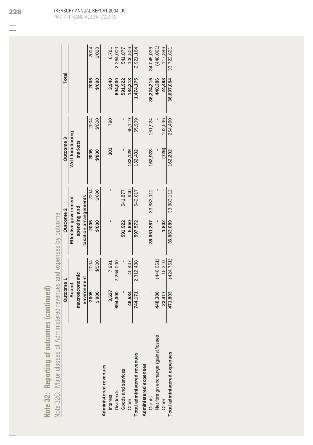|                                     | Outcome 1     |            | Outcome <sub>2</sub>  |            | Outcome <sub>3</sub> |         | Total      |            |
|-------------------------------------|---------------|------------|-----------------------|------------|----------------------|---------|------------|------------|
|                                     | Sound         |            | Effective government  |            | Well-functioning     |         |            |            |
|                                     | macroeconomic |            | spending and          |            | markets              |         |            |            |
|                                     | environment   |            | taxation arrangements |            |                      |         |            |            |
|                                     | 2005          | 2004       | 2005                  | 2004       | 2005                 | 2004    | 2005       | 2004       |
|                                     | \$'000<br>I   | \$'000     | \$'000                | \$'000     | \$'000               | \$'000  | \$'000     | \$'000     |
| Administered revenues               |               |            |                       |            |                      |         |            |            |
| <b>Interest</b>                     | 3,637         | 7,991      |                       |            | 303                  | 790     | 3,940      | 8,781      |
| <b>Dividends</b>                    | 694,000       | 2,264,000  |                       |            |                      |         | 694,000    | 2,264,000  |
| Goods and services                  |               |            | 591,922               | 541,877    |                      |         | 591,922    | 541,877    |
| Other                               | 46,534        | 40,447     | 5,650                 | 940        | 132,129              | 65,119  | 184,313    | 106,506    |
| Total administered revenues         | 744,171       | 2,312,438  | 597,572               | 542,817    | 132,432              | 65,909  | 1,474,175  | 2,921,164  |
| Administered expenses               |               |            |                       |            |                      |         |            |            |
| Grants                              |               |            | 36,061,287            | 33,883,112 | 162.928              | 161,924 | 36,224,215 | 34,045,036 |
| Net foreign exchange (gains)/losses | 448,386       | (440, 061) |                       |            |                      |         | 448,386    | (440, 061) |
| Other                               | 23,417        | 15,310     | 1,802                 |            | (726)                | 102,536 | 24,493     | 117,846    |
| Total administered expenses         | 471,803       | (424.751)  | 36,063,089            | 33,883,112 | 162.202              | 264,460 | 36,697,094 | 33,722,821 |

Note 32: Reporting of outcomes (continued)

**Note 32: Reporting of outcomes (continued)**